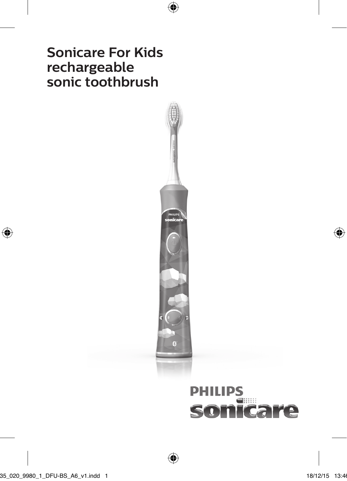# **Sonicare For Kids rechargeable sonic toothbrush**

⊕

# **PHILIPS** sonicare

保

⊕

⊕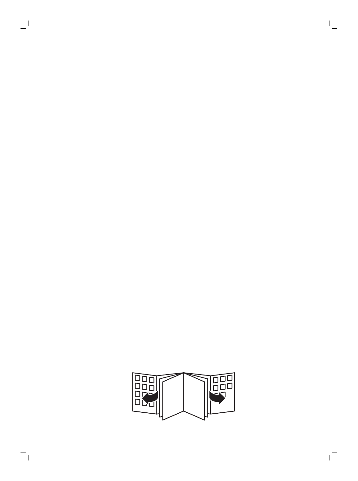

 $\mathbb{L}$ 

 $\overline{1}$ 

 $\mathbb{E}_1$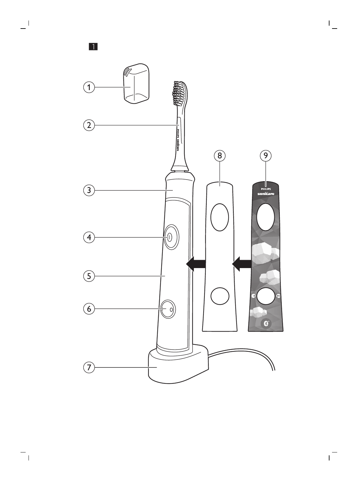

 $\Gamma$ 

 $^{-}$ 

 $\overline{\phantom{0}}$ 

 $=$ <sub>1</sub>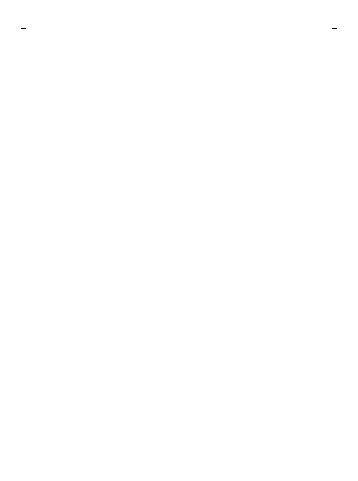$\mathbb{L}^{\parallel}$ 

 $\mathord{\hspace{1pt}\text{--}\hspace{1pt}}_\mathord{\mathbb{L}}$ 

 $\mathbb{L}$ 

 $^{-}$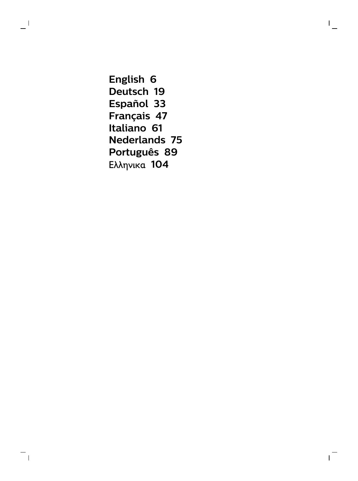**English [6](#page-5-0) Deutsch [19](#page-18-0) Español [33](#page-32-0) Français [47](#page-46-0) Italiano [61](#page-60-0) Nederlands [75](#page-74-0) Português [89](#page-88-0)** Ελληνικα **[104](#page-103-0)**

 $\mathbb{F}_2$ 

 $\overline{1}$ 

 $\mathbf{L}^{\mathrm{I}}$ 

 $\equiv_1$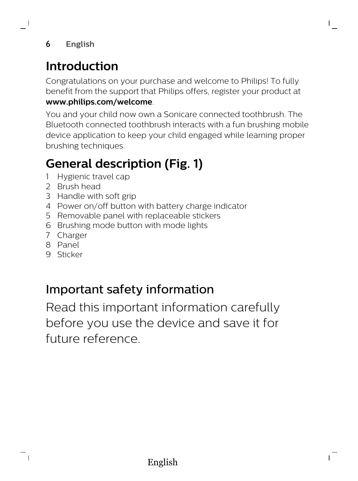#### 6 **English**

<span id="page-5-0"></span> $\blacksquare$ 

## **Introduction**

Congratulations on your purchase and welcome to Philips! To fully benefit from the support that Philips offers, register your product at **www.philips.com/welcome**.

 $\mathbf{I}$ 

 $\mathbf{L}$ 

You and your child now own a Sonicare connected toothbrush. The Bluetooth connected toothbrush interacts with a fun brushing mobile device application to keep your child engaged while learning proper brushing techniques.

# **General description (Fig. 1)**

- 1 Hygienic travel cap
- 2 Brush head
- 3 Handle with soft grip
- 4 Power on/off button with battery charge indicator
- 5 Removable panel with replaceable stickers
- 6 Brushing mode button with mode lights
- 7 Charger
- 8 Panel
- 9 Sticker

## Important safety information

Read this important information carefully before you use the device and save it for future reference.

 $\blacksquare$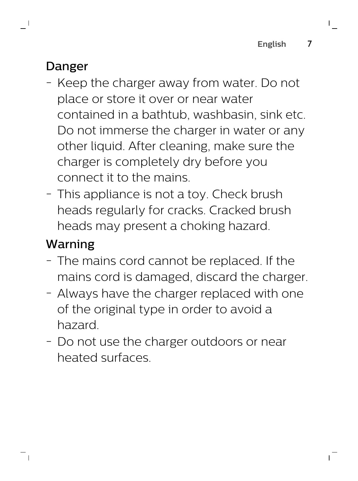## Danger

 $\overline{\phantom{0}}$ 

- Keep the charger away from water. Do not place or store it over or near water contained in a bathtub, washbasin, sink etc. Do not immerse the charger in water or any other liquid. After cleaning, make sure the charger is completely dry before you connect it to the mains.
- This appliance is not a toy. Check brush heads regularly for cracks. Cracked brush heads may present a choking hazard.

# Warning

 $\blacksquare$ 

- The mains cord cannot be replaced. If the mains cord is damaged, discard the charger.
- Always have the charger replaced with one of the original type in order to avoid a hazard.
- Do not use the charger outdoors or near heated surfaces.

 $\mathbf{L}$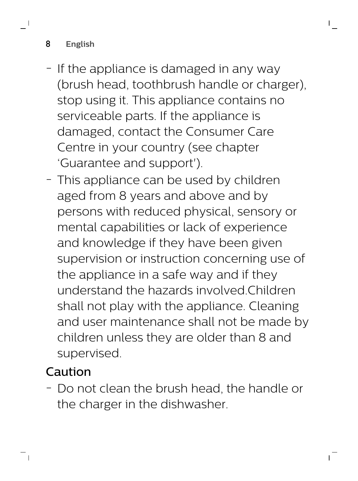#### 8 **English**

 $\sim 1$ 

- If the appliance is damaged in any way (brush head, toothbrush handle or charger), stop using it. This appliance contains no serviceable parts. If the appliance is damaged, contact the Consumer Care Centre in your country (see chapter 'Guarantee and support').

 $\mathsf{L}$ 

 $\mathbf{L}$ 

- This appliance can be used by children aged from 8 years and above and by persons with reduced physical, sensory or mental capabilities or lack of experience and knowledge if they have been given supervision or instruction concerning use of the appliance in a safe way and if they understand the hazards involved.Children shall not play with the appliance. Cleaning and user maintenance shall not be made by children unless they are older than 8 and supervised.

### Caution

 $^{-}$ 

- Do not clean the brush head, the handle or the charger in the dishwasher.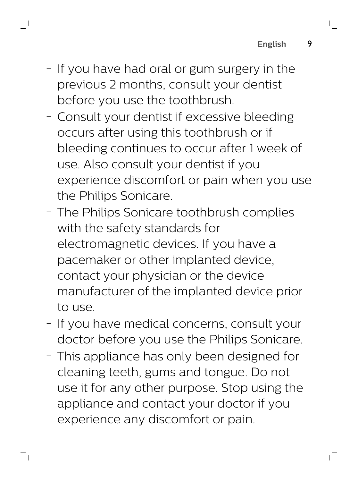$\Gamma_{\rm c}$ 

 $\mathbf{L}$ 

- If you have had oral or gum surgery in the previous 2 months, consult your dentist before you use the toothbrush.

 $\overline{\phantom{0}}$ 

 $=$ <sub>1</sub>

- Consult your dentist if excessive bleeding occurs after using this toothbrush or if bleeding continues to occur after 1 week of use. Also consult your dentist if you experience discomfort or pain when you use the Philips Sonicare.
- The Philips Sonicare toothbrush complies with the safety standards for electromagnetic devices. If you have a pacemaker or other implanted device, contact your physician or the device manufacturer of the implanted device prior to use.
- If you have medical concerns, consult your doctor before you use the Philips Sonicare.
- This appliance has only been designed for cleaning teeth, gums and tongue. Do not use it for any other purpose. Stop using the appliance and contact your doctor if you experience any discomfort or pain.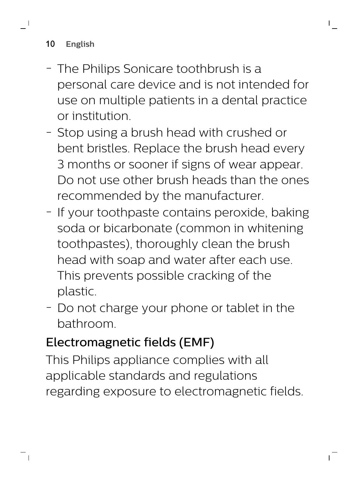#### 10 **English**

 $\overline{\phantom{0}}$ 

 $=$ <sub>1</sub>

- The Philips Sonicare toothbrush is a personal care device and is not intended for use on multiple patients in a dental practice or institution.

 $\mathbf{L}$ 

 $\mathbf{1}^{\top}$ 

- Stop using a brush head with crushed or bent bristles. Replace the brush head every 3 months or sooner if signs of wear appear. Do not use other brush heads than the ones recommended by the manufacturer.
- If your toothpaste contains peroxide, baking soda or bicarbonate (common in whitening toothpastes), thoroughly clean the brush head with soap and water after each use. This prevents possible cracking of the plastic.
- Do not charge your phone or tablet in the bathroom.

### Electromagnetic fields (EMF)

This Philips appliance complies with all applicable standards and regulations regarding exposure to electromagnetic fields.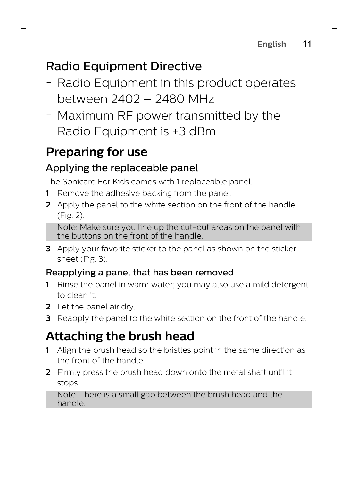$\mathsf{L}$ 

 $\mathbf{L}$ 

## Radio Equipment Directive

- Radio Equipment in this product operates between 2402 – 2480 MHz
- Maximum RF power transmitted by the Radio Equipment is +3 dBm

# **Preparing for use**

 $\overline{\phantom{a}}$ 

 $\blacksquare$ 

### Applying the replaceable panel

The Sonicare For Kids comes with 1 replaceable panel.

- **1** Remove the adhesive backing from the panel.
- **2** Apply the panel to the white section on the front of the handle (Fig. 2).

Note: Make sure you line up the cut-out areas on the panel with the buttons on the front of the handle.

**3** Apply your favorite sticker to the panel as shown on the sticker sheet (Fig. 3).

#### Reapplying a panel that has been removed

- **1** Rinse the panel in warm water; you may also use a mild detergent to clean it.
- **2** Let the panel air dry.
- **3** Reapply the panel to the white section on the front of the handle.

# **Attaching the brush head**

- **1** Align the brush head so the bristles point in the same direction as the front of the handle.
- **2** Firmly press the brush head down onto the metal shaft until it stops.

Note: There is a small gap between the brush head and the handle.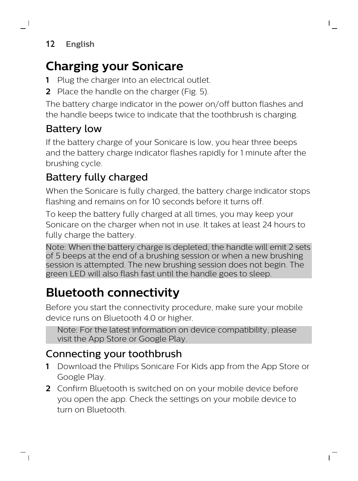#### 12 **English**

 $\overline{\phantom{0}}$ 

 $\overline{1}$ 

## **Charging your Sonicare**

- **1** Plug the charger into an electrical outlet.
- **2** Place the handle on the charger (Fig. 5).

The battery charge indicator in the power on/off button flashes and the handle beeps twice to indicate that the toothbrush is charging.

 $\mathsf{L}$ 

 $\mathbf{L}$ 

### Battery low

If the battery charge of your Sonicare is low, you hear three beeps and the battery charge indicator flashes rapidly for 1 minute after the brushing cycle.

### Battery fully charged

When the Sonicare is fully charged, the battery charge indicator stops flashing and remains on for 10 seconds before it turns off.

To keep the battery fully charged at all times, you may keep your Sonicare on the charger when not in use. It takes at least 24 hours to fully charge the battery.

Note: When the battery charge is depleted, the handle will emit 2 sets of 5 beeps at the end of a brushing session or when a new brushing session is attempted. The new brushing session does not begin. The green LED will also flash fast until the handle goes to sleep.

# **Bluetooth connectivity**

Before you start the connectivity procedure, make sure your mobile device runs on Bluetooth 4.0 or higher.

Note: For the latest information on device compatibility, please visit the App Store or Google Play.

### Connecting your toothbrush

- **1** Download the Philips Sonicare For Kids app from the App Store or Google Play.
- **2** Confirm Bluetooth is switched on on your mobile device before you open the app. Check the settings on your mobile device to turn on Bluetooth.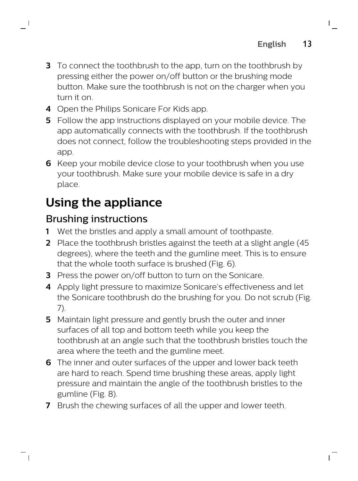$\mathbf{I}$ 

 $\mathbf{L}$ 

- **3** To connect the toothbrush to the app, turn on the toothbrush by pressing either the power on/off button or the brushing mode button. Make sure the toothbrush is not on the charger when you turn it on.
- **4** Open the Philips Sonicare For Kids app.
- **5** Follow the app instructions displayed on your mobile device. The app automatically connects with the toothbrush. If the toothbrush does not connect, follow the troubleshooting steps provided in the app.
- **6** Keep your mobile device close to your toothbrush when you use your toothbrush. Make sure your mobile device is safe in a dry place.

# **Using the appliance**

#### Brushing instructions

 $\overline{\phantom{a}}$ 

 $\blacksquare$ 

- **1** Wet the bristles and apply a small amount of toothpaste.
- **2** Place the toothbrush bristles against the teeth at a slight angle (45 degrees), where the teeth and the gumline meet. This is to ensure that the whole tooth surface is brushed (Fig. 6).
- **3** Press the power on/off button to turn on the Sonicare.
- **4** Apply light pressure to maximize Sonicare's effectiveness and let the Sonicare toothbrush do the brushing for you. Do not scrub (Fig. 7).
- **5** Maintain light pressure and gently brush the outer and inner surfaces of all top and bottom teeth while you keep the toothbrush at an angle such that the toothbrush bristles touch the area where the teeth and the gumline meet.
- **6** The inner and outer surfaces of the upper and lower back teeth are hard to reach. Spend time brushing these areas, apply light pressure and maintain the angle of the toothbrush bristles to the gumline (Fig. 8).
- **7** Brush the chewing surfaces of all the upper and lower teeth.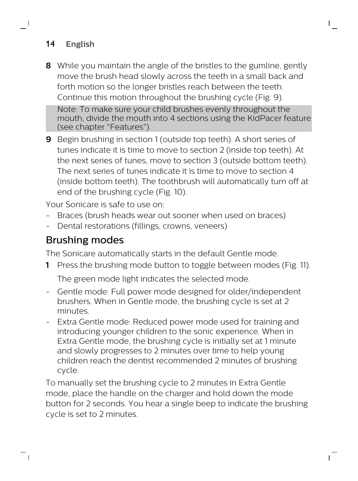#### 14 **English**

 $\overline{\phantom{0}}$ 

 $\overline{1}$ 

**8** While you maintain the angle of the bristles to the gumline, gently move the brush head slowly across the teeth in a small back and forth motion so the longer bristles reach between the teeth. Continue this motion throughout the brushing cycle (Fig. 9).

 $\mathsf{L}$ 

 $\mathbf{L}$ 

Note: To make sure your child brushes evenly throughout the mouth, divide the mouth into 4 sections using the KidPacer feature (see chapter "Features").

**9** Begin brushing in section 1 (outside top teeth). A short series of tunes indicate it is time to move to section 2 (inside top teeth). At the next series of tunes, move to section 3 (outside bottom teeth). The next series of tunes indicate it is time to move to section 4 (inside bottom teeth). The toothbrush will automatically turn off at end of the brushing cycle (Fig. 10).

Your Sonicare is safe to use on:

- Braces (brush heads wear out sooner when used on braces)
- Dental restorations (fillings, crowns, veneers)

#### Brushing modes

The Sonicare automatically starts in the default Gentle mode.

**1** Press the brushing mode button to toggle between modes (Fig. 11).

The green mode light indicates the selected mode.

- Gentle mode: Full power mode designed for older/independent brushers. When in Gentle mode, the brushing cycle is set at 2 minutes.
- Extra Gentle mode: Reduced power mode used for training and introducing younger children to the sonic experience. When in Extra Gentle mode, the brushing cycle is initially set at 1 minute and slowly progresses to 2 minutes over time to help young children reach the dentist recommended 2 minutes of brushing cycle.

To manually set the brushing cycle to 2 minutes in Extra Gentle mode, place the handle on the charger and hold down the mode button for 2 seconds. You hear a single beep to indicate the brushing cycle is set to 2 minutes.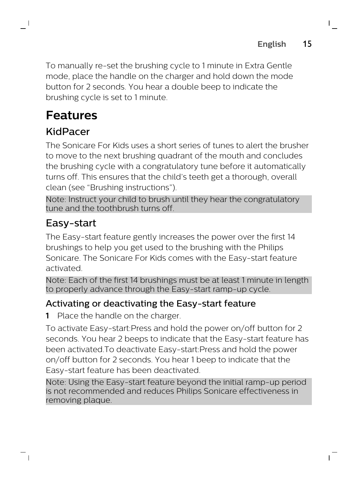$\mathsf{L}$ 

 $\mathbf{L}$ 

To manually re-set the brushing cycle to 1 minute in Extra Gentle mode, place the handle on the charger and hold down the mode button for 2 seconds. You hear a double beep to indicate the brushing cycle is set to 1 minute.

# **Features**

### KidPacer

 $\overline{\phantom{a}}$ 

 $\overline{1}$ 

The Sonicare For Kids uses a short series of tunes to alert the brusher to move to the next brushing quadrant of the mouth and concludes the brushing cycle with a congratulatory tune before it automatically turns off. This ensures that the child's teeth get a thorough, overall clean (see "Brushing instructions").

Note: Instruct your child to brush until they hear the congratulatory tune and the toothbrush turns off.

### Easy-start

The Easy-start feature gently increases the power over the first 14 brushings to help you get used to the brushing with the Philips Sonicare. The Sonicare For Kids comes with the Easy-start feature activated.

Note: Each of the first 14 brushings must be at least 1 minute in length to properly advance through the Easy-start ramp-up cycle.

#### Activating or deactivating the Easy-start feature

**1** Place the handle on the charger.

To activate Easy-start:Press and hold the power on/off button for 2 seconds. You hear 2 beeps to indicate that the Easy-start feature has been activated.To deactivate Easy-start:Press and hold the power on/off button for 2 seconds. You hear 1 beep to indicate that the Easy-start feature has been deactivated.

Note: Using the Easy-start feature beyond the initial ramp-up period is not recommended and reduces Philips Sonicare effectiveness in removing plaque.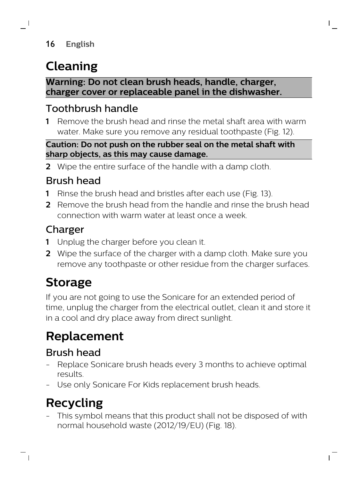#### 16 **English**

 $\overline{\phantom{0}}$ 

## **Cleaning**

#### **Warning: Do not clean brush heads, handle, charger, charger cover or replaceable panel in the dishwasher.**

#### Toothbrush handle

**1** Remove the brush head and rinse the metal shaft area with warm water. Make sure you remove any residual toothpaste (Fig. 12).

 $\mathsf{L}$ 

 $\mathbf{L}$ 

#### **Caution: Do not push on the rubber seal on the metal shaft with sharp objects, as this may cause damage.**

**2** Wipe the entire surface of the handle with a damp cloth.

#### Brush head

- **1** Rinse the brush head and bristles after each use (Fig. 13).
- **2** Remove the brush head from the handle and rinse the brush head connection with warm water at least once a week.

#### Charger

- **1** Unplug the charger before you clean it.
- **2** Wipe the surface of the charger with a damp cloth. Make sure you remove any toothpaste or other residue from the charger surfaces.

# **Storage**

If you are not going to use the Sonicare for an extended period of time, unplug the charger from the electrical outlet, clean it and store it in a cool and dry place away from direct sunlight.

# **Replacement**

### Brush head

- Replace Sonicare brush heads every 3 months to achieve optimal results.
- Use only Sonicare For Kids replacement brush heads.

# **Recycling**

 $\overline{1}$ 

- This symbol means that this product shall not be disposed of with normal household waste (2012/19/EU) (Fig. 18).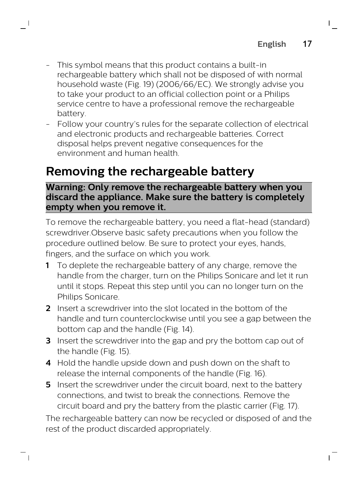$\mathsf{L}$ 

 $\mathbf{L}$ 

- This symbol means that this product contains a built-in rechargeable battery which shall not be disposed of with normal household waste (Fig. 19) (2006/66/EC). We strongly advise you to take your product to an official collection point or a Philips service centre to have a professional remove the rechargeable battery.
- Follow your country's rules for the separate collection of electrical and electronic products and rechargeable batteries. Correct disposal helps prevent negative consequences for the environment and human health.

## **Removing the rechargeable battery**

 $\overline{\phantom{a}}$ 

 $\blacksquare$ 

#### **Warning: Only remove the rechargeable battery when you discard the appliance. Make sure the battery is completely empty when you remove it.**

To remove the rechargeable battery, you need a flat-head (standard) screwdriver.Observe basic safety precautions when you follow the procedure outlined below. Be sure to protect your eyes, hands, fingers, and the surface on which you work.

- **1** To deplete the rechargeable battery of any charge, remove the handle from the charger, turn on the Philips Sonicare and let it run until it stops. Repeat this step until you can no longer turn on the Philips Sonicare.
- **2** Insert a screwdriver into the slot located in the bottom of the handle and turn counterclockwise until you see a gap between the bottom cap and the handle (Fig. 14).
- **3** Insert the screwdriver into the gap and pry the bottom cap out of the handle (Fig. 15).
- **4** Hold the handle upside down and push down on the shaft to release the internal components of the handle (Fig. 16).
- **5** Insert the screwdriver under the circuit board, next to the battery connections, and twist to break the connections. Remove the circuit board and pry the battery from the plastic carrier (Fig. 17).

The rechargeable battery can now be recycled or disposed of and the rest of the product discarded appropriately.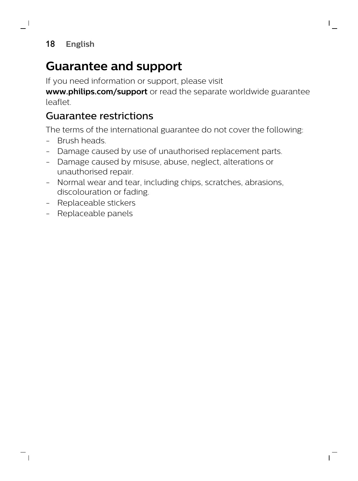#### 18 **English**

 $\mathcal{A}$ 

 $\overline{\phantom{a}}$ 

### **Guarantee and support**

If you need information or support, please visit

**www.philips.com/support** or read the separate worldwide guarantee leaflet.

 $\mathbf{I}$ 

 $\mathbf{L}$ 

#### Guarantee restrictions

The terms of the international guarantee do not cover the following:

- Brush heads.
- Damage caused by use of unauthorised replacement parts.
- Damage caused by misuse, abuse, neglect, alterations or unauthorised repair.
- Normal wear and tear, including chips, scratches, abrasions, discolouration or fading.
- Replaceable stickers
- Replaceable panels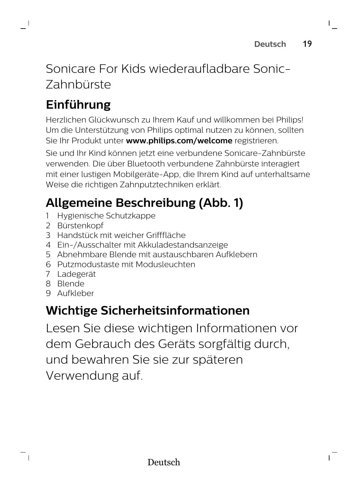$\mathbf{I}$ 

 $\mathbf{L}$ 

# Sonicare For Kids wiederaufladbare Sonic-Zahnbürste

# **Einführung**

<span id="page-18-0"></span> $\overline{\phantom{a}}$ 

Herzlichen Glückwunsch zu Ihrem Kauf und willkommen bei Philips! Um die Unterstützung von Philips optimal nutzen zu können, sollten Sie Ihr Produkt unter **www.philips.com/welcome** registrieren. Sie und Ihr Kind können jetzt eine verbundene Sonicare-Zahnbürste verwenden. Die über Bluetooth verbundene Zahnbürste interagiert mit einer lustigen Mobilgeräte-App, die Ihrem Kind auf unterhaltsame Weise die richtigen Zahnputztechniken erklärt.

# **Allgemeine Beschreibung (Abb. 1)**

- 1 Hygienische Schutzkappe
- 2 Bürstenkopf
- 3 Handstück mit weicher Grifffläche
- 4 Ein-/Ausschalter mit Akkuladestandsanzeige
- 5 Abnehmbare Blende mit austauschbaren Aufklebern
- 6 Putzmodustaste mit Modusleuchten
- 7 Ladegerät
- 8 Blende

 $\blacksquare$ 

9 Aufkleber

# **Wichtige Sicherheitsinformationen**

Lesen Sie diese wichtigen Informationen vor dem Gebrauch des Geräts sorgfältig durch, und bewahren Sie sie zur späteren Verwendung auf.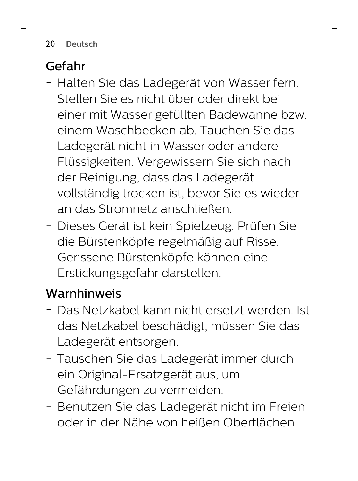#### 20 **Deutsch**

## Gefahr

 $\mathcal{A}$ 

٦.

- Halten Sie das Ladegerät von Wasser fern. Stellen Sie es nicht über oder direkt bei einer mit Wasser gefüllten Badewanne bzw. einem Waschbecken ab. Tauchen Sie das Ladegerät nicht in Wasser oder andere Flüssigkeiten. Vergewissern Sie sich nach der Reinigung, dass das Ladegerät vollständig trocken ist, bevor Sie es wieder an das Stromnetz anschließen.

 $\mathbf{L}$ 

 $\mathbf{L}$ 

- Dieses Gerät ist kein Spielzeug. Prüfen Sie die Bürstenköpfe regelmäßig auf Risse. Gerissene Bürstenköpfe können eine Erstickungsgefahr darstellen.

## **Warnhinweis**

- Das Netzkabel kann nicht ersetzt werden. Ist das Netzkabel beschädigt, müssen Sie das Ladegerät entsorgen.
- Tauschen Sie das Ladegerät immer durch ein Original-Ersatzgerät aus, um Gefährdungen zu vermeiden.
- Benutzen Sie das Ladegerät nicht im Freien oder in der Nähe von heißen Oberflächen.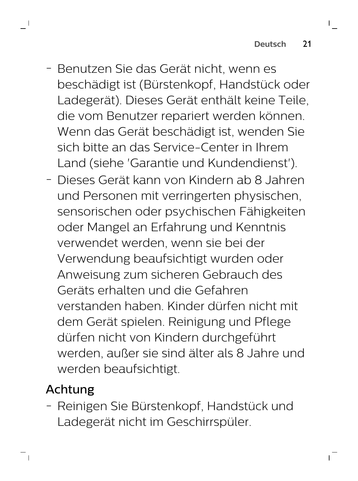$\mathbf{I}$ 

 $\mathbf{L}$ 

- Benutzen Sie das Gerät nicht, wenn es beschädigt ist (Bürstenkopf, Handstück oder Ladegerät). Dieses Gerät enthält keine Teile, die vom Benutzer repariert werden können. Wenn das Gerät beschädigt ist, wenden Sie sich bitte an das Service-Center in Ihrem Land (siehe 'Garantie und Kundendienst').
- Dieses Gerät kann von Kindern ab 8 Jahren und Personen mit verringerten physischen, sensorischen oder psychischen Fähigkeiten oder Mangel an Erfahrung und Kenntnis verwendet werden, wenn sie bei der Verwendung beaufsichtigt wurden oder Anweisung zum sicheren Gebrauch des Geräts erhalten und die Gefahren verstanden haben. Kinder dürfen nicht mit dem Gerät spielen. Reinigung und Pflege dürfen nicht von Kindern durchgeführt werden, außer sie sind älter als 8 Jahre und werden beaufsichtigt.

# Achtung

 $\blacksquare$ 

 $\overline{\phantom{a}}$ 

- Reinigen Sie Bürstenkopf, Handstück und Ladegerät nicht im Geschirrspüler.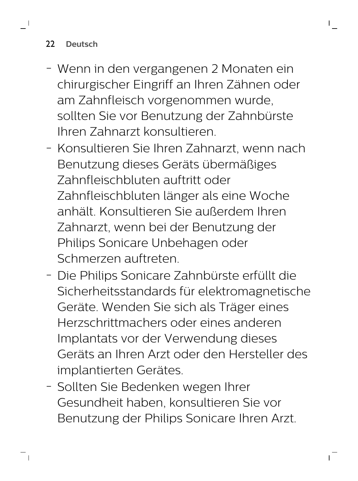#### 22 **Deutsch**

 $\overline{\phantom{0}}$ 

 $=$ <sub>1</sub>

- Wenn in den vergangenen 2 Monaten ein chirurgischer Eingriff an Ihren Zähnen oder am Zahnfleisch vorgenommen wurde, sollten Sie vor Benutzung der Zahnbürste Ihren Zahnarzt konsultieren.

 $\mathbf{L}$ 

 $\mathbf{1}^{\top}$ 

- Konsultieren Sie Ihren Zahnarzt, wenn nach Benutzung dieses Geräts übermäßiges Zahnfleischbluten auftritt oder Zahnfleischbluten länger als eine Woche anhält. Konsultieren Sie außerdem Ihren Zahnarzt, wenn bei der Benutzung der Philips Sonicare Unbehagen oder Schmerzen auftreten.
- Die Philips Sonicare Zahnbürste erfüllt die Sicherheitsstandards für elektromagnetische Geräte. Wenden Sie sich als Träger eines Herzschrittmachers oder eines anderen Implantats vor der Verwendung dieses Geräts an Ihren Arzt oder den Hersteller des implantierten Gerätes.
- Sollten Sie Bedenken wegen Ihrer Gesundheit haben, konsultieren Sie vor Benutzung der Philips Sonicare Ihren Arzt.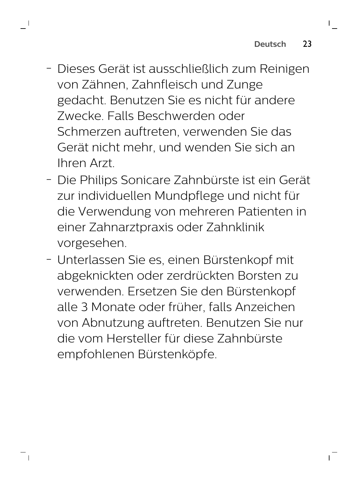$\mathbf{L}$ 

 $\mathbf{L}$ 

- Dieses Gerät ist ausschließlich zum Reinigen von Zähnen, Zahnfleisch und Zunge gedacht. Benutzen Sie es nicht für andere Zwecke. Falls Beschwerden oder Schmerzen auftreten, verwenden Sie das Gerät nicht mehr, und wenden Sie sich an Ihren Arzt.

 $\overline{\phantom{0}}$ 

 $\blacksquare$ 

- Die Philips Sonicare Zahnbürste ist ein Gerät zur individuellen Mundpflege und nicht für die Verwendung von mehreren Patienten in einer Zahnarztpraxis oder Zahnklinik vorgesehen.
- Unterlassen Sie es, einen Bürstenkopf mit abgeknickten oder zerdrückten Borsten zu verwenden. Ersetzen Sie den Bürstenkopf alle 3 Monate oder früher, falls Anzeichen von Abnutzung auftreten. Benutzen Sie nur die vom Hersteller für diese Zahnbürste empfohlenen Bürstenköpfe.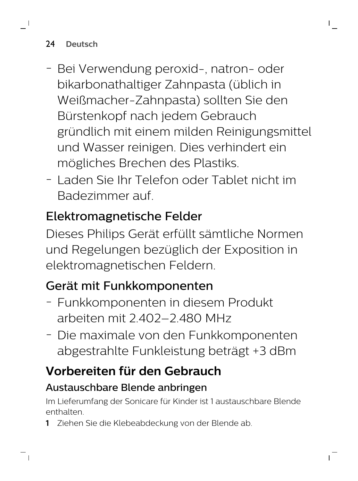#### 24 **Deutsch**

 $\blacksquare$ 

٦.

- Bei Verwendung peroxid-, natron- oder bikarbonathaltiger Zahnpasta (üblich in Weißmacher-Zahnpasta) sollten Sie den Bürstenkopf nach jedem Gebrauch gründlich mit einem milden Reinigungsmittel und Wasser reinigen. Dies verhindert ein mögliches Brechen des Plastiks.

 $\mathbf{I}$ 

 $\mathbf{L}$ 

- Laden Sie Ihr Telefon oder Tablet nicht im Badezimmer auf.

## Elektromagnetische Felder

Dieses Philips Gerät erfüllt sämtliche Normen und Regelungen bezüglich der Exposition in elektromagnetischen Feldern.

## Gerät mit Funkkomponenten

- Funkkomponenten in diesem Produkt arbeiten mit 2.402–2.480 MHz
- Die maximale von den Funkkomponenten abgestrahlte Funkleistung beträgt +3 dBm

# **Vorbereiten für den Gebrauch**

### Austauschbare Blende anbringen

Im Lieferumfang der Sonicare für Kinder ist 1 austauschbare Blende enthalten.

**1** Ziehen Sie die Klebeabdeckung von der Blende ab.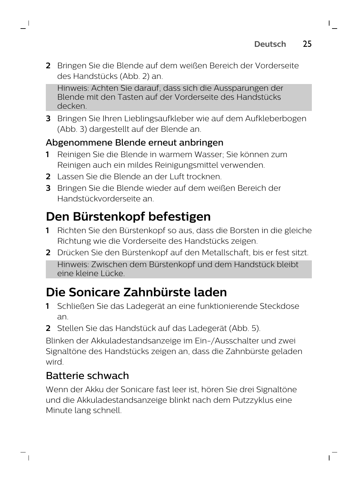$\mathsf{L}$ 

 $\mathbf{L}$ 

**2** Bringen Sie die Blende auf dem weißen Bereich der Vorderseite des Handstücks (Abb. 2) an.

Hinweis: Achten Sie darauf, dass sich die Aussparungen der Blende mit den Tasten auf der Vorderseite des Handstücks decken.

**3** Bringen Sie Ihren Lieblingsaufkleber wie auf dem Aufkleberbogen (Abb. 3) dargestellt auf der Blende an.

#### Abgenommene Blende erneut anbringen

- **1** Reinigen Sie die Blende in warmem Wasser; Sie können zum Reinigen auch ein mildes Reinigungsmittel verwenden.
- **2** Lassen Sie die Blende an der Luft trocknen.
- **3** Bringen Sie die Blende wieder auf dem weißen Bereich der Handstückvorderseite an.

## **Den Bürstenkopf befestigen**

- **1** Richten Sie den Bürstenkopf so aus, dass die Borsten in die gleiche Richtung wie die Vorderseite des Handstücks zeigen.
- **2** Drücken Sie den Bürstenkopf auf den Metallschaft, bis er fest sitzt. Hinweis: Zwischen dem Bürstenkopf und dem Handstück bleibt eine kleine Lücke.

# **Die Sonicare Zahnbürste laden**

- **1** Schließen Sie das Ladegerät an eine funktionierende Steckdose an.
- **2** Stellen Sie das Handstück auf das Ladegerät (Abb. 5).

Blinken der Akkuladestandsanzeige im Ein-/Ausschalter und zwei Signaltöne des Handstücks zeigen an, dass die Zahnbürste geladen wird.

### Batterie schwach

 $\blacksquare$ 

 $\overline{\phantom{a}}$ 

Wenn der Akku der Sonicare fast leer ist, hören Sie drei Signaltöne und die Akkuladestandsanzeige blinkt nach dem Putzzyklus eine Minute lang schnell.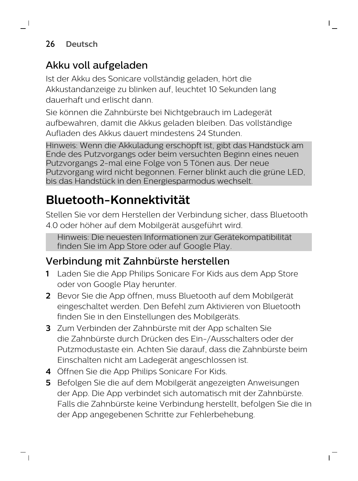#### 26 **Deutsch**

 $\overline{\phantom{0}}$ 

 $\blacksquare$ 

### Akku voll aufgeladen

Ist der Akku des Sonicare vollständig geladen, hört die Akkustandanzeige zu blinken auf, leuchtet 10 Sekunden lang dauerhaft und erlischt dann.

Sie können die Zahnbürste bei Nichtgebrauch im Ladegerät aufbewahren, damit die Akkus geladen bleiben. Das vollständige Aufladen des Akkus dauert mindestens 24 Stunden.

 $\mathsf{L}$ 

 $\mathbf{L}$ 

Hinweis: Wenn die Akkuladung erschöpft ist, gibt das Handstück am Ende des Putzvorgangs oder beim versuchten Beginn eines neuen Putzvorgangs 2-mal eine Folge von 5 Tönen aus. Der neue Putzvorgang wird nicht begonnen. Ferner blinkt auch die grüne LED, bis das Handstück in den Energiesparmodus wechselt.

# **Bluetooth-Konnektivität**

Stellen Sie vor dem Herstellen der Verbindung sicher, dass Bluetooth 4.0 oder höher auf dem Mobilgerät ausgeführt wird.

Hinweis: Die neuesten Informationen zur Gerätekompatibilität finden Sie im App Store oder auf Google Play.

### Verbindung mit Zahnbürste herstellen

- **1** Laden Sie die App Philips Sonicare For Kids aus dem App Store oder von Google Play herunter.
- **2** Bevor Sie die App öffnen, muss Bluetooth auf dem Mobilgerät eingeschaltet werden. Den Befehl zum Aktivieren von Bluetooth finden Sie in den Einstellungen des Mobilgeräts.
- **3** Zum Verbinden der Zahnbürste mit der App schalten Sie die Zahnbürste durch Drücken des Ein-/Ausschalters oder der Putzmodustaste ein. Achten Sie darauf, dass die Zahnbürste beim Einschalten nicht am Ladegerät angeschlossen ist.
- **4** Öffnen Sie die App Philips Sonicare For Kids.
- **5** Befolgen Sie die auf dem Mobilgerät angezeigten Anweisungen der App. Die App verbindet sich automatisch mit der Zahnbürste. Falls die Zahnbürste keine Verbindung herstellt, befolgen Sie die in der App angegebenen Schritte zur Fehlerbehebung.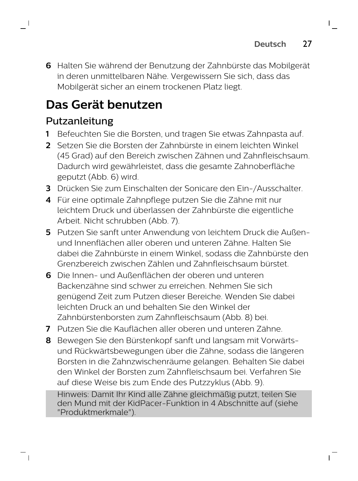$\mathbf{I}$ 

 $\mathbf{L}$ 

**6** Halten Sie während der Benutzung der Zahnbürste das Mobilgerät in deren unmittelbaren Nähe. Vergewissern Sie sich, dass das Mobilgerät sicher an einem trockenen Platz liegt.

# **Das Gerät benutzen**

### Putzanleitung

 $\overline{\phantom{a}}$ 

 $\blacksquare$ 

- **1** Befeuchten Sie die Borsten, und tragen Sie etwas Zahnpasta auf.
- **2** Setzen Sie die Borsten der Zahnbürste in einem leichten Winkel (45 Grad) auf den Bereich zwischen Zähnen und Zahnfleischsaum. Dadurch wird gewährleistet, dass die gesamte Zahnoberfläche geputzt (Abb. 6) wird.
- **3** Drücken Sie zum Einschalten der Sonicare den Ein-/Ausschalter.
- **4** Für eine optimale Zahnpflege putzen Sie die Zähne mit nur leichtem Druck und überlassen der Zahnbürste die eigentliche Arbeit. Nicht schrubben (Abb. 7).
- **5** Putzen Sie sanft unter Anwendung von leichtem Druck die Außenund Innenflächen aller oberen und unteren Zähne. Halten Sie dabei die Zahnbürste in einem Winkel, sodass die Zahnbürste den Grenzbereich zwischen Zählen und Zahnfleischsaum bürstet.
- **6** Die Innen- und Außenflächen der oberen und unteren Backenzähne sind schwer zu erreichen. Nehmen Sie sich genügend Zeit zum Putzen dieser Bereiche. Wenden Sie dabei leichten Druck an und behalten Sie den Winkel der Zahnbürstenborsten zum Zahnfleischsaum (Abb. 8) bei.
- **7** Putzen Sie die Kauflächen aller oberen und unteren Zähne.
- **8** Bewegen Sie den Bürstenkopf sanft und langsam mit Vorwärtsund Rückwärtsbewegungen über die Zähne, sodass die längeren Borsten in die Zahnzwischenräume gelangen. Behalten Sie dabei den Winkel der Borsten zum Zahnfleischsaum bei. Verfahren Sie auf diese Weise bis zum Ende des Putzzyklus (Abb. 9).

Hinweis: Damit Ihr Kind alle Zähne gleichmäßig putzt, teilen Sie den Mund mit der KidPacer-Funktion in 4 Abschnitte auf (siehe "Produktmerkmale").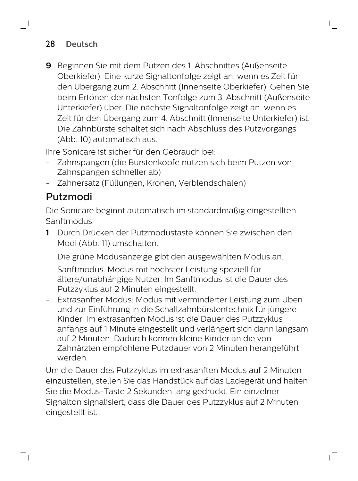#### 28 **Deutsch**

 $\overline{\phantom{0}}$ 

 $\blacksquare$ 

**9** Beginnen Sie mit dem Putzen des 1. Abschnittes (Außenseite Oberkiefer). Eine kurze Signaltonfolge zeigt an, wenn es Zeit für den Übergang zum 2. Abschnitt (Innenseite Oberkiefer). Gehen Sie beim Ertönen der nächsten Tonfolge zum 3. Abschnitt (Außenseite Unterkiefer) über. Die nächste Signaltonfolge zeigt an, wenn es Zeit für den Übergang zum 4. Abschnitt (Innenseite Unterkiefer) ist. Die Zahnbürste schaltet sich nach Abschluss des Putzvorgangs (Abb. 10) automatisch aus.

 $\mathsf{L}$ 

 $\mathbf{L}$ 

Ihre Sonicare ist sicher für den Gebrauch bei:

- Zahnspangen (die Bürstenköpfe nutzen sich beim Putzen von Zahnspangen schneller ab)
- Zahnersatz (Füllungen, Kronen, Verblendschalen)

#### Putzmodi

Die Sonicare beginnt automatisch im standardmäßig eingestellten Sanftmodus.

**1** Durch Drücken der Putzmodustaste können Sie zwischen den Modi (Abb. 11) umschalten.

Die grüne Modusanzeige gibt den ausgewählten Modus an.

- Sanftmodus: Modus mit höchster Leistung speziell für ältere/unabhängige Nutzer. Im Sanftmodus ist die Dauer des Putzzyklus auf 2 Minuten eingestellt.
- Extrasanfter Modus: Modus mit verminderter Leistung zum Üben und zur Einführung in die Schallzahnbürstentechnik für jüngere Kinder. Im extrasanften Modus ist die Dauer des Putzzyklus anfangs auf 1 Minute eingestellt und verlängert sich dann langsam auf 2 Minuten. Dadurch können kleine Kinder an die von Zahnärzten empfohlene Putzdauer von 2 Minuten herangeführt werden.

Um die Dauer des Putzzyklus im extrasanften Modus auf 2 Minuten einzustellen, stellen Sie das Handstück auf das Ladegerät und halten Sie die Modus-Taste 2 Sekunden lang gedrückt. Ein einzelner Signalton signalisiert, dass die Dauer des Putzzyklus auf 2 Minuten eingestellt ist.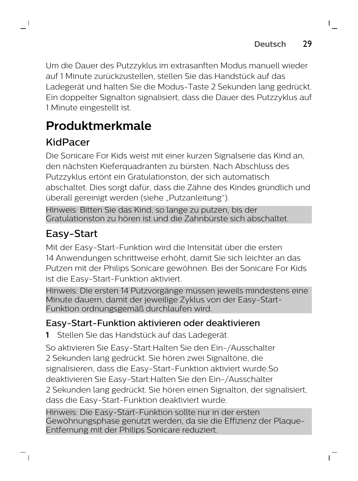$\mathsf{L}$ 

 $\mathbf{L}$ 

Um die Dauer des Putzzyklus im extrasanften Modus manuell wieder auf 1 Minute zurückzustellen, stellen Sie das Handstück auf das Ladegerät und halten Sie die Modus-Taste 2 Sekunden lang gedrückt. Ein doppelter Signalton signalisiert, dass die Dauer des Putzzyklus auf 1 Minute eingestellt ist.

# **Produktmerkmale**

### KidPacer

 $\blacksquare$ 

 $\blacksquare$ 

Die Sonicare For Kids weist mit einer kurzen Signalserie das Kind an, den nächsten Kieferquadranten zu bürsten. Nach Abschluss des Putzzyklus ertönt ein Gratulationston, der sich automatisch abschaltet. Dies sorgt dafür, dass die Zähne des Kindes gründlich und überall gereinigt werden (siehe "Putzanleitung").

Hinweis: Bitten Sie das Kind, so lange zu putzen, bis der Gratulationston zu hören ist und die Zahnbürste sich abschaltet.

### Easy-Start

Mit der Easy-Start-Funktion wird die Intensität über die ersten 14 Anwendungen schrittweise erhöht, damit Sie sich leichter an das Putzen mit der Philips Sonicare gewöhnen. Bei der Sonicare For Kids ist die Easy-Start-Funktion aktiviert.

Hinweis: Die ersten 14 Putzvorgänge müssen jeweils mindestens eine Minute dauern, damit der jeweilige Zyklus von der Easy-Start-Funktion ordnungsgemäß durchlaufen wird.

#### Easy-Start-Funktion aktivieren oder deaktivieren

**1** Stellen Sie das Handstück auf das Ladegerät.

So aktivieren Sie Easy-Start:Halten Sie den Ein-/Ausschalter 2 Sekunden lang gedrückt. Sie hören zwei Signaltöne, die signalisieren, dass die Easy-Start-Funktion aktiviert wurde.So deaktivieren Sie Easy-Start:Halten Sie den Ein-/Ausschalter 2 Sekunden lang gedrückt. Sie hören einen Signalton, der signalisiert, dass die Easy-Start-Funktion deaktiviert wurde.

Hinweis: Die Easy-Start-Funktion sollte nur in der ersten Gewöhnungsphase genutzt werden, da sie die Effizienz der Plaque-Entfernung mit der Philips Sonicare reduziert.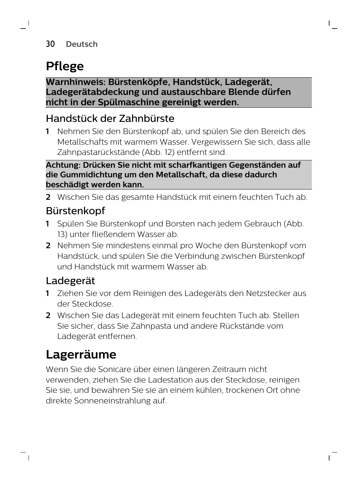#### 30 **Deutsch**

## **Pflege**

 $\overline{\phantom{a}}$ 

**Warnhinweis: Bürstenköpfe, Handstück, Ladegerät, Ladegerätabdeckung und austauschbare Blende dürfen nicht in der Spülmaschine gereinigt werden.**

 $\mathsf{L}$ 

 $\mathbf{L}$ 

#### Handstück der Zahnbürste

**1** Nehmen Sie den Bürstenkopf ab, und spülen Sie den Bereich des Metallschafts mit warmem Wasser. Vergewissern Sie sich, dass alle Zahnpastarückstände (Abb. 12) entfernt sind.

**Achtung: Drücken Sie nicht mit scharfkantigen Gegenständen auf die Gummidichtung um den Metallschaft, da diese dadurch beschädigt werden kann.**

**2** Wischen Sie das gesamte Handstück mit einem feuchten Tuch ab.

#### Bürstenkopf

- **1** Spülen Sie Bürstenkopf und Borsten nach jedem Gebrauch (Abb. 13) unter fließendem Wasser ab.
- **2** Nehmen Sie mindestens einmal pro Woche den Bürstenkopf vom Handstück, und spülen Sie die Verbindung zwischen Bürstenkopf und Handstück mit warmem Wasser ab.

#### Ladegerät

- **1** Ziehen Sie vor dem Reinigen des Ladegeräts den Netzstecker aus der Steckdose.
- **2** Wischen Sie das Ladegerät mit einem feuchten Tuch ab. Stellen Sie sicher, dass Sie Zahnpasta und andere Rückstände vom Ladegerät entfernen.

## **Lagerräume**

 $\blacksquare$ 

Wenn Sie die Sonicare über einen längeren Zeitraum nicht verwenden, ziehen Sie die Ladestation aus der Steckdose, reinigen Sie sie, und bewahren Sie sie an einem kühlen, trockenen Ort ohne direkte Sonneneinstrahlung auf.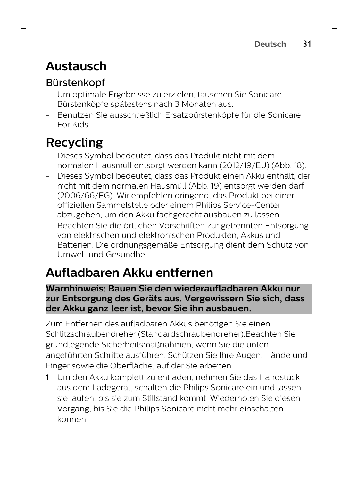# **Austausch**

 $\overline{\phantom{a}}$ 

 $\blacksquare$ 

### Bürstenkopf

- Um optimale Ergebnisse zu erzielen, tauschen Sie Sonicare Bürstenköpfe spätestens nach 3 Monaten aus.
- Benutzen Sie ausschließlich Ersatzbürstenköpfe für die Sonicare For Kids.

# **Recycling**

- Dieses Symbol bedeutet, dass das Produkt nicht mit dem normalen Hausmüll entsorgt werden kann (2012/19/EU) (Abb. 18).
- Dieses Symbol bedeutet, dass das Produkt einen Akku enthält, der nicht mit dem normalen Hausmüll (Abb. 19) entsorgt werden darf (2006/66/EG). Wir empfehlen dringend, das Produkt bei einer offiziellen Sammelstelle oder einem Philips Service-Center abzugeben, um den Akku fachgerecht ausbauen zu lassen.
- Beachten Sie die örtlichen Vorschriften zur getrennten Entsorgung von elektrischen und elektronischen Produkten, Akkus und Batterien. Die ordnungsgemäße Entsorgung dient dem Schutz von Umwelt und Gesundheit.

# **Aufladbaren Akku entfernen**

#### **Warnhinweis: Bauen Sie den wiederaufladbaren Akku nur zur Entsorgung des Geräts aus. Vergewissern Sie sich, dass der Akku ganz leer ist, bevor Sie ihn ausbauen.**

Zum Entfernen des aufladbaren Akkus benötigen Sie einen Schlitzschraubendreher (Standardschraubendreher).Beachten Sie grundlegende Sicherheitsmaßnahmen, wenn Sie die unten angeführten Schritte ausführen. Schützen Sie Ihre Augen, Hände und Finger sowie die Oberfläche, auf der Sie arbeiten.

**1** Um den Akku komplett zu entladen, nehmen Sie das Handstück aus dem Ladegerät, schalten die Philips Sonicare ein und lassen sie laufen, bis sie zum Stillstand kommt. Wiederholen Sie diesen Vorgang, bis Sie die Philips Sonicare nicht mehr einschalten können.

 $\mathsf{L}$ 

 $\mathbf{L}$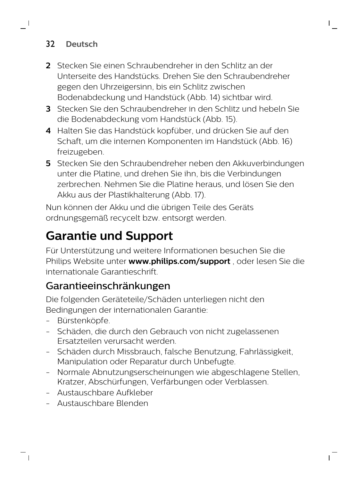#### 32 **Deutsch**

 $\overline{\phantom{0}}$ 

**2** Stecken Sie einen Schraubendreher in den Schlitz an der Unterseite des Handstücks. Drehen Sie den Schraubendreher gegen den Uhrzeigersinn, bis ein Schlitz zwischen Bodenabdeckung und Handstück (Abb. 14) sichtbar wird.

 $\mathsf{L}$ 

 $\mathbf{L}$ 

- **3** Stecken Sie den Schraubendreher in den Schlitz und hebeln Sie die Bodenabdeckung vom Handstück (Abb. 15).
- **4** Halten Sie das Handstück kopfüber, und drücken Sie auf den Schaft, um die internen Komponenten im Handstück (Abb. 16) freizugeben.
- **5** Stecken Sie den Schraubendreher neben den Akkuverbindungen unter die Platine, und drehen Sie ihn, bis die Verbindungen zerbrechen. Nehmen Sie die Platine heraus, und lösen Sie den Akku aus der Plastikhalterung (Abb. 17).

Nun können der Akku und die übrigen Teile des Geräts ordnungsgemäß recycelt bzw. entsorgt werden.

# **Garantie und Support**

Für Unterstützung und weitere Informationen besuchen Sie die Philips Website unter **www.philips.com/support** , oder lesen Sie die internationale Garantieschrift.

### Garantieeinschränkungen

Die folgenden Geräteteile/Schäden unterliegen nicht den Bedingungen der internationalen Garantie:

- Bürstenköpfe.

 $\overline{1}$ 

- Schäden, die durch den Gebrauch von nicht zugelassenen Ersatzteilen verursacht werden.
- Schäden durch Missbrauch, falsche Benutzung, Fahrlässigkeit, Manipulation oder Reparatur durch Unbefugte.
- Normale Abnutzungserscheinungen wie abgeschlagene Stellen, Kratzer, Abschürfungen, Verfärbungen oder Verblassen.
- Austauschbare Aufkleber
- Austauschbare Blenden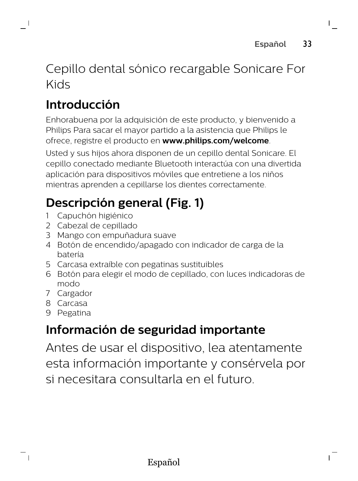$\mathbf{I}$ 

 $\mathbf{L}$ 

# Cepillo dental sónico recargable Sonicare For Kids

# **Introducción**

<span id="page-32-0"></span> $\overline{\phantom{a}}$ 

Enhorabuena por la adquisición de este producto, y bienvenido a Philips Para sacar el mayor partido a la asistencia que Philips le ofrece, registre el producto en **www.philips.com/welcome**. Usted y sus hijos ahora disponen de un cepillo dental Sonicare. El cepillo conectado mediante Bluetooth interactúa con una divertida aplicación para dispositivos móviles que entretiene a los niños mientras aprenden a cepillarse los dientes correctamente.

# **Descripción general (Fig. 1)**

- 1 Capuchón higiénico
- 2 Cabezal de cepillado
- 3 Mango con empuñadura suave
- 4 Botón de encendido/apagado con indicador de carga de la batería
- 5 Carcasa extraíble con pegatinas sustituibles
- 6 Botón para elegir el modo de cepillado, con luces indicadoras de modo
- 7 Cargador
- 8 Carcasa
- 9 Pegatina

# **Información de seguridad importante**

Antes de usar el dispositivo, lea atentamente esta información importante y consérvela por si necesitara consultarla en el futuro.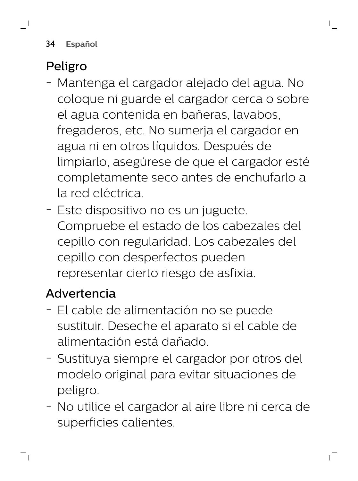#### 34 **Español**

## Peligro

 $\overline{\phantom{0}}$ 

 $=$ <sub>1</sub>

- Mantenga el cargador alejado del agua. No coloque ni guarde el cargador cerca o sobre el agua contenida en bañeras, lavabos, fregaderos, etc. No sumerja el cargador en agua ni en otros líquidos. Después de limpiarlo, asegúrese de que el cargador esté completamente seco antes de enchufarlo a la red eléctrica.

 $\mathsf{L}$ 

 $\mathbf{1}^{\top}$ 

- Este dispositivo no es un juguete. Compruebe el estado de los cabezales del cepillo con regularidad. Los cabezales del cepillo con desperfectos pueden representar cierto riesgo de asfixia.

## Advertencia

- El cable de alimentación no se puede sustituir. Deseche el aparato si el cable de alimentación está dañado.
- Sustituya siempre el cargador por otros del modelo original para evitar situaciones de peligro.
- No utilice el cargador al aire libre ni cerca de superficies calientes.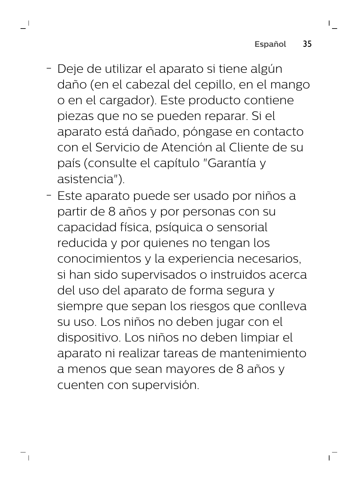$\mathbf{L}$ 

 $\mathbf{L}$ 

- Deje de utilizar el aparato si tiene algún daño (en el cabezal del cepillo, en el mango o en el cargador). Este producto contiene piezas que no se pueden reparar. Si el aparato está dañado, póngase en contacto con el Servicio de Atención al Cliente de su país (consulte el capítulo "Garantía y asistencia").

 $\overline{\phantom{0}}$ 

٦.

- Este aparato puede ser usado por niños a partir de 8 años y por personas con su capacidad física, psíquica o sensorial reducida y por quienes no tengan los conocimientos y la experiencia necesarios, si han sido supervisados o instruidos acerca del uso del aparato de forma segura y siempre que sepan los riesgos que conlleva su uso. Los niños no deben jugar con el dispositivo. Los niños no deben limpiar el aparato ni realizar tareas de mantenimiento a menos que sean mayores de 8 años y cuenten con supervisión.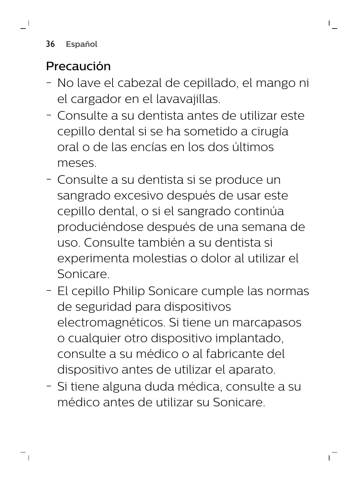36 **Español**

 $\blacksquare$ 

 $\overline{\phantom{a}}_1$ 

## Precaución

- No lave el cabezal de cepillado, el mango ni el cargador en el lavavajillas.

 $\mathbf{L}$ 

 $\mathbf{L}$ 

- Consulte a su dentista antes de utilizar este cepillo dental si se ha sometido a cirugía oral o de las encías en los dos últimos meses.
- Consulte a su dentista si se produce un sangrado excesivo después de usar este cepillo dental, o si el sangrado continúa produciéndose después de una semana de uso. Consulte también a su dentista si experimenta molestias o dolor al utilizar el Sonicare.
- El cepillo Philip Sonicare cumple las normas de seguridad para dispositivos electromagnéticos. Si tiene un marcapasos o cualquier otro dispositivo implantado, consulte a su médico o al fabricante del dispositivo antes de utilizar el aparato.
- Si tiene alguna duda médica, consulte a su médico antes de utilizar su Sonicare.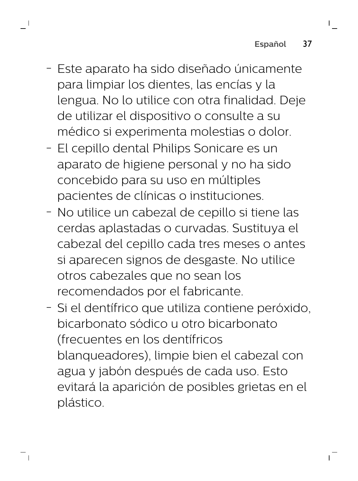$\mathbf{L}$ 

 $\mathbf{L}$ 

- Este aparato ha sido diseñado únicamente para limpiar los dientes, las encías y la lengua. No lo utilice con otra finalidad. Deje de utilizar el dispositivo o consulte a su médico si experimenta molestias o dolor.

 $\overline{\phantom{0}}$ 

٦.

- El cepillo dental Philips Sonicare es un aparato de higiene personal y no ha sido concebido para su uso en múltiples pacientes de clínicas o instituciones.
- No utilice un cabezal de cepillo si tiene las cerdas aplastadas o curvadas. Sustituya el cabezal del cepillo cada tres meses o antes si aparecen signos de desgaste. No utilice otros cabezales que no sean los recomendados por el fabricante.
- Si el dentífrico que utiliza contiene peróxido, bicarbonato sódico u otro bicarbonato (frecuentes en los dentífricos blanqueadores), limpie bien el cabezal con agua y jabón después de cada uso. Esto evitará la aparición de posibles grietas en el plástico.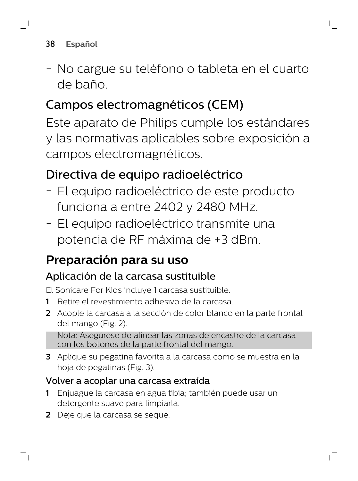#### 38 **Español**

 $\overline{\phantom{0}}$ 

 $\blacksquare$ 

- No cargue su teléfono o tableta en el cuarto de baño.

 $\mathsf{L}$ 

 $\mathbf{L}$ 

## Campos electromagnéticos (CEM)

Este aparato de Philips cumple los estándares y las normativas aplicables sobre exposición a campos electromagnéticos.

## Directiva de equipo radioeléctrico

- El equipo radioeléctrico de este producto funciona a entre 2402 y 2480 MHz.
- El equipo radioeléctrico transmite una potencia de RF máxima de +3 dBm.

## **Preparación para su uso**

### Aplicación de la carcasa sustituible

El Sonicare For Kids incluye 1 carcasa sustituible.

- **1** Retire el revestimiento adhesivo de la carcasa.
- **2** Acople la carcasa a la sección de color blanco en la parte frontal del mango (Fig. 2).

Nota: Asegúrese de alinear las zonas de encastre de la carcasa con los botones de la parte frontal del mango.

**3** Aplique su pegatina favorita a la carcasa como se muestra en la hoja de pegatinas (Fig. 3).

#### Volver a acoplar una carcasa extraída

- **1** Enjuague la carcasa en agua tibia; también puede usar un detergente suave para limpiarla.
- **2** Deje que la carcasa se seque.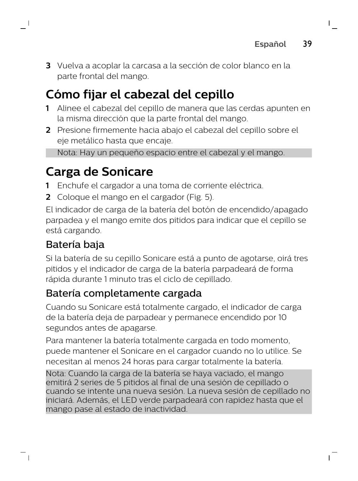$\mathsf{L}$ 

 $\mathbf{L}$ 

**3** Vuelva a acoplar la carcasa a la sección de color blanco en la parte frontal del mango.

## **Cómo fijar el cabezal del cepillo**

- **1** Alinee el cabezal del cepillo de manera que las cerdas apunten en la misma dirección que la parte frontal del mango.
- **2** Presione firmemente hacia abajo el cabezal del cepillo sobre el eje metálico hasta que encaje.

Nota: Hay un pequeño espacio entre el cabezal y el mango.

## **Carga de Sonicare**

- **1** Enchufe el cargador a una toma de corriente eléctrica.
- **2** Coloque el mango en el cargador (Fig. 5).

El indicador de carga de la batería del botón de encendido/apagado parpadea y el mango emite dos pitidos para indicar que el cepillo se está cargando.

## Batería baja

 $\overline{\phantom{a}}$ 

 $\blacksquare$ 

Si la batería de su cepillo Sonicare está a punto de agotarse, oirá tres pitidos y el indicador de carga de la batería parpadeará de forma rápida durante 1 minuto tras el ciclo de cepillado.

### Batería completamente cargada

Cuando su Sonicare está totalmente cargado, el indicador de carga de la batería deja de parpadear y permanece encendido por 10 segundos antes de apagarse.

Para mantener la batería totalmente cargada en todo momento, puede mantener el Sonicare en el cargador cuando no lo utilice. Se necesitan al menos 24 horas para cargar totalmente la batería.

Nota: Cuando la carga de la batería se haya vaciado, el mango emitirá 2 series de 5 pitidos al final de una sesión de cepillado o cuando se intente una nueva sesión. La nueva sesión de cepillado no iniciará. Además, el LED verde parpadeará con rapidez hasta que el mango pase al estado de inactividad.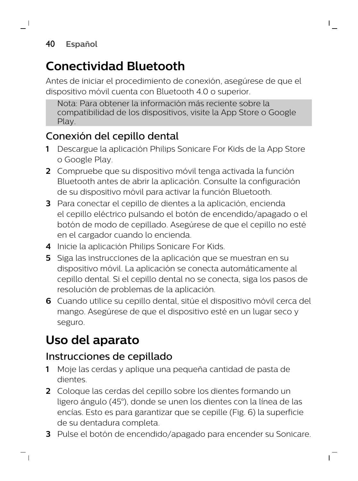#### 40 **Español**

 $\overline{\phantom{0}}$ 

 $\blacksquare$ 

## **Conectividad Bluetooth**

Antes de iniciar el procedimiento de conexión, asegúrese de que el dispositivo móvil cuenta con Bluetooth 4.0 o superior.

 $\mathsf{L}$ 

 $\mathbf{L}$ 

Nota: Para obtener la información más reciente sobre la compatibilidad de los dispositivos, visite la App Store o Google Play.

### Conexión del cepillo dental

- **1** Descargue la aplicación Philips Sonicare For Kids de la App Store o Google Play.
- **2** Compruebe que su dispositivo móvil tenga activada la función Bluetooth antes de abrir la aplicación. Consulte la configuración de su dispositivo móvil para activar la función Bluetooth.
- **3** Para conectar el cepillo de dientes a la aplicación, encienda el cepillo eléctrico pulsando el botón de encendido/apagado o el botón de modo de cepillado. Asegúrese de que el cepillo no esté en el cargador cuando lo encienda.
- **4** Inicie la aplicación Philips Sonicare For Kids.
- **5** Siga las instrucciones de la aplicación que se muestran en su dispositivo móvil. La aplicación se conecta automáticamente al cepillo dental. Si el cepillo dental no se conecta, siga los pasos de resolución de problemas de la aplicación.
- **6** Cuando utilice su cepillo dental, sitúe el dispositivo móvil cerca del mango. Asegúrese de que el dispositivo esté en un lugar seco y seguro.

# **Uso del aparato**

### Instrucciones de cepillado

- **1** Moje las cerdas y aplique una pequeña cantidad de pasta de dientes.
- **2** Coloque las cerdas del cepillo sobre los dientes formando un ligero ángulo (45°), donde se unen los dientes con la línea de las encías. Esto es para garantizar que se cepille (Fig. 6) la superficie de su dentadura completa.
- **3** Pulse el botón de encendido/apagado para encender su Sonicare.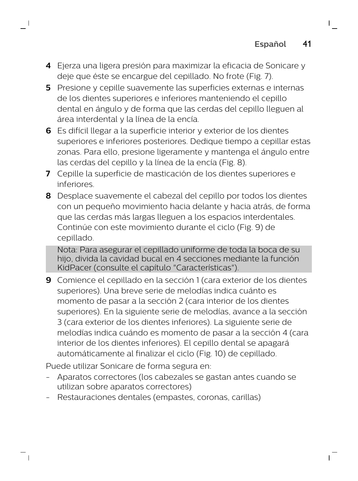$\mathsf{L}$ 

 $\mathbf{L}$ 

**4** Ejerza una ligera presión para maximizar la eficacia de Sonicare y deje que éste se encargue del cepillado. No frote (Fig. 7).

 $\overline{\phantom{a}}$ 

 $\overline{1}$ 

- **5** Presione y cepille suavemente las superficies externas e internas de los dientes superiores e inferiores manteniendo el cepillo dental en ángulo y de forma que las cerdas del cepillo lleguen al área interdental y la línea de la encía.
- **6** Es difícil llegar a la superficie interior y exterior de los dientes superiores e inferiores posteriores. Dedique tiempo a cepillar estas zonas. Para ello, presione ligeramente y mantenga el ángulo entre las cerdas del cepillo y la línea de la encía (Fig. 8).
- **7** Cepille la superficie de masticación de los dientes superiores e inferiores.
- **8** Desplace suavemente el cabezal del cepillo por todos los dientes con un pequeño movimiento hacia delante y hacia atrás, de forma que las cerdas más largas lleguen a los espacios interdentales. Continúe con este movimiento durante el ciclo (Fig. 9) de cepillado.

Nota: Para asegurar el cepillado uniforme de toda la boca de su hijo, divida la cavidad bucal en 4 secciones mediante la función KidPacer (consulte el capítulo "Características").

**9** Comience el cepillado en la sección 1 (cara exterior de los dientes superiores). Una breve serie de melodías indica cuánto es momento de pasar a la sección 2 (cara interior de los dientes superiores). En la siguiente serie de melodías, avance a la sección 3 (cara exterior de los dientes inferiores). La siguiente serie de melodías indica cuándo es momento de pasar a la sección 4 (cara interior de los dientes inferiores). El cepillo dental se apagará automáticamente al finalizar el ciclo (Fig. 10) de cepillado.

Puede utilizar Sonicare de forma segura en:

- Aparatos correctores (los cabezales se gastan antes cuando se utilizan sobre aparatos correctores)
- Restauraciones dentales (empastes, coronas, carillas)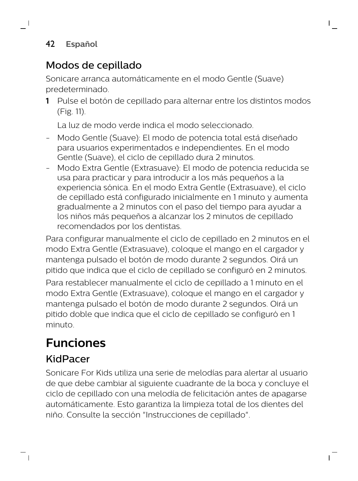#### 42 **Español**

 $\overline{\phantom{0}}$ 

### Modos de cepillado

Sonicare arranca automáticamente en el modo Gentle (Suave) predeterminado.

**1** Pulse el botón de cepillado para alternar entre los distintos modos (Fig. 11).

 $\mathsf{L}$ 

 $\mathbf{L}$ 

La luz de modo verde indica el modo seleccionado.

- Modo Gentle (Suave): El modo de potencia total está diseñado para usuarios experimentados e independientes. En el modo Gentle (Suave), el ciclo de cepillado dura 2 minutos.
- Modo Extra Gentle (Extrasuave): El modo de potencia reducida se usa para practicar y para introducir a los más pequeños a la experiencia sónica. En el modo Extra Gentle (Extrasuave), el ciclo de cepillado está configurado inicialmente en 1 minuto y aumenta gradualmente a 2 minutos con el paso del tiempo para ayudar a los niños más pequeños a alcanzar los 2 minutos de cepillado recomendados por los dentistas.

Para configurar manualmente el ciclo de cepillado en 2 minutos en el modo Extra Gentle (Extrasuave), coloque el mango en el cargador y mantenga pulsado el botón de modo durante 2 segundos. Oirá un pitido que indica que el ciclo de cepillado se configuró en 2 minutos.

Para restablecer manualmente el ciclo de cepillado a 1 minuto en el modo Extra Gentle (Extrasuave), coloque el mango en el cargador y mantenga pulsado el botón de modo durante 2 segundos. Oirá un pitido doble que indica que el ciclo de cepillado se configuró en 1 minuto.

# **Funciones**

## KidPacer

 $\blacksquare$ 

Sonicare For Kids utiliza una serie de melodías para alertar al usuario de que debe cambiar al siguiente cuadrante de la boca y concluye el ciclo de cepillado con una melodía de felicitación antes de apagarse automáticamente. Esto garantiza la limpieza total de los dientes del niño. Consulte la sección "Instrucciones de cepillado".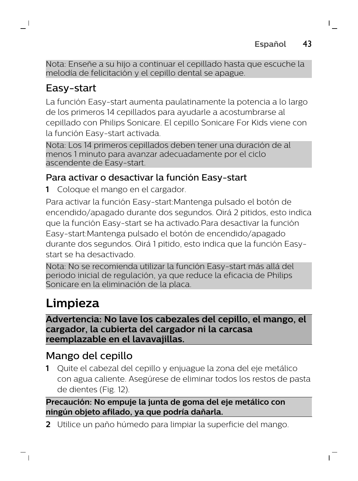$\overline{1}$ 

 $\mathbf{L}$ 

Nota: Enseñe a su hijo a continuar el cepillado hasta que escuche la melodía de felicitación y el cepillo dental se apague.

## Easy-start

 $\blacksquare$ 

La función Easy-start aumenta paulatinamente la potencia a lo largo de los primeros 14 cepillados para ayudarle a acostumbrarse al cepillado con Philips Sonicare. El cepillo Sonicare For Kids viene con la función Easy-start activada.

Nota: Los 14 primeros cepillados deben tener una duración de al menos 1 minuto para avanzar adecuadamente por el ciclo ascendente de Easy-start.

#### Para activar o desactivar la función Easy-start

**1** Coloque el mango en el cargador.

Para activar la función Easy-start:Mantenga pulsado el botón de encendido/apagado durante dos segundos. Oirá 2 pitidos, esto indica que la función Easy-start se ha activado.Para desactivar la función Easy-start:Mantenga pulsado el botón de encendido/apagado durante dos segundos. Oirá 1 pitido, esto indica que la función Easystart se ha desactivado.

Nota: No se recomienda utilizar la función Easy-start más allá del periodo inicial de regulación, ya que reduce la eficacia de Philips Sonicare en la eliminación de la placa.

# **Limpieza**

 $\overline{1}$ 

**Advertencia: No lave los cabezales del cepillo, el mango, el cargador, la cubierta del cargador ni la carcasa reemplazable en el lavavajillas.**

## Mango del cepillo

**1** Quite el cabezal del cepillo y enjuague la zona del eje metálico con agua caliente. Asegúrese de eliminar todos los restos de pasta de dientes (Fig. 12).

**Precaución: No empuje la junta de goma del eje metálico con ningún objeto afilado, ya que podría dañarla.**

**2** Utilice un paño húmedo para limpiar la superficie del mango.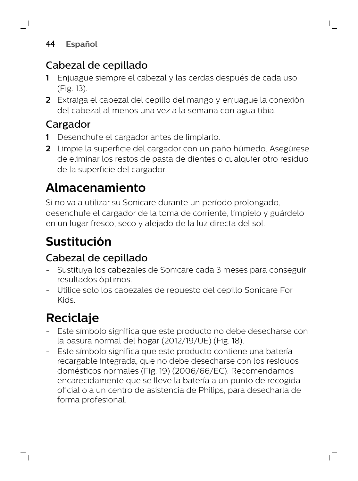#### 44 **Español**

 $\overline{\phantom{0}}$ 

### Cabezal de cepillado

**1** Enjuague siempre el cabezal y las cerdas después de cada uso (Fig. 13).

 $\mathsf{L}$ 

 $\mathbf{L}$ 

**2** Extraiga el cabezal del cepillo del mango y enjuague la conexión del cabezal al menos una vez a la semana con agua tibia.

### Cargador

- **1** Desenchufe el cargador antes de limpiarlo.
- **2** Limpie la superficie del cargador con un paño húmedo. Asegúrese de eliminar los restos de pasta de dientes o cualquier otro residuo de la superficie del cargador.

## **Almacenamiento**

Si no va a utilizar su Sonicare durante un período prolongado, desenchufe el cargador de la toma de corriente, límpielo y guárdelo en un lugar fresco, seco y alejado de la luz directa del sol.

# **Sustitución**

## Cabezal de cepillado

- Sustituya los cabezales de Sonicare cada 3 meses para conseguir resultados óptimos.
- Utilice solo los cabezales de repuesto del cepillo Sonicare For Kids.

# **Reciclaje**

 $\blacksquare$ 

- Este símbolo significa que este producto no debe desecharse con la basura normal del hogar (2012/19/UE) (Fig. 18).
- Este símbolo significa que este producto contiene una batería recargable integrada, que no debe desecharse con los residuos domésticos normales (Fig. 19) (2006/66/EC). Recomendamos encarecidamente que se lleve la batería a un punto de recogida oficial o a un centro de asistencia de Philips, para desecharla de forma profesional.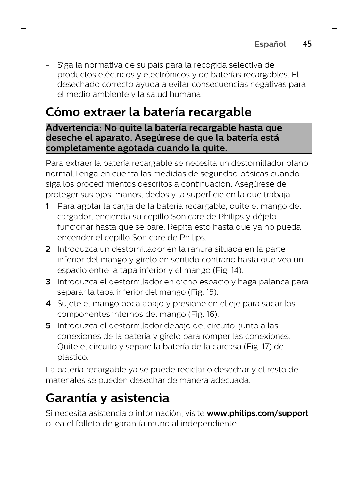- Siga la normativa de su país para la recogida selectiva de productos eléctricos y electrónicos y de baterías recargables. El desechado correcto ayuda a evitar consecuencias negativas para el medio ambiente y la salud humana.

## **Cómo extraer la batería recargable**

 $\overline{\phantom{a}}$ 

 $\blacksquare$ 

#### **Advertencia: No quite la batería recargable hasta que deseche el aparato. Asegúrese de que la batería está completamente agotada cuando la quite.**

Para extraer la batería recargable se necesita un destornillador plano normal.Tenga en cuenta las medidas de seguridad básicas cuando siga los procedimientos descritos a continuación. Asegúrese de proteger sus ojos, manos, dedos y la superficie en la que trabaja.

- **1** Para agotar la carga de la batería recargable, quite el mango del cargador, encienda su cepillo Sonicare de Philips y déjelo funcionar hasta que se pare. Repita esto hasta que ya no pueda encender el cepillo Sonicare de Philips.
- **2** Introduzca un destornillador en la ranura situada en la parte inferior del mango y gírelo en sentido contrario hasta que vea un espacio entre la tapa inferior y el mango (Fig. 14).
- **3** Introduzca el destornillador en dicho espacio y haga palanca para separar la tapa inferior del mango (Fig. 15).
- **4** Sujete el mango boca abajo y presione en el eje para sacar los componentes internos del mango (Fig. 16).
- **5** Introduzca el destornillador debajo del circuito, junto a las conexiones de la batería y gírelo para romper las conexiones. Quite el circuito y separe la batería de la carcasa (Fig. 17) de plástico.

La batería recargable ya se puede reciclar o desechar y el resto de materiales se pueden desechar de manera adecuada.

## **Garantía y asistencia**

Si necesita asistencia o información, visite **www.philips.com/support** o lea el folleto de garantía mundial independiente.

 $\mathbf{L}$ 

 $\mathsf{L}$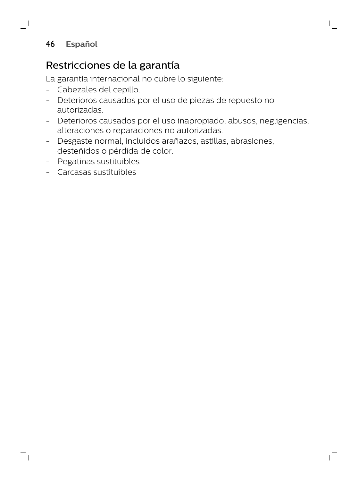#### 46 **Español**

 $\overline{\phantom{0}}$ 

٦.

### Restricciones de la garantía

La garantía internacional no cubre lo siguiente:

- Cabezales del cepillo.
- Deterioros causados por el uso de piezas de repuesto no autorizadas.
- Deterioros causados por el uso inapropiado, abusos, negligencias, alteraciones o reparaciones no autorizadas.

 $\mathbf{I}$ 

 $\mathbf{L}$ 

- Desgaste normal, incluidos arañazos, astillas, abrasiones, desteñidos o pérdida de color.
- Pegatinas sustituibles
- Carcasas sustituibles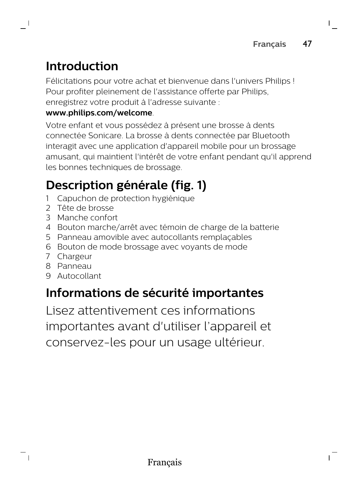$\mathsf{L}$ 

 $\mathbf{L}$ 

## **Introduction**

 $\overline{\phantom{a}}$ 

Félicitations pour votre achat et bienvenue dans l'univers Philips ! Pour profiter pleinement de l'assistance offerte par Philips, enregistrez votre produit à l'adresse suivante :

#### **www.philips.com/welcome**.

Votre enfant et vous possédez à présent une brosse à dents connectée Sonicare. La brosse à dents connectée par Bluetooth interagit avec une application d'appareil mobile pour un brossage amusant, qui maintient l'intérêt de votre enfant pendant qu'il apprend les bonnes techniques de brossage.

# **Description générale (fig. 1)**

- 1 Capuchon de protection hygiénique
- 2 Tête de brosse
- 3 Manche confort
- 4 Bouton marche/arrêt avec témoin de charge de la batterie
- 5 Panneau amovible avec autocollants remplaçables
- 6 Bouton de mode brossage avec voyants de mode
- 7 Chargeur
- 8 Panneau

 $\blacksquare$ 

9 Autocollant

## **Informations de sécurité importantes**

Lisez attentivement ces informations importantes avant d'utiliser l'appareil et conservez-les pour un usage ultérieur.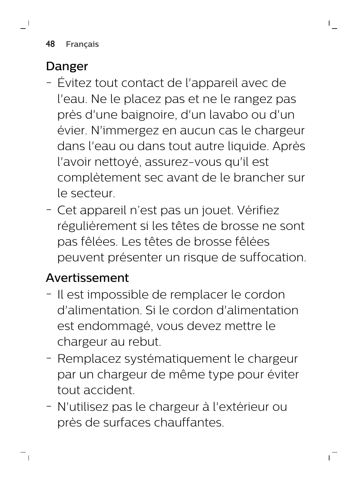#### 48 **Français**

## Danger

 $\mathcal{A}$ 

 $^{-}$ 

- Évitez tout contact de l'appareil avec de l'eau. Ne le placez pas et ne le rangez pas près d'une baignoire, d'un lavabo ou d'un évier. N'immergez en aucun cas le chargeur dans l'eau ou dans tout autre liquide. Après l'avoir nettoyé, assurez-vous qu'il est complètement sec avant de le brancher sur le secteur.

 $\mathsf{L}$ 

 $\mathbf{L}$ 

- Cet appareil n'est pas un jouet. Vérifiez régulièrement si les têtes de brosse ne sont pas fêlées. Les têtes de brosse fêlées peuvent présenter un risque de suffocation.

### Avertissement

- Il est impossible de remplacer le cordon d'alimentation. Si le cordon d'alimentation est endommagé, vous devez mettre le chargeur au rebut.
- Remplacez systématiquement le chargeur par un chargeur de même type pour éviter tout accident.
- N'utilisez pas le chargeur à l'extérieur ou près de surfaces chauffantes.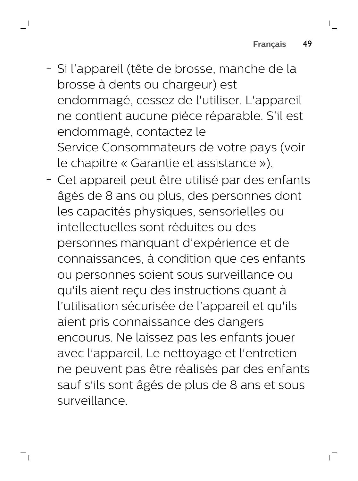$\mathbf{L}$ 

 $\mathbf{L}$ 

- Si l'appareil (tête de brosse, manche de la brosse à dents ou chargeur) est endommagé, cessez de l'utiliser. L'appareil ne contient aucune pièce réparable. S'il est endommagé, contactez le Service Consommateurs de votre pays (voir le chapitre « Garantie et assistance »).

 $\overline{\phantom{0}}$ 

٦.

- Cet appareil peut être utilisé par des enfants âgés de 8 ans ou plus, des personnes dont les capacités physiques, sensorielles ou intellectuelles sont réduites ou des personnes manquant d'expérience et de connaissances, à condition que ces enfants ou personnes soient sous surveillance ou qu'ils aient reçu des instructions quant à l'utilisation sécurisée de l'appareil et qu'ils aient pris connaissance des dangers encourus. Ne laissez pas les enfants jouer avec l'appareil. Le nettoyage et l'entretien ne peuvent pas être réalisés par des enfants sauf s'ils sont âgés de plus de 8 ans et sous surveillance.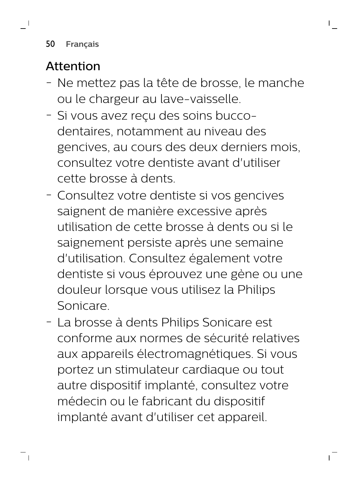50 **Français**

 $\mathcal{A}$ 

 $=$ <sub>1</sub>

## Attention

- Ne mettez pas la tête de brosse, le manche ou le chargeur au lave-vaisselle.

 $\mathsf{L}$ 

 $\mathbf{L}$ 

- Si vous avez reçu des soins buccodentaires, notamment au niveau des gencives, au cours des deux derniers mois, consultez votre dentiste avant d'utiliser cette brosse à dents.
- Consultez votre dentiste si vos gencives saignent de manière excessive après utilisation de cette brosse à dents ou si le saignement persiste après une semaine d'utilisation. Consultez également votre dentiste si vous éprouvez une gène ou une douleur lorsque vous utilisez la Philips Sonicare.
- La brosse à dents Philips Sonicare est conforme aux normes de sécurité relatives aux appareils électromagnétiques. Si vous portez un stimulateur cardiaque ou tout autre dispositif implanté, consultez votre médecin ou le fabricant du dispositif implanté avant d'utiliser cet appareil.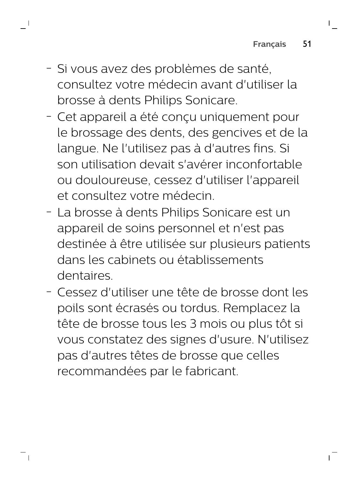$\mathbf{L}$ 

 $\mathbf{L}$ 

- Si vous avez des problèmes de santé, consultez votre médecin avant d'utiliser la brosse à dents Philips Sonicare.

 $\overline{\phantom{0}}$ 

 $\blacksquare$ 

- Cet appareil a été conçu uniquement pour le brossage des dents, des gencives et de la langue. Ne l'utilisez pas à d'autres fins. Si son utilisation devait s'avérer inconfortable ou douloureuse, cessez d'utiliser l'appareil et consultez votre médecin.
- La brosse à dents Philips Sonicare est un appareil de soins personnel et n'est pas destinée à être utilisée sur plusieurs patients dans les cabinets ou établissements dentaires.
- Cessez d'utiliser une tête de brosse dont les poils sont écrasés ou tordus. Remplacez la tête de brosse tous les 3 mois ou plus tôt si vous constatez des signes d'usure. N'utilisez pas d'autres têtes de brosse que celles recommandées par le fabricant.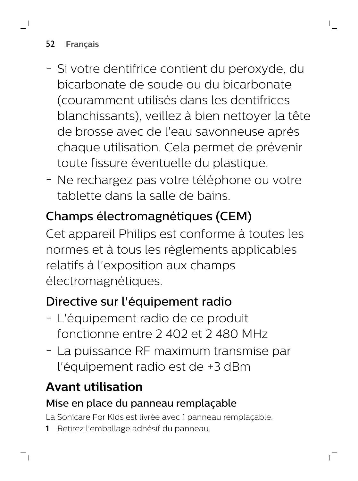#### 52 **Français**

 $\mathcal{A}$ 

- Si votre dentifrice contient du peroxyde, du bicarbonate de soude ou du bicarbonate (couramment utilisés dans les dentifrices blanchissants), veillez à bien nettoyer la tête de brosse avec de l'eau savonneuse après chaque utilisation. Cela permet de prévenir toute fissure éventuelle du plastique.

 $\mathbf{I}$ 

 $\mathbf{L}$ 

- Ne rechargez pas votre téléphone ou votre tablette dans la salle de bains.

## Champs électromagnétiques (CEM)

Cet appareil Philips est conforme à toutes les normes et à tous les règlements applicables relatifs à l'exposition aux champs électromagnétiques.

## Directive sur l'équipement radio

- L'équipement radio de ce produit fonctionne entre 2 402 et 2 480 MHz
- La puissance RF maximum transmise par l'équipement radio est de +3 dBm

## **Avant utilisation**

٦.

### Mise en place du panneau remplaçable

La Sonicare For Kids est livrée avec 1 panneau remplaçable.

**1** Retirez l'emballage adhésif du panneau.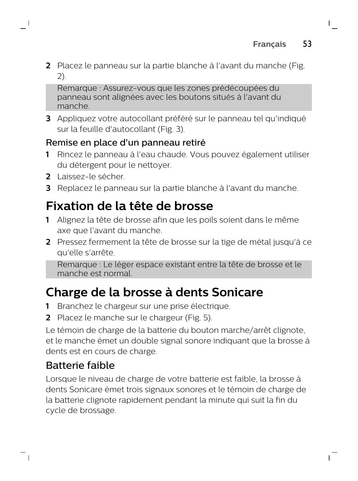$\mathsf{L}$ 

 $\mathbf{L}$ 

**2** Placez le panneau sur la partie blanche à l'avant du manche (Fig. 2).

Remarque : Assurez-vous que les zones prédécoupées du panneau sont alignées avec les boutons situés à l'avant du manche.

**3** Appliquez votre autocollant préféré sur le panneau tel qu'indiqué sur la feuille d'autocollant (Fig. 3).

#### Remise en place d'un panneau retiré

- **1** Rincez le panneau à l'eau chaude. Vous pouvez également utiliser du détergent pour le nettoyer.
- **2** Laissez-le sécher.

 $\overline{\phantom{a}}$ 

**3** Replacez le panneau sur la partie blanche à l'avant du manche.

## **Fixation de la tête de brosse**

- **1** Alignez la tête de brosse afin que les poils soient dans le même axe que l'avant du manche.
- **2** Pressez fermement la tête de brosse sur la tige de métal jusqu'à ce qu'elle s'arrête.

Remarque : Le léger espace existant entre la tête de brosse et le manche est normal.

# **Charge de la brosse à dents Sonicare**

- **1** Branchez le chargeur sur une prise électrique.
- **2** Placez le manche sur le chargeur (Fig. 5).

Le témoin de charge de la batterie du bouton marche/arrêt clignote, et le manche émet un double signal sonore indiquant que la brosse à dents est en cours de charge.

### Batterie faible

 $\blacksquare$ 

Lorsque le niveau de charge de votre batterie est faible, la brosse à dents Sonicare émet trois signaux sonores et le témoin de charge de la batterie clignote rapidement pendant la minute qui suit la fin du cycle de brossage.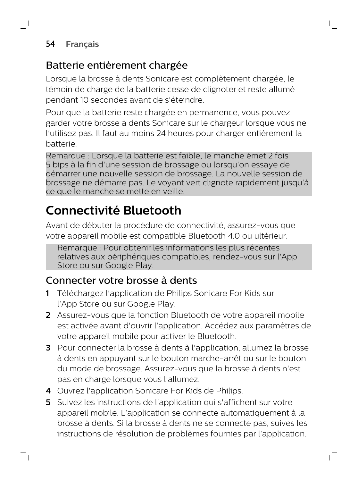#### 54 **Français**

 $\overline{\phantom{0}}$ 

 $\blacksquare$ 

### Batterie entièrement chargée

Lorsque la brosse à dents Sonicare est complètement chargée, le témoin de charge de la batterie cesse de clignoter et reste allumé pendant 10 secondes avant de s'éteindre.

 $\mathsf{L}$ 

 $\mathbf{L}$ 

Pour que la batterie reste chargée en permanence, vous pouvez garder votre brosse à dents Sonicare sur le chargeur lorsque vous ne l'utilisez pas. Il faut au moins 24 heures pour charger entièrement la batterie.

Remarque : Lorsque la batterie est faible, le manche émet 2 fois 5 bips à la fin d'une session de brossage ou lorsqu'on essaye de démarrer une nouvelle session de brossage. La nouvelle session de brossage ne démarre pas. Le voyant vert clignote rapidement jusqu'à ce que le manche se mette en veille.

## **Connectivité Bluetooth**

Avant de débuter la procédure de connectivité, assurez-vous que votre appareil mobile est compatible Bluetooth 4.0 ou ultérieur.

Remarque : Pour obtenir les informations les plus récentes relatives aux périphériques compatibles, rendez-vous sur l'App Store ou sur Google Play.

### Connecter votre brosse à dents

- **1** Téléchargez l'application de Philips Sonicare For Kids sur l'App Store ou sur Google Play.
- **2** Assurez-vous que la fonction Bluetooth de votre appareil mobile est activée avant d'ouvrir l'application. Accédez aux paramètres de votre appareil mobile pour activer le Bluetooth.
- **3** Pour connecter la brosse à dents à l'application, allumez la brosse à dents en appuyant sur le bouton marche-arrêt ou sur le bouton du mode de brossage. Assurez-vous que la brosse à dents n'est pas en charge lorsque vous l'allumez.
- **4** Ouvrez l'application Sonicare For Kids de Philips.
- **5** Suivez les instructions de l'application qui s'affichent sur votre appareil mobile. L'application se connecte automatiquement à la brosse à dents. Si la brosse à dents ne se connecte pas, suives les instructions de résolution de problèmes fournies par l'application.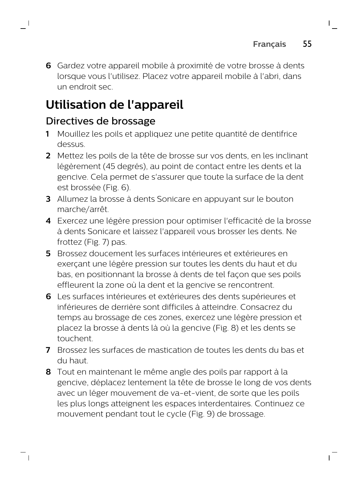$\mathbf{L}$ 

 $\mathbf{L}$ 

**6** Gardez votre appareil mobile à proximité de votre brosse à dents lorsque vous l'utilisez. Placez votre appareil mobile à l'abri, dans un endroit sec.

## **Utilisation de l'appareil**

### Directives de brossage

 $\overline{\phantom{a}}$ 

 $\overline{\phantom{a}}$ 

- **1** Mouillez les poils et appliquez une petite quantité de dentifrice dessus.
- **2** Mettez les poils de la tête de brosse sur vos dents, en les inclinant légèrement (45 degrés), au point de contact entre les dents et la gencive. Cela permet de s'assurer que toute la surface de la dent est brossée (Fig. 6).
- **3** Allumez la brosse à dents Sonicare en appuyant sur le bouton marche/arrêt.
- **4** Exercez une légère pression pour optimiser l'efficacité de la brosse à dents Sonicare et laissez l'appareil vous brosser les dents. Ne frottez (Fig. 7) pas.
- **5** Brossez doucement les surfaces intérieures et extérieures en exerçant une légère pression sur toutes les dents du haut et du bas, en positionnant la brosse à dents de tel façon que ses poils effleurent la zone où la dent et la gencive se rencontrent.
- **6** Les surfaces intérieures et extérieures des dents supérieures et inférieures de derrière sont difficiles à atteindre. Consacrez du temps au brossage de ces zones, exercez une légère pression et placez la brosse à dents là où la gencive (Fig. 8) et les dents se touchent.
- **7** Brossez les surfaces de mastication de toutes les dents du bas et du haut.
- **8** Tout en maintenant le même angle des poils par rapport à la gencive, déplacez lentement la tête de brosse le long de vos dents avec un léger mouvement de va-et-vient, de sorte que les poils les plus longs atteignent les espaces interdentaires. Continuez ce mouvement pendant tout le cycle (Fig. 9) de brossage.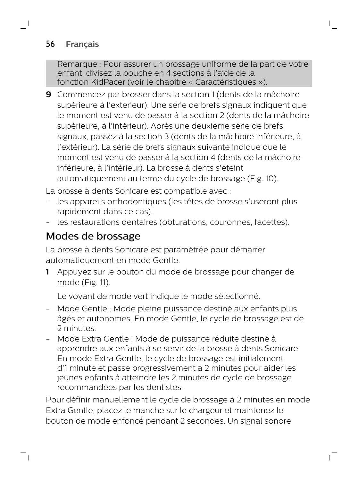#### 56 **Français**

 $\overline{\phantom{0}}$ 

 $\blacksquare$ 

Remarque : Pour assurer un brossage uniforme de la part de votre enfant, divisez la bouche en 4 sections à l'aide de la fonction KidPacer (voir le chapitre « Caractéristiques »).

 $\mathsf{L}$ 

 $\mathbf{L}$ 

**9** Commencez par brosser dans la section 1 (dents de la mâchoire supérieure à l'extérieur). Une série de brefs signaux indiquent que le moment est venu de passer à la section 2 (dents de la mâchoire supérieure, à l'intérieur). Après une deuxième série de brefs signaux, passez à la section 3 (dents de la mâchoire inférieure, à l'extérieur). La série de brefs signaux suivante indique que le moment est venu de passer à la section 4 (dents de la mâchoire inférieure, à l'intérieur). La brosse à dents s'éteint automatiquement au terme du cycle de brossage (Fig. 10).

La brosse à dents Sonicare est compatible avec :

- les appareils orthodontiques (les têtes de brosse s'useront plus rapidement dans ce cas),
- les restaurations dentaires (obturations, couronnes, facettes).

### Modes de brossage

La brosse à dents Sonicare est paramétrée pour démarrer automatiquement en mode Gentle.

**1** Appuyez sur le bouton du mode de brossage pour changer de mode (Fig. 11).

Le voyant de mode vert indique le mode sélectionné.

- Mode Gentle : Mode pleine puissance destiné aux enfants plus âgés et autonomes. En mode Gentle, le cycle de brossage est de 2 minutes.
- Mode Extra Gentle : Mode de puissance réduite destiné à apprendre aux enfants à se servir de la brosse à dents Sonicare. En mode Extra Gentle, le cycle de brossage est initialement d'1 minute et passe progressivement à 2 minutes pour aider les jeunes enfants à atteindre les 2 minutes de cycle de brossage recommandées par les dentistes.

Pour définir manuellement le cycle de brossage à 2 minutes en mode Extra Gentle, placez le manche sur le chargeur et maintenez le bouton de mode enfoncé pendant 2 secondes. Un signal sonore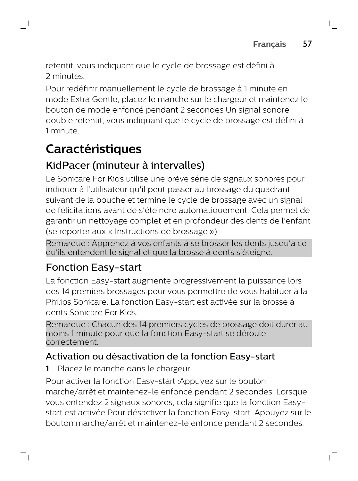retentit, vous indiquant que le cycle de brossage est défini à 2 minutes.

Pour redéfinir manuellement le cycle de brossage à 1 minute en mode Extra Gentle, placez le manche sur le chargeur et maintenez le bouton de mode enfoncé pendant 2 secondes Un signal sonore double retentit, vous indiquant que le cycle de brossage est défini à 1 minute.

# **Caractéristiques**

 $\overline{\phantom{a}}$ 

 $\blacksquare$ 

## KidPacer (minuteur à intervalles)

Le Sonicare For Kids utilise une brève série de signaux sonores pour indiquer à l'utilisateur qu'il peut passer au brossage du quadrant suivant de la bouche et termine le cycle de brossage avec un signal de félicitations avant de s'éteindre automatiquement. Cela permet de garantir un nettoyage complet et en profondeur des dents de l'enfant (se reporter aux « Instructions de brossage »).

Remarque : Apprenez à vos enfants à se brosser les dents jusqu'à ce qu'ils entendent le signal et que la brosse à dents s'éteigne.

## Fonction Easy-start

La fonction Easy-start augmente progressivement la puissance lors des 14 premiers brossages pour vous permettre de vous habituer à la Philips Sonicare. La fonction Easy-start est activée sur la brosse à dents Sonicare For Kids.

Remarque : Chacun des 14 premiers cycles de brossage doit durer au moins 1 minute pour que la fonction Easy-start se déroule correctement.

### Activation ou désactivation de la fonction Easy-start

**1** Placez le manche dans le chargeur.

Pour activer la fonction Easy-start :Appuyez sur le bouton marche/arrêt et maintenez-le enfoncé pendant 2 secondes. Lorsque vous entendez 2 signaux sonores, cela signifie que la fonction Easystart est activée.Pour désactiver la fonction Easy-start :Appuyez sur le bouton marche/arrêt et maintenez-le enfoncé pendant 2 secondes.

 $\mathbf{L}$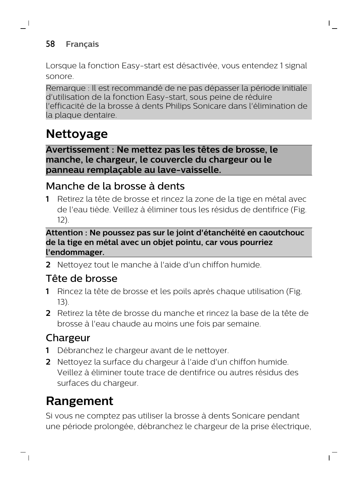#### 58 **Français**

 $\overline{\phantom{a}}$ 

Lorsque la fonction Easy-start est désactivée, vous entendez 1 signal sonore.

 $\mathsf{L}$ 

 $\mathbf{L}$ 

Remarque : Il est recommandé de ne pas dépasser la période initiale d'utilisation de la fonction Easy-start, sous peine de réduire l'efficacité de la brosse à dents Philips Sonicare dans l'élimination de la plaque dentaire.

## **Nettoyage**

**Avertissement : Ne mettez pas les têtes de brosse, le manche, le chargeur, le couvercle du chargeur ou le panneau remplaçable au lave-vaisselle.**

#### Manche de la brosse à dents

**1** Retirez la tête de brosse et rincez la zone de la tige en métal avec de l'eau tiède. Veillez à éliminer tous les résidus de dentifrice (Fig. 12).

**Attention : Ne poussez pas sur le joint d'étanchéité en caoutchouc de la tige en métal avec un objet pointu, car vous pourriez l'endommager.**

**2** Nettoyez tout le manche à l'aide d'un chiffon humide.

### Tête de brosse

- **1** Rincez la tête de brosse et les poils après chaque utilisation (Fig. 13).
- **2** Retirez la tête de brosse du manche et rincez la base de la tête de brosse à l'eau chaude au moins une fois par semaine.

## **Chargeur**

- **1** Débranchez le chargeur avant de le nettoyer.
- **2** Nettoyez la surface du chargeur à l'aide d'un chiffon humide. Veillez à éliminer toute trace de dentifrice ou autres résidus des surfaces du chargeur.

## **Rangement**

 $\blacksquare$ 

Si vous ne comptez pas utiliser la brosse à dents Sonicare pendant une période prolongée, débranchez le chargeur de la prise électrique,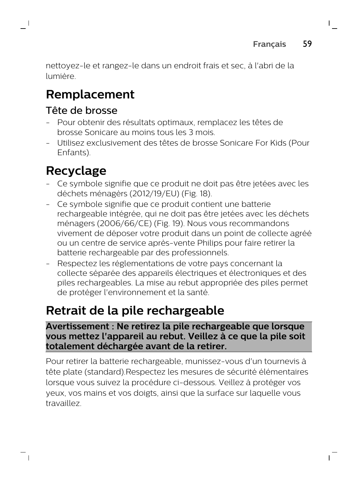nettoyez-le et rangez-le dans un endroit frais et sec, à l'abri de la lumière.

## **Remplacement**

### Tête de brosse

 $\overline{\phantom{a}}$ 

 $\blacksquare$ 

- Pour obtenir des résultats optimaux, remplacez les têtes de brosse Sonicare au moins tous les 3 mois.
- Utilisez exclusivement des têtes de brosse Sonicare For Kids (Pour Enfants).

# **Recyclage**

- Ce symbole signifie que ce produit ne doit pas être jetées avec les déchets ménagèrs (2012/19/EU) (Fig. 18).
- Ce symbole signifie que ce produit contient une batterie rechargeable intégrée, qui ne doit pas être jetées avec les déchets ménagers (2006/66/CE) (Fig. 19). Nous vous recommandons vivement de déposer votre produit dans un point de collecte agréé ou un centre de service après-vente Philips pour faire retirer la batterie rechargeable par des professionnels.
- Respectez les réglementations de votre pays concernant la collecte séparée des appareils électriques et électroniques et des piles rechargeables. La mise au rebut appropriée des piles permet de protéger l'environnement et la santé.

# **Retrait de la pile rechargeable**

**Avertissement : Ne retirez la pile rechargeable que lorsque vous mettez l'appareil au rebut. Veillez à ce que la pile soit totalement déchargée avant de la retirer.**

Pour retirer la batterie rechargeable, munissez-vous d'un tournevis à tête plate (standard).Respectez les mesures de sécurité élémentaires lorsque vous suivez la procédure ci-dessous. Veillez à protéger vos yeux, vos mains et vos doigts, ainsi que la surface sur laquelle vous travaillez.

 $\mathsf{L}$ 

 $\mathbf{L}$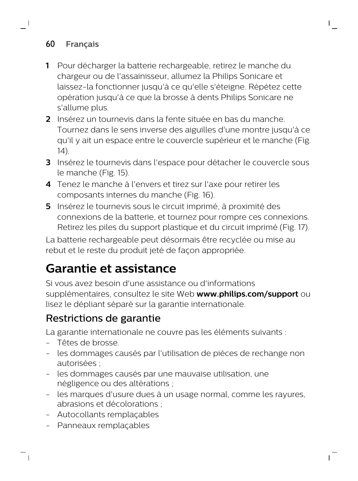#### 60 **Français**

 $\overline{\phantom{0}}$ 

**1** Pour décharger la batterie rechargeable, retirez le manche du chargeur ou de l'assainisseur, allumez la Philips Sonicare et laissez-la fonctionner jusqu'à ce qu'elle s'éteigne. Répétez cette opération jusqu'à ce que la brosse à dents Philips Sonicare ne s'allume plus.

 $\mathsf{L}$ 

 $\mathbf{L}$ 

- **2** Insérez un tournevis dans la fente située en bas du manche. Tournez dans le sens inverse des aiguilles d'une montre jusqu'à ce qu'il y ait un espace entre le couvercle supérieur et le manche (Fig. 14).
- **3** Insérez le tournevis dans l'espace pour détacher le couvercle sous le manche (Fig. 15).
- **4** Tenez le manche à l'envers et tirez sur l'axe pour retirer les composants internes du manche (Fig. 16).
- **5** Insérez le tournevis sous le circuit imprimé, à proximité des connexions de la batterie, et tournez pour rompre ces connexions. Retirez les piles du support plastique et du circuit imprimé (Fig. 17).

La batterie rechargeable peut désormais être recyclée ou mise au rebut et le reste du produit jeté de façon appropriée.

## **Garantie et assistance**

Si vous avez besoin d'une assistance ou d'informations supplémentaires, consultez le site Web **www.philips.com/support** ou lisez le dépliant séparé sur la garantie internationale.

### Restrictions de garantie

La garantie internationale ne couvre pas les éléments suivants :

- Têtes de brosse.
- les dommages causés par l'utilisation de pièces de rechange non autorisées ;
- les dommages causés par une mauvaise utilisation, une négligence ou des altérations ;
- les marques d'usure dues à un usage normal, comme les rayures, abrasions et décolorations ;
- Autocollants remplaçables
- Panneaux remplaçables

 $\blacksquare$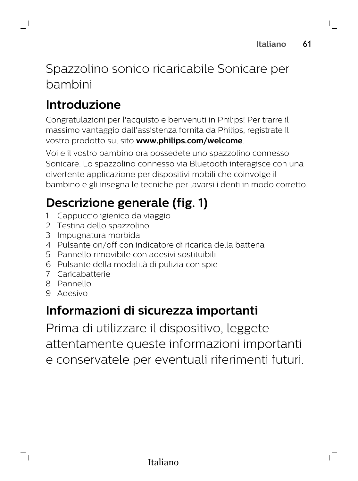$\mathsf{L}$ 

 $\mathbf{L}$ 

## Spazzolino sonico ricaricabile Sonicare per bambini

## **Introduzione**

 $\overline{\phantom{a}}$ 

Congratulazioni per l'acquisto e benvenuti in Philips! Per trarre il massimo vantaggio dall'assistenza fornita da Philips, registrate il vostro prodotto sul sito **www.philips.com/welcome**.

Voi e il vostro bambino ora possedete uno spazzolino connesso Sonicare. Lo spazzolino connesso via Bluetooth interagisce con una divertente applicazione per dispositivi mobili che coinvolge il bambino e gli insegna le tecniche per lavarsi i denti in modo corretto.

# **Descrizione generale (fig. 1)**

- 1 Cappuccio igienico da viaggio
- 2 Testina dello spazzolino
- 3 Impugnatura morbida
- 4 Pulsante on/off con indicatore di ricarica della batteria
- 5 Pannello rimovibile con adesivi sostituibili
- 6 Pulsante della modalità di pulizia con spie
- 7 Caricabatterie
- 8 Pannello
- 9 Adesivo

 $\blacksquare$ 

# **Informazioni di sicurezza importanti**

Prima di utilizzare il dispositivo, leggete attentamente queste informazioni importanti e conservatele per eventuali riferimenti futuri.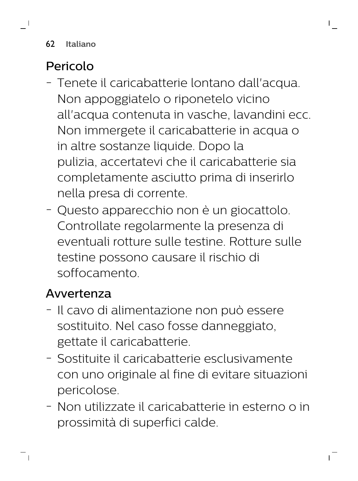#### 62 **Italiano**

 $\blacksquare$ 

## Pericolo

- Tenete il caricabatterie lontano dall'acqua. Non appoggiatelo o riponetelo vicino all'acqua contenuta in vasche, lavandini ecc. Non immergete il caricabatterie in acqua o in altre sostanze liquide. Dopo la pulizia, accertatevi che il caricabatterie sia completamente asciutto prima di inserirlo nella presa di corrente.

 $\mathbf{L}$ 

 $\mathbf{1}^{\top}$ 

- Questo apparecchio non è un giocattolo. Controllate regolarmente la presenza di eventuali rotture sulle testine. Rotture sulle testine possono causare il rischio di soffocamento.

## Avvertenza

 $=$ <sub>1</sub>

- Il cavo di alimentazione non può essere sostituito. Nel caso fosse danneggiato, gettate il caricabatterie.
- Sostituite il caricabatterie esclusivamente con uno originale al fine di evitare situazioni pericolose.
- Non utilizzate il caricabatterie in esterno o in prossimità di superfici calde.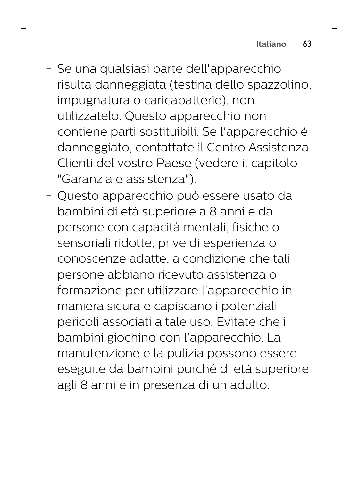$\mathbf{L}$ 

 $\mathbf{L}$ 

- Se una qualsiasi parte dell'apparecchio risulta danneggiata (testina dello spazzolino, impugnatura o caricabatterie), non utilizzatelo. Questo apparecchio non contiene parti sostituibili. Se l'apparecchio è danneggiato, contattate il Centro Assistenza Clienti del vostro Paese (vedere il capitolo "Garanzia e assistenza").

 $\overline{\phantom{0}}$ 

 $\overline{\phantom{0}}$ 

- Questo apparecchio può essere usato da bambini di età superiore a 8 anni e da persone con capacità mentali, fisiche o sensoriali ridotte, prive di esperienza o conoscenze adatte, a condizione che tali persone abbiano ricevuto assistenza o formazione per utilizzare l'apparecchio in maniera sicura e capiscano i potenziali pericoli associati a tale uso. Evitate che i bambini giochino con l'apparecchio. La manutenzione e la pulizia possono essere eseguite da bambini purché di età superiore agli 8 anni e in presenza di un adulto.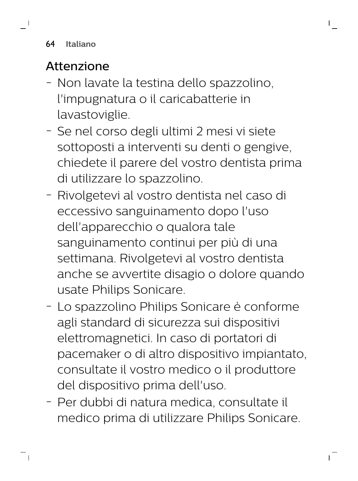64 **Italiano**

 $\blacksquare$ 

 $=$ <sub>1</sub>

## Attenzione

- Non lavate la testina dello spazzolino, l'impugnatura o il caricabatterie in lavastoviglie.
- Se nel corso degli ultimi 2 mesi vi siete sottoposti a interventi su denti o gengive, chiedete il parere del vostro dentista prima di utilizzare lo spazzolino.

 $\mathsf{L}$ 

 $\mathbf{L}$ 

- Rivolgetevi al vostro dentista nel caso di eccessivo sanguinamento dopo l'uso dell'apparecchio o qualora tale sanguinamento continui per più di una settimana. Rivolgetevi al vostro dentista anche se avvertite disagio o dolore quando usate Philips Sonicare.
- Lo spazzolino Philips Sonicare è conforme agli standard di sicurezza sui dispositivi elettromagnetici. In caso di portatori di pacemaker o di altro dispositivo impiantato, consultate il vostro medico o il produttore del dispositivo prima dell'uso.
- Per dubbi di natura medica, consultate il medico prima di utilizzare Philips Sonicare.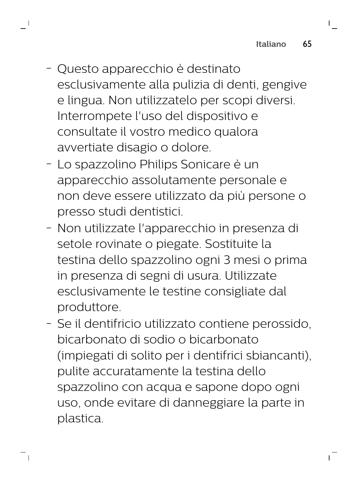$\mathbf{L}$ 

 $\mathbf{L}$ 

- Questo apparecchio è destinato esclusivamente alla pulizia di denti, gengive e lingua. Non utilizzatelo per scopi diversi. Interrompete l'uso del dispositivo e consultate il vostro medico qualora avvertiate disagio o dolore.

 $\overline{\phantom{0}}$ 

 $\mathbb{F}_1$ 

- Lo spazzolino Philips Sonicare è un apparecchio assolutamente personale e non deve essere utilizzato da più persone o presso studi dentistici.
- Non utilizzate l'apparecchio in presenza di setole rovinate o piegate. Sostituite la testina dello spazzolino ogni 3 mesi o prima in presenza di segni di usura. Utilizzate esclusivamente le testine consigliate dal produttore.
- Se il dentifricio utilizzato contiene perossido, bicarbonato di sodio o bicarbonato (impiegati di solito per i dentifrici sbiancanti), pulite accuratamente la testina dello spazzolino con acqua e sapone dopo ogni uso, onde evitare di danneggiare la parte in plastica.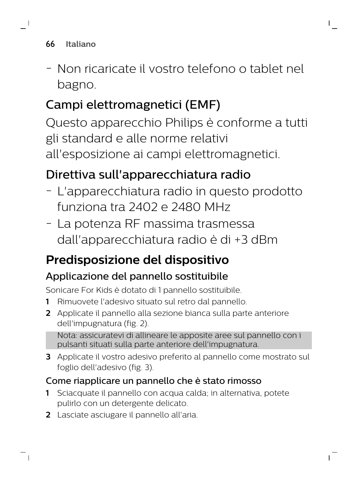#### 66 **Italiano**

 $\overline{\phantom{a}}$ 

 $\overline{\phantom{a}}$ 

- Non ricaricate il vostro telefono o tablet nel bagno.

 $\mathsf{L}$ 

 $\mathbf{L}$ 

## Campi elettromagnetici (EMF)

Questo apparecchio Philips è conforme a tutti gli standard e alle norme relativi all'esposizione ai campi elettromagnetici.

## Direttiva sull'apparecchiatura radio

- L'apparecchiatura radio in questo prodotto funziona tra 2402 e 2480 MHz
- La potenza RF massima trasmessa dall'apparecchiatura radio è di +3 dBm

# **Predisposizione del dispositivo**

## Applicazione del pannello sostituibile

Sonicare For Kids è dotato di 1 pannello sostituibile.

- **1** Rimuovete l'adesivo situato sul retro dal pannello.
- **2** Applicate il pannello alla sezione bianca sulla parte anteriore dell'impugnatura (fig. 2).

Nota: assicuratevi di allineare le apposite aree sul pannello con i pulsanti situati sulla parte anteriore dell'impugnatura.

**3** Applicate il vostro adesivo preferito al pannello come mostrato sul foglio dell'adesivo (fig. 3).

### Come riapplicare un pannello che è stato rimosso

- **1** Sciacquate il pannello con acqua calda; in alternativa, potete pulirlo con un detergente delicato.
- **2** Lasciate asciugare il pannello all'aria.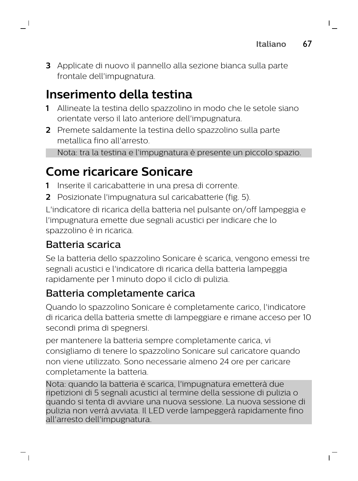$\mathsf{L}$ 

 $\mathbf{L}$ 

**3** Applicate di nuovo il pannello alla sezione bianca sulla parte frontale dell'impugnatura.

## **Inserimento della testina**

- **1** Allineate la testina dello spazzolino in modo che le setole siano orientate verso il lato anteriore dell'impugnatura.
- **2** Premete saldamente la testina dello spazzolino sulla parte metallica fino all'arresto.

Nota: tra la testina e l'impugnatura è presente un piccolo spazio.

## **Come ricaricare Sonicare**

- **1** Inserite il caricabatterie in una presa di corrente.
- **2** Posizionate l'impugnatura sul caricabatterie (fig. 5).

L'indicatore di ricarica della batteria nel pulsante on/off lampeggia e l'impugnatura emette due segnali acustici per indicare che lo spazzolino è in ricarica.

### Batteria scarica

 $\overline{\phantom{a}}$ 

 $\overline{1}$ 

Se la batteria dello spazzolino Sonicare è scarica, vengono emessi tre segnali acustici e l'indicatore di ricarica della batteria lampeggia rapidamente per 1 minuto dopo il ciclo di pulizia.

### Batteria completamente carica

Quando lo spazzolino Sonicare è completamente carico, l'indicatore di ricarica della batteria smette di lampeggiare e rimane acceso per 10 secondi prima di spegnersi.

per mantenere la batteria sempre completamente carica, vi consigliamo di tenere lo spazzolino Sonicare sul caricatore quando non viene utilizzato. Sono necessarie almeno 24 ore per caricare completamente la batteria.

Nota: quando la batteria è scarica, l'impugnatura emetterà due ripetizioni di 5 segnali acustici al termine della sessione di pulizia o quando si tenta di avviare una nuova sessione. La nuova sessione di pulizia non verrà avviata. Il LED verde lampeggerà rapidamente fino all'arresto dell'impugnatura.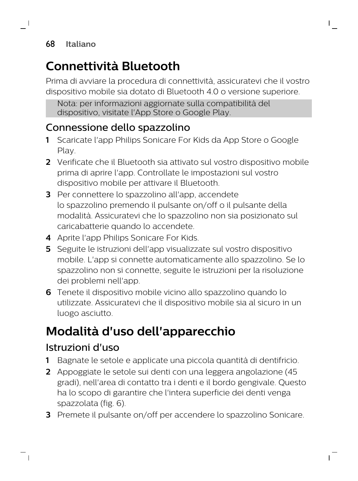#### 68 **Italiano**

 $\overline{\phantom{0}}$ 

## **Connettività Bluetooth**

Prima di avviare la procedura di connettività, assicuratevi che il vostro dispositivo mobile sia dotato di Bluetooth 4.0 o versione superiore.

 $\mathsf{L}$ 

 $\mathbf{L}$ 

Nota: per informazioni aggiornate sulla compatibilità del dispositivo, visitate l'App Store o Google Play.

### Connessione dello spazzolino

- **1** Scaricate l'app Philips Sonicare For Kids da App Store o Google Play.
- **2** Verificate che il Bluetooth sia attivato sul vostro dispositivo mobile prima di aprire l'app. Controllate le impostazioni sul vostro dispositivo mobile per attivare il Bluetooth.
- **3** Per connettere lo spazzolino all'app, accendete lo spazzolino premendo il pulsante on/off o il pulsante della modalità. Assicuratevi che lo spazzolino non sia posizionato sul caricabatterie quando lo accendete.
- **4** Aprite l'app Philips Sonicare For Kids.
- **5** Seguite le istruzioni dell'app visualizzate sul vostro dispositivo mobile. L'app si connette automaticamente allo spazzolino. Se lo spazzolino non si connette, seguite le istruzioni per la risoluzione dei problemi nell'app.
- **6** Tenete il dispositivo mobile vicino allo spazzolino quando lo utilizzate. Assicuratevi che il dispositivo mobile sia al sicuro in un luogo asciutto.

# **Modalità d'uso dell'apparecchio**

### Istruzioni d'uso

 $\blacksquare$ 

- **1** Bagnate le setole e applicate una piccola quantità di dentifricio.
- **2** Appoggiate le setole sui denti con una leggera angolazione (45 gradi), nell'area di contatto tra i denti e il bordo gengivale. Questo ha lo scopo di garantire che l'intera superficie dei denti venga spazzolata (fig. 6).
- **3** Premete il pulsante on/off per accendere lo spazzolino Sonicare.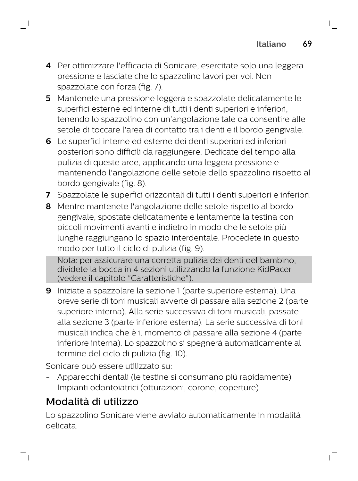$\mathbf{L}$ 

 $\mathbf{L}$ 

- **4** Per ottimizzare l'efficacia di Sonicare, esercitate solo una leggera pressione e lasciate che lo spazzolino lavori per voi. Non spazzolate con forza (fig. 7).
- **5** Mantenete una pressione leggera e spazzolate delicatamente le superfici esterne ed interne di tutti i denti superiori e inferiori, tenendo lo spazzolino con un'angolazione tale da consentire alle setole di toccare l'area di contatto tra i denti e il bordo gengivale.
- **6** Le superfici interne ed esterne dei denti superiori ed inferiori posteriori sono difficili da raggiungere. Dedicate del tempo alla pulizia di queste aree, applicando una leggera pressione e mantenendo l'angolazione delle setole dello spazzolino rispetto al bordo gengivale (fig. 8).
- **7** Spazzolate le superfici orizzontali di tutti i denti superiori e inferiori.
- **8** Mentre mantenete l'angolazione delle setole rispetto al bordo gengivale, spostate delicatamente e lentamente la testina con piccoli movimenti avanti e indietro in modo che le setole più lunghe raggiungano lo spazio interdentale. Procedete in questo modo per tutto il ciclo di pulizia (fig. 9).

Nota: per assicurare una corretta pulizia dei denti del bambino, dividete la bocca in 4 sezioni utilizzando la funzione KidPacer (vedere il capitolo "Caratteristiche").

**9** Iniziate a spazzolare la sezione 1 (parte superiore esterna). Una breve serie di toni musicali avverte di passare alla sezione 2 (parte superiore interna). Alla serie successiva di toni musicali, passate alla sezione 3 (parte inferiore esterna). La serie successiva di toni musicali indica che è il momento di passare alla sezione 4 (parte inferiore interna). Lo spazzolino si spegnerà automaticamente al termine del ciclo di pulizia (fig. 10).

Sonicare può essere utilizzato su:

- Apparecchi dentali (le testine si consumano più rapidamente)
- Impianti odontoiatrici (otturazioni, corone, coperture)

## Modalità di utilizzo

 $\overline{1}$ 

 $\overline{\phantom{a}}$ 

Lo spazzolino Sonicare viene avviato automaticamente in modalità delicata.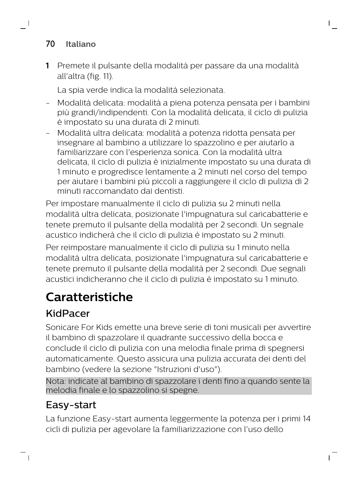#### 70 **Italiano**

 $\overline{\phantom{0}}$ 

**1** Premete il pulsante della modalità per passare da una modalità all'altra (fig. 11).

 $\mathsf{L}$ 

 $\mathbf{L}$ 

La spia verde indica la modalità selezionata.

- Modalità delicata: modalità a piena potenza pensata per i bambini più grandi/indipendenti. Con la modalità delicata, il ciclo di pulizia è impostato su una durata di 2 minuti.
- Modalità ultra delicata: modalità a potenza ridotta pensata per insegnare al bambino a utilizzare lo spazzolino e per aiutarlo a familiarizzare con l'esperienza sonica. Con la modalità ultra delicata, il ciclo di pulizia è inizialmente impostato su una durata di 1 minuto e progredisce lentamente a 2 minuti nel corso del tempo per aiutare i bambini più piccoli a raggiungere il ciclo di pulizia di 2 minuti raccomandato dai dentisti.

Per impostare manualmente il ciclo di pulizia su 2 minuti nella modalità ultra delicata, posizionate l'impugnatura sul caricabatterie e tenete premuto il pulsante della modalità per 2 secondi. Un segnale acustico indicherà che il ciclo di pulizia è impostato su 2 minuti.

Per reimpostare manualmente il ciclo di pulizia su 1 minuto nella modalità ultra delicata, posizionate l'impugnatura sul caricabatterie e tenete premuto il pulsante della modalità per 2 secondi. Due segnali acustici indicheranno che il ciclo di pulizia è impostato su 1 minuto.

# **Caratteristiche**

## KidPacer

Sonicare For Kids emette una breve serie di toni musicali per avvertire il bambino di spazzolare il quadrante successivo della bocca e conclude il ciclo di pulizia con una melodia finale prima di spegnersi automaticamente. Questo assicura una pulizia accurata dei denti del bambino (vedere la sezione "Istruzioni d'uso").

Nota: indicate al bambino di spazzolare i denti fino a quando sente la melodia finale e lo spazzolino si spegne.

### Easy-start

 $\overline{1}$ 

La funzione Easy-start aumenta leggermente la potenza per i primi 14 cicli di pulizia per agevolare la familiarizzazione con l'uso dello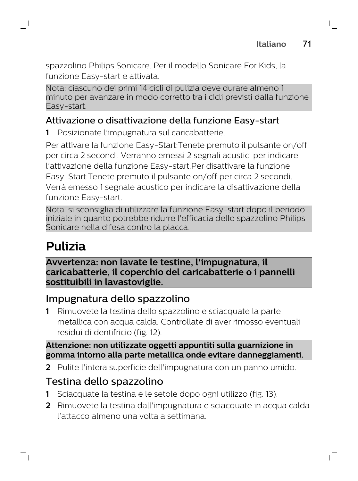$\overline{1}$ 

 $\mathbf{L}$ 

spazzolino Philips Sonicare. Per il modello Sonicare For Kids, la funzione Easy-start è attivata.

Nota: ciascuno dei primi 14 cicli di pulizia deve durare almeno 1 minuto per avanzare in modo corretto tra i cicli previsti dalla funzione Easy-start.

#### Attivazione o disattivazione della funzione Easy-start

**1** Posizionate l'impugnatura sul caricabatterie.

Per attivare la funzione Easy-Start:Tenete premuto il pulsante on/off per circa 2 secondi. Verranno emessi 2 segnali acustici per indicare l'attivazione della funzione Easy-start.Per disattivare la funzione Easy-Start:Tenete premuto il pulsante on/off per circa 2 secondi. Verrà emesso 1 segnale acustico per indicare la disattivazione della funzione Easy-start.

Nota: si sconsiglia di utilizzare la funzione Easy-start dopo il periodo iniziale in quanto potrebbe ridurre l'efficacia dello spazzolino Philips Sonicare nella difesa contro la placca.

# **Pulizia**

 $\overline{1}$ 

 $\blacksquare$ 

**Avvertenza: non lavate le testine, l'impugnatura, il caricabatterie, il coperchio del caricabatterie o i pannelli sostituibili in lavastoviglie.**

### Impugnatura dello spazzolino

**1** Rimuovete la testina dello spazzolino e sciacquate la parte metallica con acqua calda. Controllate di aver rimosso eventuali residui di dentifricio (fig. 12).

**Attenzione: non utilizzate oggetti appuntiti sulla guarnizione in gomma intorno alla parte metallica onde evitare danneggiamenti.**

**2** Pulite l'intera superficie dell'impugnatura con un panno umido.

### Testina dello spazzolino

- **1** Sciacquate la testina e le setole dopo ogni utilizzo (fig. 13).
- **2** Rimuovete la testina dall'impugnatura e sciacquate in acqua calda l'attacco almeno una volta a settimana.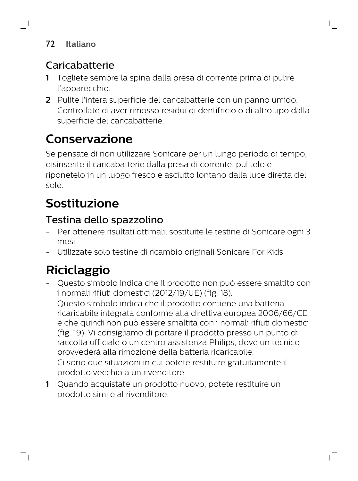#### 72 **Italiano**

 $\overline{\phantom{0}}$ 

 $\overline{1}$ 

### Caricabatterie

- **1** Togliete sempre la spina dalla presa di corrente prima di pulire l'apparecchio.
- **2** Pulite l'intera superficie del caricabatterie con un panno umido. Controllate di aver rimosso residui di dentifricio o di altro tipo dalla superficie del caricabatterie.

 $\mathsf{L}$ 

 $\mathbf{L}$ 

# **Conservazione**

Se pensate di non utilizzare Sonicare per un lungo periodo di tempo, disinserite il caricabatterie dalla presa di corrente, pulitelo e riponetelo in un luogo fresco e asciutto lontano dalla luce diretta del sole.

# **Sostituzione**

### Testina dello spazzolino

- Per ottenere risultati ottimali, sostituite le testine di Sonicare ogni 3 mesi.
- Utilizzate solo testine di ricambio originali Sonicare For Kids.

# **Riciclaggio**

- Questo simbolo indica che il prodotto non può essere smaltito con i normali rifiuti domestici (2012/19/UE) (fig. 18).
- Questo simbolo indica che il prodotto contiene una batteria ricaricabile integrata conforme alla direttiva europea 2006/66/CE e che quindi non può essere smaltita con i normali rifiuti domestici (fig. 19). Vi consigliamo di portare il prodotto presso un punto di raccolta ufficiale o un centro assistenza Philips, dove un tecnico provvederà alla rimozione della batteria ricaricabile.
- Ci sono due situazioni in cui potete restituire gratuitamente il prodotto vecchio a un rivenditore:
- **1** Quando acquistate un prodotto nuovo, potete restituire un prodotto simile al rivenditore.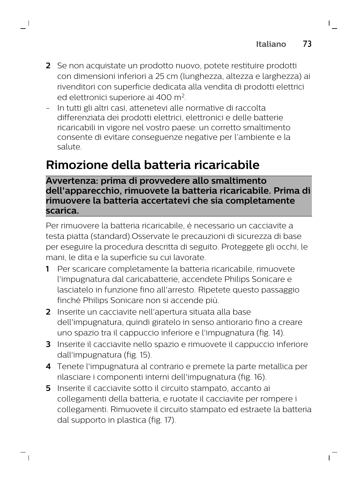$\mathsf{L}$ 

 $\mathbf{L}$ 

- **2** Se non acquistate un prodotto nuovo, potete restituire prodotti con dimensioni inferiori a 25 cm (lunghezza, altezza e larghezza) ai rivenditori con superficie dedicata alla vendita di prodotti elettrici ed elettronici superiore ai 400 m<sup>2</sup>.
- In tutti gli altri casi, attenetevi alle normative di raccolta differenziata dei prodotti elettrici, elettronici e delle batterie ricaricabili in vigore nel vostro paese: un corretto smaltimento consente di evitare conseguenze negative per l'ambiente e la salute.

# **Rimozione della batteria ricaricabile**

 $\overline{\phantom{a}}$ 

 $\blacksquare$ 

**Avvertenza: prima di provvedere allo smaltimento dell'apparecchio, rimuovete la batteria ricaricabile. Prima di rimuovere la batteria accertatevi che sia completamente scarica.**

Per rimuovere la batteria ricaricabile, è necessario un cacciavite a testa piatta (standard).Osservate le precauzioni di sicurezza di base per eseguire la procedura descritta di seguito. Proteggete gli occhi, le mani, le dita e la superficie su cui lavorate.

- **1** Per scaricare completamente la batteria ricaricabile, rimuovete l'impugnatura dal caricabatterie, accendete Philips Sonicare e lasciatelo in funzione fino all'arresto. Ripetete questo passaggio finché Philips Sonicare non si accende più.
- **2** Inserite un cacciavite nell'apertura situata alla base dell'impugnatura, quindi giratelo in senso antiorario fino a creare uno spazio tra il cappuccio inferiore e l'impugnatura (fig. 14).
- **3** Inserite il cacciavite nello spazio e rimuovete il cappuccio inferiore dall'impugnatura (fig. 15).
- **4** Tenete l'impugnatura al contrario e premete la parte metallica per rilasciare i componenti interni dell'impugnatura (fig. 16).
- **5** Inserite il cacciavite sotto il circuito stampato, accanto ai collegamenti della batteria, e ruotate il cacciavite per rompere i collegamenti. Rimuovete il circuito stampato ed estraete la batteria dal supporto in plastica (fig. 17).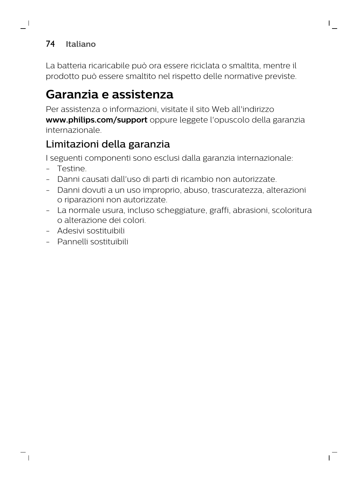#### 74 **Italiano**

 $\blacksquare$ 

 $\blacksquare$ 

La batteria ricaricabile può ora essere riciclata o smaltita, mentre il prodotto può essere smaltito nel rispetto delle normative previste.  $\mathbf{I}$ 

 $\mathbf{L}$ 

## **Garanzia e assistenza**

Per assistenza o informazioni, visitate il sito Web all'indirizzo **www.philips.com/support** oppure leggete l'opuscolo della garanzia internazionale.

### Limitazioni della garanzia

I seguenti componenti sono esclusi dalla garanzia internazionale:

- Testine.
- Danni causati dall'uso di parti di ricambio non autorizzate.
- Danni dovuti a un uso improprio, abuso, trascuratezza, alterazioni o riparazioni non autorizzate.
- La normale usura, incluso scheggiature, graffi, abrasioni, scoloritura o alterazione dei colori.
- Adesivi sostituibili
- Pannelli sostituibili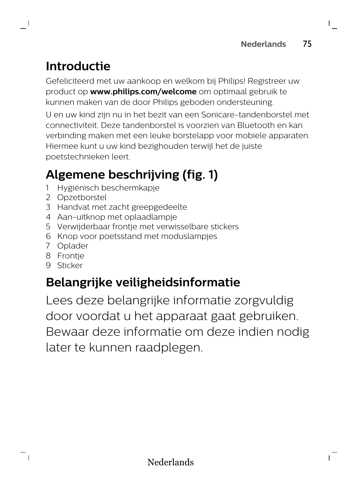$\mathsf{L}$ 

 $\mathbf{L}$ 

# **Introductie**

 $\overline{\phantom{a}}$ 

Gefeliciteerd met uw aankoop en welkom bij Philips! Registreer uw product op **www.philips.com/welcome** om optimaal gebruik te kunnen maken van de door Philips geboden ondersteuning. U en uw kind zijn nu in het bezit van een Sonicare-tandenborstel met connectiviteit. Deze tandenborstel is voorzien van Bluetooth en kan verbinding maken met een leuke borstelapp voor mobiele apparaten. Hiermee kunt u uw kind bezighouden terwijl het de juiste poetstechnieken leert.

# **Algemene beschrijving (fig. 1)**

- 1 Hygiënisch beschermkapje
- 2 Opzetborstel
- 3 Handvat met zacht greepgedeelte
- 4 Aan-uitknop met oplaadlampje
- 5 Verwijderbaar frontje met verwisselbare stickers
- 6 Knop voor poetsstand met moduslampjes
- 7 Oplader
- 8 Frontje
- 9 Sticker

 $\blacksquare$ 

# **Belangrijke veiligheidsinformatie**

Lees deze belangrijke informatie zorgvuldig door voordat u het apparaat gaat gebruiken. Bewaar deze informatie om deze indien nodig later te kunnen raadplegen.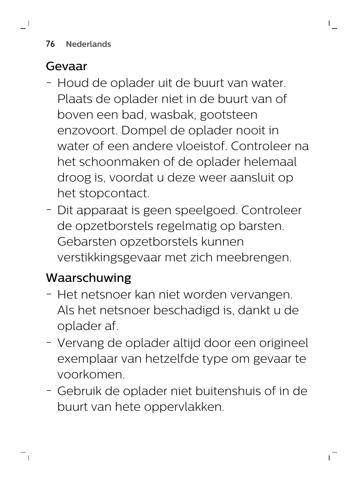#### 76 **Nederlands**

### Gevaar

 $\mathcal{A}$ 

 $=$ <sub>1</sub>

- Houd de oplader uit de buurt van water. Plaats de oplader niet in de buurt van of boven een bad, wasbak, gootsteen enzovoort. Dompel de oplader nooit in water of een andere vloeistof. Controleer na het schoonmaken of de oplader helemaal droog is, voordat u deze weer aansluit op het stopcontact.

 $\mathbf{L}$ 

 $\mathbf{L}$ 

- Dit apparaat is geen speelgoed. Controleer de opzetborstels regelmatig op barsten. Gebarsten opzetborstels kunnen verstikkingsgevaar met zich meebrengen.

## Waarschuwing

- Het netsnoer kan niet worden vervangen. Als het netsnoer beschadigd is, dankt u de oplader af.
- Vervang de oplader altijd door een origineel exemplaar van hetzelfde type om gevaar te voorkomen.
- Gebruik de oplader niet buitenshuis of in de buurt van hete oppervlakken.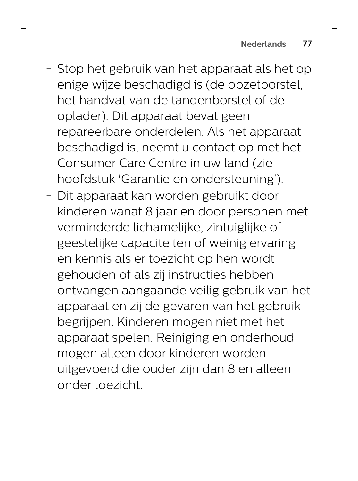$\mathbf{L}$ 

 $\mathbf{L}$ 

- Stop het gebruik van het apparaat als het op enige wijze beschadigd is (de opzetborstel, het handvat van de tandenborstel of de oplader). Dit apparaat bevat geen repareerbare onderdelen. Als het apparaat beschadigd is, neemt u contact op met het Consumer Care Centre in uw land (zie hoofdstuk 'Garantie en ondersteuning').

 $\overline{\phantom{a}}$ 

 $\blacksquare$ 

- Dit apparaat kan worden gebruikt door kinderen vanaf 8 jaar en door personen met verminderde lichamelijke, zintuiglijke of geestelijke capaciteiten of weinig ervaring en kennis als er toezicht op hen wordt gehouden of als zij instructies hebben ontvangen aangaande veilig gebruik van het apparaat en zij de gevaren van het gebruik begrijpen. Kinderen mogen niet met het apparaat spelen. Reiniging en onderhoud mogen alleen door kinderen worden uitgevoerd die ouder zijn dan 8 en alleen onder toezicht.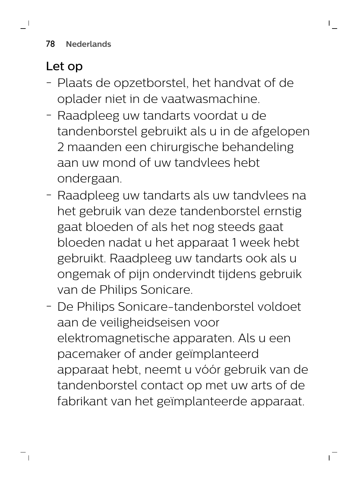# Let op

 $\blacksquare$ 

 $=$ <sub>1</sub>

- Plaats de opzetborstel, het handvat of de oplader niet in de vaatwasmachine.

 $\mathsf{L}$ 

 $\mathbf{L}$ 

- Raadpleeg uw tandarts voordat u de tandenborstel gebruikt als u in de afgelopen 2 maanden een chirurgische behandeling aan uw mond of uw tandvlees hebt ondergaan.
- Raadpleeg uw tandarts als uw tandvlees na het gebruik van deze tandenborstel ernstig gaat bloeden of als het nog steeds gaat bloeden nadat u het apparaat 1 week hebt gebruikt. Raadpleeg uw tandarts ook als u ongemak of pijn ondervindt tijdens gebruik van de Philips Sonicare.
- De Philips Sonicare-tandenborstel voldoet aan de veiligheidseisen voor elektromagnetische apparaten. Als u een pacemaker of ander geïmplanteerd apparaat hebt, neemt u vóór gebruik van de tandenborstel contact op met uw arts of de fabrikant van het geïmplanteerde apparaat.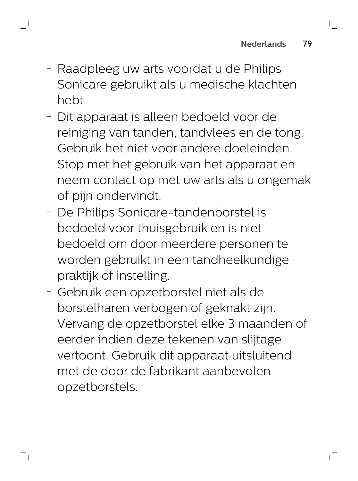$\mathbb{L}$ 

 $\mathbf{L}$ 

- Raadpleeg uw arts voordat u de Philips Sonicare gebruikt als u medische klachten hebt.

 $\overline{\phantom{0}}$ 

 $\overline{\phantom{0}}$ 

- Dit apparaat is alleen bedoeld voor de reiniging van tanden, tandvlees en de tong. Gebruik het niet voor andere doeleinden. Stop met het gebruik van het apparaat en neem contact op met uw arts als u ongemak of pijn ondervindt.
- De Philips Sonicare-tandenborstel is bedoeld voor thuisgebruik en is niet bedoeld om door meerdere personen te worden gebruikt in een tandheelkundige praktijk of instelling.
- Gebruik een opzetborstel niet als de borstelharen verbogen of geknakt zijn. Vervang de opzetborstel elke 3 maanden of eerder indien deze tekenen van slijtage vertoont. Gebruik dit apparaat uitsluitend met de door de fabrikant aanbevolen opzetborstels.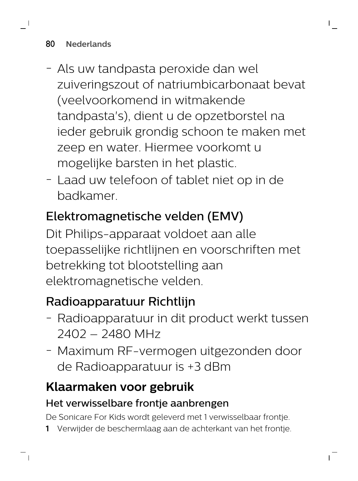#### 80 **Nederlands**

 $\overline{\phantom{a}}$ 

 $\overline{\phantom{0}}$ 

- Als uw tandpasta peroxide dan wel zuiveringszout of natriumbicarbonaat bevat (veelvoorkomend in witmakende tandpasta's), dient u de opzetborstel na ieder gebruik grondig schoon te maken met zeep en water. Hiermee voorkomt u mogelijke barsten in het plastic.

 $\mathsf{L}$ 

 $\mathbf{L}$ 

- Laad uw telefoon of tablet niet op in de badkamer.

## Elektromagnetische velden (EMV)

Dit Philips-apparaat voldoet aan alle toepasselijke richtlijnen en voorschriften met betrekking tot blootstelling aan elektromagnetische velden.

## Radioapparatuur Richtlijn

- Radioapparatuur in dit product werkt tussen 2402 – 2480 MHz
- Maximum RF-vermogen uitgezonden door de Radioapparatuur is +3 dBm

## **Klaarmaken voor gebruik**

### Het verwisselbare frontje aanbrengen

De Sonicare For Kids wordt geleverd met 1 verwisselbaar frontje.

**1** Verwijder de beschermlaag aan de achterkant van het frontje.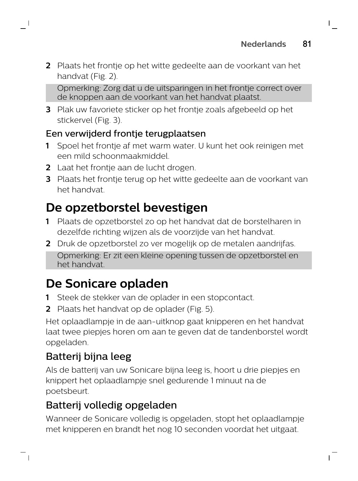$\mathsf{L}$ 

 $\mathbf{L}$ 

**2** Plaats het frontje op het witte gedeelte aan de voorkant van het handvat (Fig. 2).

Opmerking: Zorg dat u de uitsparingen in het frontje correct over de knoppen aan de voorkant van het handvat plaatst.

**3** Plak uw favoriete sticker op het frontje zoals afgebeeld op het stickervel (Fig. 3).

#### Een verwijderd frontje terugplaatsen

 $\overline{\phantom{a}}$ 

- **1** Spoel het frontje af met warm water. U kunt het ook reinigen met een mild schoonmaakmiddel.
- **2** Laat het frontie aan de lucht drogen.
- **3** Plaats het frontje terug op het witte gedeelte aan de voorkant van het handvat.

# **De opzetborstel bevestigen**

- **1** Plaats de opzetborstel zo op het handvat dat de borstelharen in dezelfde richting wijzen als de voorzijde van het handvat.
- **2** Druk de opzetborstel zo ver mogelijk op de metalen aandrijfas.

Opmerking: Er zit een kleine opening tussen de opzetborstel en het handvat.

# **De Sonicare opladen**

- **1** Steek de stekker van de oplader in een stopcontact.
- **2** Plaats het handvat op de oplader (Fig. 5).

Het oplaadlampje in de aan-uitknop gaat knipperen en het handvat laat twee piepjes horen om aan te geven dat de tandenborstel wordt opgeladen.

### Batterij bijna leeg

 $\blacksquare$ 

Als de batterij van uw Sonicare bijna leeg is, hoort u drie piepjes en knippert het oplaadlampje snel gedurende 1 minuut na de poetsbeurt.

### Batterij volledig opgeladen

Wanneer de Sonicare volledig is opgeladen, stopt het oplaadlampje met knipperen en brandt het nog 10 seconden voordat het uitgaat.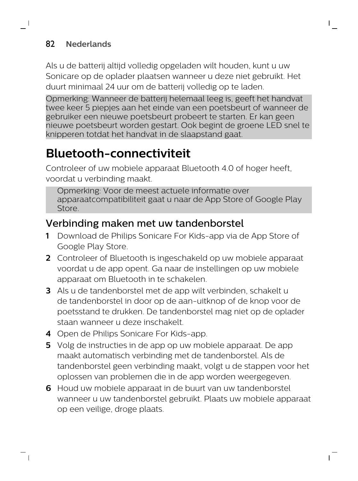#### 82 **Nederlands**

 $\overline{\phantom{0}}$ 

 $\blacksquare$ 

Als u de batterij altijd volledig opgeladen wilt houden, kunt u uw Sonicare op de oplader plaatsen wanneer u deze niet gebruikt. Het duurt minimaal 24 uur om de batterij volledig op te laden.

 $\mathsf{L}$ 

 $\mathbf{L}$ 

Opmerking: Wanneer de batterij helemaal leeg is, geeft het handvat twee keer 5 piepjes aan het einde van een poetsbeurt of wanneer de gebruiker een nieuwe poetsbeurt probeert te starten. Er kan geen nieuwe poetsbeurt worden gestart. Ook begint de groene LED snel te knipperen totdat het handvat in de slaapstand gaat.

## **Bluetooth-connectiviteit**

Controleer of uw mobiele apparaat Bluetooth 4.0 of hoger heeft, voordat u verbinding maakt.

Opmerking: Voor de meest actuele informatie over apparaatcompatibiliteit gaat u naar de App Store of Google Play Store.

### Verbinding maken met uw tandenborstel

- **1** Download de Philips Sonicare For Kids-app via de App Store of Google Play Store.
- **2** Controleer of Bluetooth is ingeschakeld op uw mobiele apparaat voordat u de app opent. Ga naar de instellingen op uw mobiele apparaat om Bluetooth in te schakelen.
- **3** Als u de tandenborstel met de app wilt verbinden, schakelt u de tandenborstel in door op de aan-uitknop of de knop voor de poetsstand te drukken. De tandenborstel mag niet op de oplader staan wanneer u deze inschakelt.
- **4** Open de Philips Sonicare For Kids-app.
- **5** Volg de instructies in de app op uw mobiele apparaat. De app maakt automatisch verbinding met de tandenborstel. Als de tandenborstel geen verbinding maakt, volgt u de stappen voor het oplossen van problemen die in de app worden weergegeven.
- **6** Houd uw mobiele apparaat in de buurt van uw tandenborstel wanneer u uw tandenborstel gebruikt. Plaats uw mobiele apparaat op een veilige, droge plaats.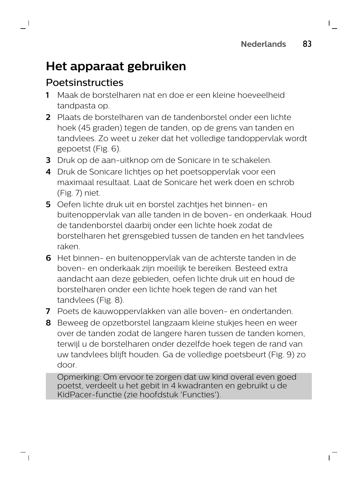$\mathsf{L}$ 

 $\mathbf{L}$ 

## **Het apparaat gebruiken**

#### Poetsinstructies

 $\overline{\phantom{a}}$ 

 $\blacksquare$ 

- **1** Maak de borstelharen nat en doe er een kleine hoeveelheid tandpasta op.
- **2** Plaats de borstelharen van de tandenborstel onder een lichte hoek (45 graden) tegen de tanden, op de grens van tanden en tandvlees. Zo weet u zeker dat het volledige tandoppervlak wordt gepoetst (Fig. 6).
- **3** Druk op de aan-uitknop om de Sonicare in te schakelen.
- **4** Druk de Sonicare lichtjes op het poetsoppervlak voor een maximaal resultaat. Laat de Sonicare het werk doen en schrob (Fig. 7) niet.
- **5** Oefen lichte druk uit en borstel zachtjes het binnen- en buitenoppervlak van alle tanden in de boven- en onderkaak. Houd de tandenborstel daarbij onder een lichte hoek zodat de borstelharen het grensgebied tussen de tanden en het tandvlees raken.
- **6** Het binnen- en buitenoppervlak van de achterste tanden in de boven- en onderkaak zijn moeilijk te bereiken. Besteed extra aandacht aan deze gebieden, oefen lichte druk uit en houd de borstelharen onder een lichte hoek tegen de rand van het tandvlees (Fig. 8).
- **7** Poets de kauwoppervlakken van alle boven- en ondertanden.
- **8** Beweeg de opzetborstel langzaam kleine stukjes heen en weer over de tanden zodat de langere haren tussen de tanden komen, terwijl u de borstelharen onder dezelfde hoek tegen de rand van uw tandvlees blijft houden. Ga de volledige poetsbeurt (Fig. 9) zo door.

Opmerking: Om ervoor te zorgen dat uw kind overal even goed poetst, verdeelt u het gebit in 4 kwadranten en gebruikt u de KidPacer-functie (zie hoofdstuk 'Functies').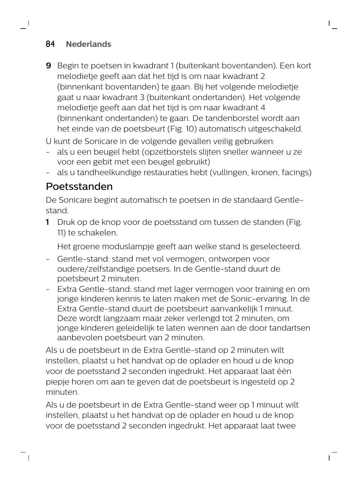#### 84 **Nederlands**

 $\overline{\phantom{0}}$ 

 $\blacksquare$ 

**9** Begin te poetsen in kwadrant 1 (buitenkant boventanden). Een kort melodietje geeft aan dat het tijd is om naar kwadrant 2 (binnenkant boventanden) te gaan. Bij het volgende melodietje gaat u naar kwadrant 3 (buitenkant ondertanden). Het volgende melodietje geeft aan dat het tijd is om naar kwadrant 4 (binnenkant ondertanden) te gaan. De tandenborstel wordt aan het einde van de poetsbeurt (Fig. 10) automatisch uitgeschakeld.

 $\mathsf{L}$ 

 $\mathbf{L}$ 

U kunt de Sonicare in de volgende gevallen veilig gebruiken:

- als u een beugel hebt (opzetborstels slijten sneller wanneer u zevoor een gebit met een beugel gebruikt)
- als u tandheelkundige restauraties hebt (vullingen, kronen, facings)

### Poetsstanden

De Sonicare begint automatisch te poetsen in de standaard Gentlestand.

**1** Druk op de knop voor de poetsstand om tussen de standen (Fig. 11) te schakelen.

Het groene moduslampje geeft aan welke stand is geselecteerd.

- Gentle-stand: stand met vol vermogen, ontworpen voor oudere/zelfstandige poetsers. In de Gentle-stand duurt de poetsbeurt 2 minuten.
- Extra Gentle-stand: stand met lager vermogen voor training en om jonge kinderen kennis te laten maken met de Sonic-ervaring. In de Extra Gentle-stand duurt de poetsbeurt aanvankelijk 1 minuut. Deze wordt langzaam maar zeker verlengd tot 2 minuten, om jonge kinderen geleidelijk te laten wennen aan de door tandartsen aanbevolen poetsbeurt van 2 minuten.

Als u de poetsbeurt in de Extra Gentle-stand op 2 minuten wilt instellen, plaatst u het handvat op de oplader en houd u de knop voor de poetsstand 2 seconden ingedrukt. Het apparaat laat één piepje horen om aan te geven dat de poetsbeurt is ingesteld op 2 minuten.

Als u de poetsbeurt in de Extra Gentle-stand weer op 1 minuut wilt instellen, plaatst u het handvat op de oplader en houd u de knop voor de poetsstand 2 seconden ingedrukt. Het apparaat laat twee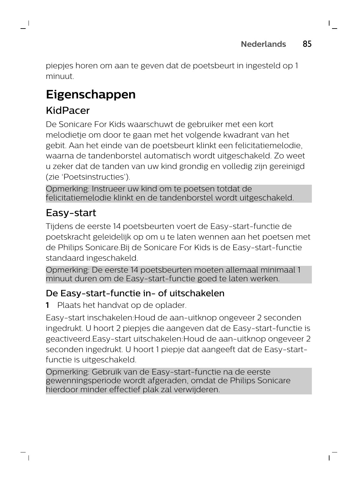$\mathbf{I}$ 

 $\mathbf{L}$ 

piepjes horen om aan te geven dat de poetsbeurt in ingesteld op 1 minuut.

# **Eigenschappen**

### KidPacer

 $\blacksquare$ 

 $\overline{1}$ 

De Sonicare For Kids waarschuwt de gebruiker met een kort melodietje om door te gaan met het volgende kwadrant van het gebit. Aan het einde van de poetsbeurt klinkt een felicitatiemelodie, waarna de tandenborstel automatisch wordt uitgeschakeld. Zo weet u zeker dat de tanden van uw kind grondig en volledig zijn gereinigd (zie 'Poetsinstructies').

Opmerking: Instrueer uw kind om te poetsen totdat de felicitatiemelodie klinkt en de tandenborstel wordt uitgeschakeld.

### Easy-start

Tijdens de eerste 14 poetsbeurten voert de Easy-start-functie de poetskracht geleidelijk op om u te laten wennen aan het poetsen met de Philips Sonicare.Bij de Sonicare For Kids is de Easy-start-functie standaard ingeschakeld.

Opmerking: De eerste 14 poetsbeurten moeten allemaal minimaal 1 minuut duren om de Easy-start-functie goed te laten werken.

### De Easy-start-functie in- of uitschakelen

**1** Plaats het handvat op de oplader.

Easy-start inschakelen:Houd de aan-uitknop ongeveer 2 seconden ingedrukt. U hoort 2 piepjes die aangeven dat de Easy-start-functie is geactiveerd.Easy-start uitschakelen:Houd de aan-uitknop ongeveer 2 seconden ingedrukt. U hoort 1 piepje dat aangeeft dat de Easy-startfunctie is uitgeschakeld.

Opmerking: Gebruik van de Easy-start-functie na de eerste gewenningsperiode wordt afgeraden, omdat de Philips Sonicare hierdoor minder effectief plak zal verwijderen.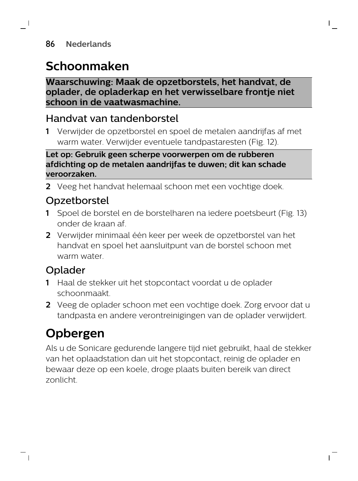$\overline{\phantom{a}}$ 

# **Schoonmaken**

#### **Waarschuwing: Maak de opzetborstels, het handvat, de oplader, de opladerkap en het verwisselbare frontje niet schoon in de vaatwasmachine.**

 $\mathsf{L}$ 

 $\mathbf{L}$ 

### Handvat van tandenborstel

**1** Verwijder de opzetborstel en spoel de metalen aandrijfas af met warm water. Verwijder eventuele tandpastaresten (Fig. 12).

#### **Let op: Gebruik geen scherpe voorwerpen om de rubberen afdichting op de metalen aandrijfas te duwen; dit kan schade veroorzaken.**

**2** Veeg het handvat helemaal schoon met een vochtige doek.

### **Opzetborstel**

- **1** Spoel de borstel en de borstelharen na iedere poetsbeurt (Fig. 13) onder de kraan af.
- **2** Verwijder minimaal één keer per week de opzetborstel van het handvat en spoel het aansluitpunt van de borstel schoon met warm water.

### Oplader

- **1** Haal de stekker uit het stopcontact voordat u de oplader schoonmaakt.
- **2** Veeg de oplader schoon met een vochtige doek. Zorg ervoor dat u tandpasta en andere verontreinigingen van de oplader verwijdert.

# **Opbergen**

 $\blacksquare$ 

Als u de Sonicare gedurende langere tijd niet gebruikt, haal de stekker van het oplaadstation dan uit het stopcontact, reinig de oplader en bewaar deze op een koele, droge plaats buiten bereik van direct zonlicht.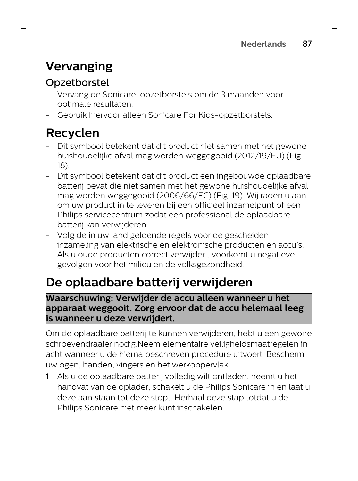# **Vervanging**

 $\overline{\phantom{a}}$ 

 $\blacksquare$ 

### **Opzetborstel**

- Vervang de Sonicare-opzetborstels om de 3 maanden voor optimale resultaten.
- Gebruik hiervoor alleen Sonicare For Kids-opzetborstels.

# **Recyclen**

- Dit symbool betekent dat dit product niet samen met het gewone huishoudelijke afval mag worden weggegooid (2012/19/EU) (Fig. 18).
- Dit symbool betekent dat dit product een ingebouwde oplaadbare batterij bevat die niet samen met het gewone huishoudelijke afval mag worden weggegooid (2006/66/EC) (Fig. 19). Wij raden u aan om uw product in te leveren bij een officieel inzamelpunt of een Philips servicecentrum zodat een professional de oplaadbare batterij kan verwijderen.
- Volg de in uw land geldende regels voor de gescheiden inzameling van elektrische en elektronische producten en accu's. Als u oude producten correct verwijdert, voorkomt u negatieve gevolgen voor het milieu en de volksgezondheid.

# **De oplaadbare batterij verwijderen**

#### **Waarschuwing: Verwijder de accu alleen wanneer u het apparaat weggooit. Zorg ervoor dat de accu helemaal leeg is wanneer u deze verwijdert.**

Om de oplaadbare batterij te kunnen verwijderen, hebt u een gewone schroevendraaier nodig.Neem elementaire veiligheidsmaatregelen in acht wanneer u de hierna beschreven procedure uitvoert. Bescherm uw ogen, handen, vingers en het werkoppervlak.

**1** Als u de oplaadbare batterij volledig wilt ontladen, neemt u het handvat van de oplader, schakelt u de Philips Sonicare in en laat u deze aan staan tot deze stopt. Herhaal deze stap totdat u de Philips Sonicare niet meer kunt inschakelen.

 $\mathsf{L}$ 

 $\mathbf{L}$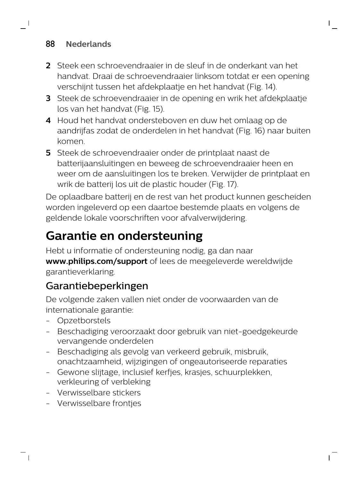#### 88 **Nederlands**

 $\overline{\phantom{0}}$ 

**2** Steek een schroevendraaier in de sleuf in de onderkant van het handvat. Draai de schroevendraaier linksom totdat er een opening verschijnt tussen het afdekplaatje en het handvat (Fig. 14).

 $\mathsf{L}$ 

 $\mathbf{L}$ 

- **3** Steek de schroevendraaier in de opening en wrik het afdekplaatje los van het handvat (Fig. 15).
- **4** Houd het handvat ondersteboven en duw het omlaag op de aandrijfas zodat de onderdelen in het handvat (Fig. 16) naar buiten komen.
- **5** Steek de schroevendraaier onder de printplaat naast de batterijaansluitingen en beweeg de schroevendraaier heen en weer om de aansluitingen los te breken. Verwijder de printplaat en wrik de batterij los uit de plastic houder (Fig. 17).

De oplaadbare batterij en de rest van het product kunnen gescheiden worden ingeleverd op een daartoe bestemde plaats en volgens de geldende lokale voorschriften voor afvalverwijdering.

## **Garantie en ondersteuning**

Hebt u informatie of ondersteuning nodig, ga dan naar **www.philips.com/support** of lees de meegeleverde wereldwijde garantieverklaring.

### Garantiebeperkingen

De volgende zaken vallen niet onder de voorwaarden van de internationale garantie:

- Opzetborstels
- Beschadiging veroorzaakt door gebruik van niet-goedgekeurde vervangende onderdelen
- Beschadiging als gevolg van verkeerd gebruik, misbruik, onachtzaamheid, wijzigingen of ongeautoriseerde reparaties
- Gewone slijtage, inclusief kerfjes, krasjes, schuurplekken, verkleuring of verbleking
- Verwisselbare stickers
- Verwisselbare fronties

 $\overline{\phantom{a}}$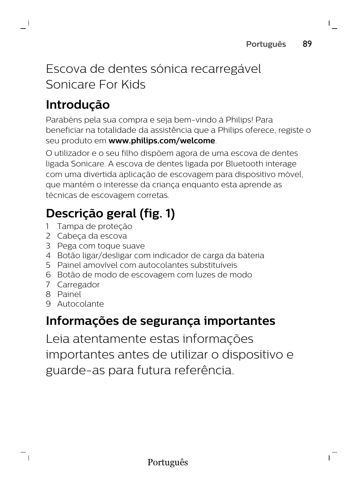$\mathbf{I}$ 

 $\mathbf{L}$ 

# Escova de dentes sónica recarregável Sonicare For Kids

# **Introdução**

 $\overline{\phantom{a}}$ 

Parabéns pela sua compra e seja bem-vindo à Philips! Para beneficiar na totalidade da assistência que a Philips oferece, registe o seu produto em **www.philips.com/welcome**.

O utilizador e o seu filho dispõem agora de uma escova de dentes ligada Sonicare. A escova de dentes ligada por Bluetooth interage com uma divertida aplicação de escovagem para dispositivo móvel, que mantém o interesse da criança enquanto esta aprende as técnicas de escovagem corretas.

# **Descrição geral (fig. 1)**

- 1 Tampa de proteção
- 2 Cabeça da escova
- 3 Pega com toque suave
- 4 Botão ligar/desligar com indicador de carga da bateria
- 5 Painel amovível com autocolantes substituíveis
- 6 Botão de modo de escovagem com luzes de modo
- 7 Carregador
- 8 Painel
- 9 Autocolante

# **Informações de segurança importantes**

Leia atentamente estas informações importantes antes de utilizar o dispositivo e guarde-as para futura referência.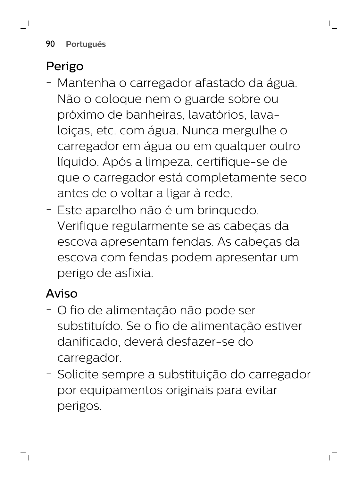#### 90 **Português**

### Perigo

 $\sim 1$ 

- Mantenha o carregador afastado da água. Não o coloque nem o guarde sobre ou próximo de banheiras, lavatórios, lavaloiças, etc. com água. Nunca mergulhe o carregador em água ou em qualquer outro líquido. Após a limpeza, certifique-se de que o carregador está completamente seco antes de o voltar a ligar à rede.

 $\mathsf{L}$ 

 $\mathbf{L}$ 

- Este aparelho não é um brinquedo. Verifique regularmente se as cabeças da escova apresentam fendas. As cabeças da escova com fendas podem apresentar um perigo de asfixia.

### Aviso

 $=$ <sub>1</sub>

- O fio de alimentação não pode ser substituído. Se o fio de alimentação estiver danificado, deverá desfazer-se do carregador.
- Solicite sempre a substituição do carregador por equipamentos originais para evitar perigos.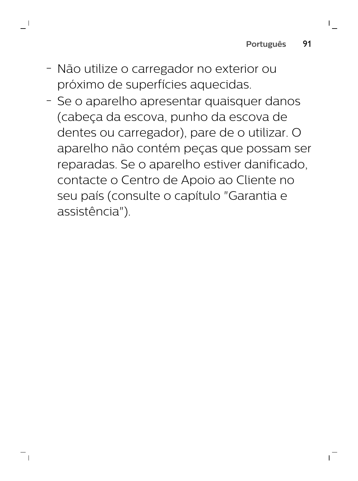$\mathbf{L}$ 

- Não utilize o carregador no exterior ou próximo de superfícies aquecidas.

 $\overline{\phantom{a}}$ 

 $\blacksquare$ 

- Se o aparelho apresentar quaisquer danos (cabeça da escova, punho da escova de dentes ou carregador), pare de o utilizar. O aparelho não contém peças que possam ser reparadas. Se o aparelho estiver danificado, contacte o Centro de Apoio ao Cliente no seu país (consulte o capítulo "Garantia e assistência").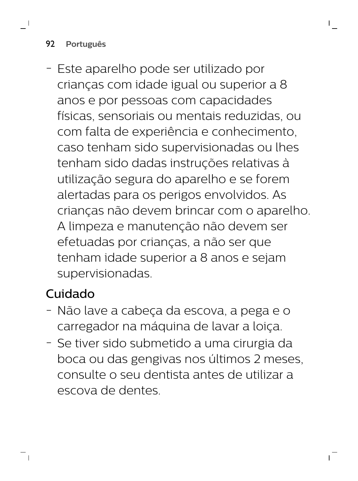#### 92 **Português**

 $\blacksquare$ 

- Este aparelho pode ser utilizado por crianças com idade igual ou superior a 8 anos e por pessoas com capacidades físicas, sensoriais ou mentais reduzidas, ou com falta de experiência e conhecimento, caso tenham sido supervisionadas ou lhes tenham sido dadas instruções relativas à utilização segura do aparelho e se forem alertadas para os perigos envolvidos. As crianças não devem brincar com o aparelho. A limpeza e manutenção não devem ser efetuadas por crianças, a não ser que tenham idade superior a 8 anos e sejam supervisionadas.

 $\mathsf{L}$ 

 $\mathbf{L}$ 

## Cuidado

 $\blacksquare$ 

- Não lave a cabeça da escova, a pega e o carregador na máquina de lavar a loiça.
- Se tiver sido submetido a uma cirurgia da boca ou das gengivas nos últimos 2 meses, consulte o seu dentista antes de utilizar a escova de dentes.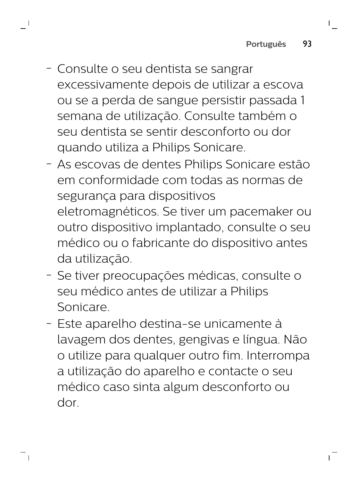$\mathbf{L}$ 

 $\mathbf{L}$ 

- Consulte o seu dentista se sangrar excessivamente depois de utilizar a escova ou se a perda de sangue persistir passada 1 semana de utilização. Consulte também o seu dentista se sentir desconforto ou dor quando utiliza a Philips Sonicare.

 $\overline{\phantom{0}}$ 

٦.

- As escovas de dentes Philips Sonicare estão em conformidade com todas as normas de segurança para dispositivos eletromagnéticos. Se tiver um pacemaker ou outro dispositivo implantado, consulte o seu médico ou o fabricante do dispositivo antes da utilização.
- Se tiver preocupações médicas, consulte o seu médico antes de utilizar a Philips Sonicare.
- Este aparelho destina-se unicamente à lavagem dos dentes, gengivas e língua. Não o utilize para qualquer outro fim. Interrompa a utilização do aparelho e contacte o seu médico caso sinta algum desconforto ou dor.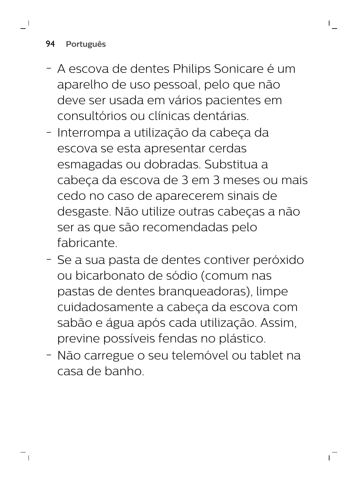#### 94 **Português**

 $\blacksquare$ 

 $\blacksquare$ 

- A escova de dentes Philips Sonicare é um aparelho de uso pessoal, pelo que não deve ser usada em vários pacientes em consultórios ou clínicas dentárias.

 $\mathbf{L}$ 

 $\mathbf{L}$ 

- Interrompa a utilização da cabeça da escova se esta apresentar cerdas esmagadas ou dobradas. Substitua a cabeça da escova de 3 em 3 meses ou mais cedo no caso de aparecerem sinais de desgaste. Não utilize outras cabeças a não ser as que são recomendadas pelo fabricante.
- Se a sua pasta de dentes contiver peróxido ou bicarbonato de sódio (comum nas pastas de dentes branqueadoras), limpe cuidadosamente a cabeça da escova com sabão e água após cada utilização. Assim, previne possíveis fendas no plástico.
- Não carregue o seu telemóvel ou tablet na casa de banho.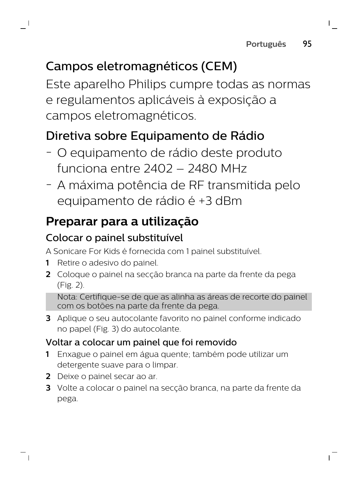$\mathbf{I}$ 

 $\mathbf{L}$ 

# Campos eletromagnéticos (CEM)

Este aparelho Philips cumpre todas as normas e regulamentos aplicáveis à exposição a campos eletromagnéticos.

## Diretiva sobre Equipamento de Rádio

- O equipamento de rádio deste produto funciona entre 2402 – 2480 MHz
- A máxima potência de RF transmitida pelo equipamento de rádio é +3 dBm

## **Preparar para a utilização**

### Colocar o painel substituível

A Sonicare For Kids é fornecida com 1 painel substituível.

**1** Retire o adesivo do painel.

 $\overline{\phantom{a}}$ 

 $\blacksquare$ 

**2** Coloque o painel na secção branca na parte da frente da pega (Fig. 2).

Nota: Certifique-se de que as alinha as áreas de recorte do painel com os botões na parte da frente da pega.

**3** Aplique o seu autocolante favorito no painel conforme indicado no papel (Fig. 3) do autocolante.

#### Voltar a colocar um painel que foi removido

- **1** Enxague o painel em água quente; também pode utilizar um detergente suave para o limpar.
- **2** Deixe o painel secar ao ar.
- **3** Volte a colocar o painel na secção branca, na parte da frente da pega.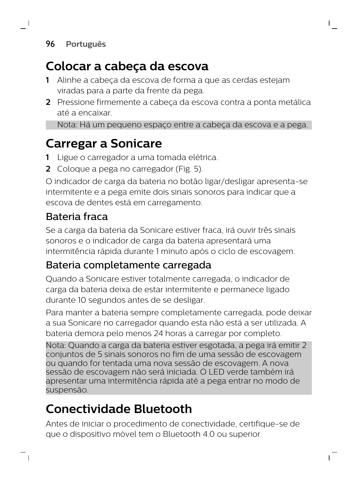#### 96 **Português**

 $\overline{\phantom{a}}$ 

 $\overline{1}$ 

### **Colocar a cabeça da escova**

- **1** Alinhe a cabeça da escova de forma a que as cerdas estejam viradas para a parte da frente da pega.
- **2** Pressione firmemente a cabeça da escova contra a ponta metálica até a encaixar.

Nota: Há um pequeno espaço entre a cabeça da escova e a pega.

 $\mathsf{L}$ 

 $\mathbf{L}$ 

### **Carregar a Sonicare**

- **1** Ligue o carregador a uma tomada elétrica.
- **2** Coloque a pega no carregador (Fig. 5).

O indicador de carga da bateria no botão ligar/desligar apresenta-se intermitente e a pega emite dois sinais sonoros para indicar que a escova de dentes está em carregamento.

#### Bateria fraca

Se a carga da bateria da Sonicare estiver fraca, irá ouvir três sinais sonoros e o indicador de carga da bateria apresentará uma intermitência rápida durante 1 minuto após o ciclo de escovagem.

#### Bateria completamente carregada

Quando a Sonicare estiver totalmente carregada, o indicador de carga da bateria deixa de estar intermitente e permanece ligado durante 10 segundos antes de se desligar.

Para manter a bateria sempre completamente carregada, pode deixar a sua Sonicare no carregador quando esta não está a ser utilizada. A bateria demora pelo menos 24 horas a carregar por completo.

Nota: Quando a carga da bateria estiver esgotada, a pega irá emitir 2 conjuntos de 5 sinais sonoros no fim de uma sessão de escovagem ou quando for tentada uma nova sessão de escovagem. A nova sessão de escovagem não será iniciada. O LED verde também irá apresentar uma intermitência rápida até a pega entrar no modo de suspensão.

## **Conectividade Bluetooth**

Antes de iniciar o procedimento de conectividade, certifique-se de que o dispositivo móvel tem o Bluetooth 4.0 ou superior.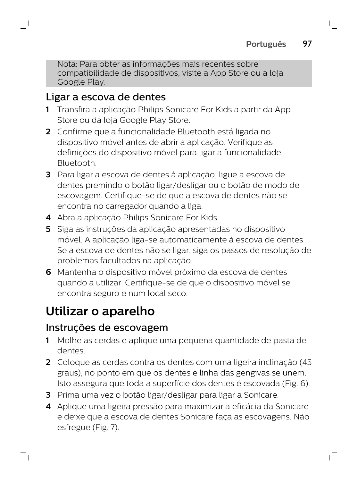$\mathsf{L}$ 

 $\mathbf{L}$ 

Nota: Para obter as informações mais recentes sobre compatibilidade de dispositivos, visite a App Store ou a loja Google Play.

### Ligar a escova de dentes

 $\overline{\phantom{a}}$ 

 $\blacksquare$ 

- **1** Transfira a aplicação Philips Sonicare For Kids a partir da App Store ou da loja Google Play Store.
- **2** Confirme que a funcionalidade Bluetooth está ligada no dispositivo móvel antes de abrir a aplicação. Verifique as definições do dispositivo móvel para ligar a funcionalidade Bluetooth.
- **3** Para ligar a escova de dentes à aplicação, ligue a escova de dentes premindo o botão ligar/desligar ou o botão de modo de escovagem. Certifique-se de que a escova de dentes não se encontra no carregador quando a liga.
- **4** Abra a aplicação Philips Sonicare For Kids.
- **5** Siga as instruções da aplicação apresentadas no dispositivo móvel. A aplicação liga-se automaticamente à escova de dentes. Se a escova de dentes não se ligar, siga os passos de resolução de problemas facultados na aplicação.
- **6** Mantenha o dispositivo móvel próximo da escova de dentes quando a utilizar. Certifique-se de que o dispositivo móvel se encontra seguro e num local seco.

# **Utilizar o aparelho**

### Instruções de escovagem

- **1** Molhe as cerdas e aplique uma pequena quantidade de pasta de dentes.
- **2** Coloque as cerdas contra os dentes com uma ligeira inclinação (45 graus), no ponto em que os dentes e linha das gengivas se unem. Isto assegura que toda a superfície dos dentes é escovada (Fig. 6).
- **3** Prima uma vez o botão ligar/desligar para ligar a Sonicare.
- **4** Aplique uma ligeira pressão para maximizar a eficácia da Sonicare e deixe que a escova de dentes Sonicare faça as escovagens. Não esfregue (Fig. 7).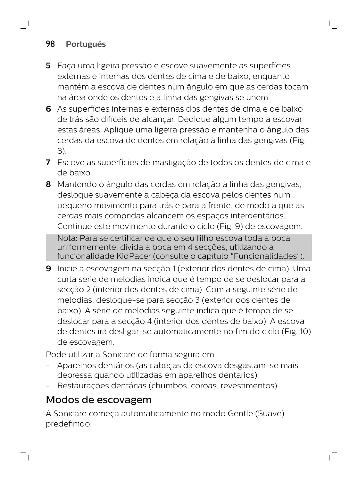#### 98 **Português**

 $\overline{\phantom{0}}$ 

**5** Faça uma ligeira pressão e escove suavemente as superfícies externas e internas dos dentes de cima e de baixo, enquanto mantém a escova de dentes num ângulo em que as cerdas tocam na área onde os dentes e a linha das gengivas se unem.

 $\mathsf{L}$ 

 $\mathbf{L}$ 

- **6** As superfícies internas e externas dos dentes de cima e de baixo de trás são difíceis de alcançar. Dedique algum tempo a escovar estas áreas. Aplique uma ligeira pressão e mantenha o ângulo das cerdas da escova de dentes em relação à linha das gengivas (Fig. 8).
- **7** Escove as superfícies de mastigação de todos os dentes de cima e de baixo.
- **8** Mantendo o ângulo das cerdas em relação à linha das gengivas, desloque suavemente a cabeça da escova pelos dentes num pequeno movimento para trás e para a frente, de modo a que as cerdas mais compridas alcancem os espaços interdentários. Continue este movimento durante o ciclo (Fig. 9) de escovagem.

Nota: Para se certificar de que o seu filho escova toda a boca uniformemente, divida a boca em 4 secções, utilizando a funcionalidade KidPacer (consulte o capítulo "Funcionalidades").

**9** Inicie a escovagem na secção 1 (exterior dos dentes de cima). Uma curta série de melodias indica que é tempo de se deslocar para a secção 2 (interior dos dentes de cima). Com a seguinte série de melodias, desloque-se para secção 3 (exterior dos dentes de baixo). A série de melodias seguinte indica que é tempo de se deslocar para a secção 4 (interior dos dentes de baixo). A escova de dentes irá desligar-se automaticamente no fim do ciclo (Fig. 10) de escovagem.

Pode utilizar a Sonicare de forma segura em:

- Aparelhos dentários (as cabeças da escova desgastam-se mais depressa quando utilizadas em aparelhos dentários)
- Restaurações dentárias (chumbos, coroas, revestimentos)

### Modos de escovagem

 $\overline{1}$ 

A Sonicare começa automaticamente no modo Gentle (Suave) predefinido.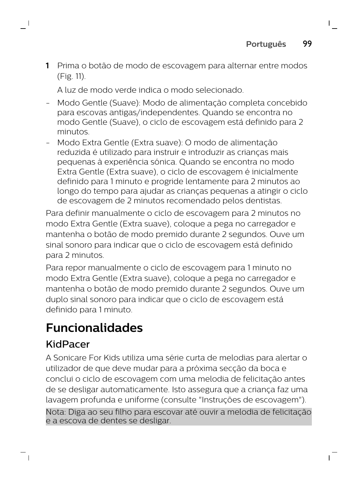$\mathsf{L}$ 

 $\mathbf{L}$ 

**1** Prima o botão de modo de escovagem para alternar entre modos (Fig. 11).

A luz de modo verde indica o modo selecionado.

- Modo Gentle (Suave): Modo de alimentação completa concebido para escovas antigas/independentes. Quando se encontra no modo Gentle (Suave), o ciclo de escovagem está definido para 2 minutos.
- Modo Extra Gentle (Extra suave): O modo de alimentação reduzida é utilizado para instruir e introduzir as crianças mais pequenas à experiência sónica. Quando se encontra no modo Extra Gentle (Extra suave), o ciclo de escovagem é inicialmente definido para 1 minuto e progride lentamente para 2 minutos ao longo do tempo para ajudar as crianças pequenas a atingir o ciclo de escovagem de 2 minutos recomendado pelos dentistas.

Para definir manualmente o ciclo de escovagem para 2 minutos no modo Extra Gentle (Extra suave), coloque a pega no carregador e mantenha o botão de modo premido durante 2 segundos. Ouve um sinal sonoro para indicar que o ciclo de escovagem está definido para 2 minutos.

Para repor manualmente o ciclo de escovagem para 1 minuto no modo Extra Gentle (Extra suave), coloque a pega no carregador e mantenha o botão de modo premido durante 2 segundos. Ouve um duplo sinal sonoro para indicar que o ciclo de escovagem está definido para 1 minuto.

# **Funcionalidades**

### KidPacer

 $\overline{1}$ 

 $\overline{\phantom{a}}$ 

A Sonicare For Kids utiliza uma série curta de melodias para alertar o utilizador de que deve mudar para a próxima secção da boca e conclui o ciclo de escovagem com uma melodia de felicitação antes de se desligar automaticamente. Isto assegura que a criança faz uma lavagem profunda e uniforme (consulte "Instruções de escovagem"). Nota: Diga ao seu filho para escovar até ouvir a melodia de felicitação e a escova de dentes se desligar.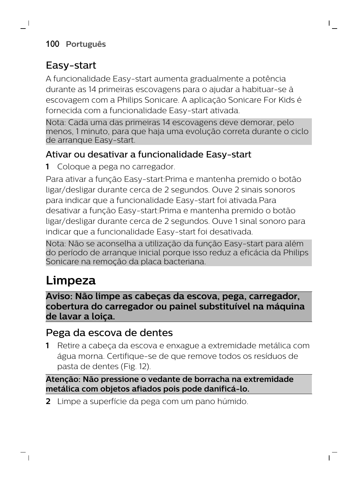#### 100 **Português**

### Easy-start

 $\overline{\phantom{a}}$ 

A funcionalidade Easy-start aumenta gradualmente a potência durante as 14 primeiras escovagens para o ajudar a habituar-se à escovagem com a Philips Sonicare. A aplicação Sonicare For Kids é fornecida com a funcionalidade Easy-start ativada.

L

 $\mathbf{L}$ 

Nota: Cada uma das primeiras 14 escovagens deve demorar, pelo menos, 1 minuto, para que haja uma evolução correta durante o ciclo de arranque Easy-start.

#### Ativar ou desativar a funcionalidade Easy-start

**1** Coloque a pega no carregador.

Para ativar a função Easy-start:Prima e mantenha premido o botão ligar/desligar durante cerca de 2 segundos. Ouve 2 sinais sonoros para indicar que a funcionalidade Easy-start foi ativada.Para desativar a função Easy-start:Prima e mantenha premido o botão ligar/desligar durante cerca de 2 segundos. Ouve 1 sinal sonoro para indicar que a funcionalidade Easy-start foi desativada.

Nota: Não se aconselha a utilização da função Easy-start para além do período de arranque inicial porque isso reduz a eficácia da Philips Sonicare na remoção da placa bacteriana.

# **Limpeza**

 $\overline{1}$ 

**Aviso: Não limpe as cabeças da escova, pega, carregador, cobertura do carregador ou painel substituível na máquina de lavar a loiça.**

### Pega da escova de dentes

**1** Retire a cabeça da escova e enxague a extremidade metálica com água morna. Certifique-se de que remove todos os resíduos de pasta de dentes (Fig. 12).

**Atenção: Não pressione o vedante de borracha na extremidade metálica com objetos afiados pois pode danificá-lo.**

**2** Limpe a superfície da pega com um pano húmido.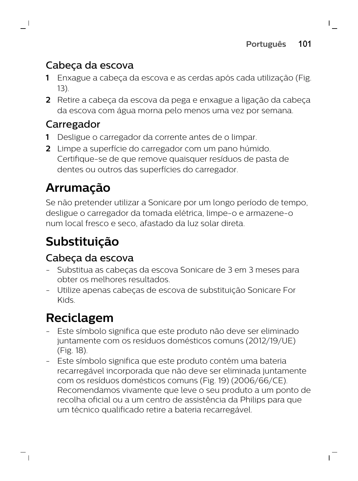$\mathbf{L}$ 

 $\mathbf{L}$ 

### Cabeça da escova

- **1** Enxague a cabeça da escova e as cerdas após cada utilização (Fig. 13).
- **2** Retire a cabeça da escova da pega e enxague a ligação da cabeça da escova com água morna pelo menos uma vez por semana.

### Carregador

 $\overline{\phantom{a}}$ 

- **1** Desligue o carregador da corrente antes de o limpar.
- **2** Limpe a superfície do carregador com um pano húmido. Certifique-se de que remove quaisquer resíduos de pasta de dentes ou outros das superfícies do carregador.

# **Arrumação**

Se não pretender utilizar a Sonicare por um longo período de tempo, desligue o carregador da tomada elétrica, limpe-o e armazene-o num local fresco e seco, afastado da luz solar direta.

# **Substituição**

### Cabeça da escova

- Substitua as cabeças da escova Sonicare de 3 em 3 meses para obter os melhores resultados.
- Utilize apenas cabeças de escova de substituição Sonicare For Kids.

# **Reciclagem**

 $\overline{1}$ 

- Este símbolo significa que este produto não deve ser eliminado juntamente com os resíduos domésticos comuns (2012/19/UE) (Fig. 18).
- Este símbolo significa que este produto contém uma bateria recarregável incorporada que não deve ser eliminada juntamente com os resíduos domésticos comuns (Fig. 19) (2006/66/CE). Recomendamos vivamente que leve o seu produto a um ponto de recolha oficial ou a um centro de assistência da Philips para que um técnico qualificado retire a bateria recarregável.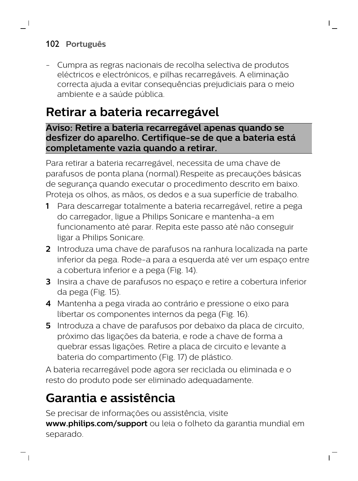#### 102 **Português**

 $\overline{\phantom{0}}$ 

 $\overline{1}$ 

- Cumpra as regras nacionais de recolha selectiva de produtos eléctricos e electrónicos, e pilhas recarregáveis. A eliminação correcta ajuda a evitar consequências prejudiciais para o meio ambiente e a saúde pública.

 $\mathsf{L}$ 

 $\mathbf{L}$ 

## **Retirar a bateria recarregável**

#### **Aviso: Retire a bateria recarregável apenas quando se desfizer do aparelho. Certifique-se de que a bateria está completamente vazia quando a retirar.**

Para retirar a bateria recarregável, necessita de uma chave de parafusos de ponta plana (normal).Respeite as precauções básicas de segurança quando executar o procedimento descrito em baixo. Proteja os olhos, as mãos, os dedos e a sua superfície de trabalho.

- **1** Para descarregar totalmente a bateria recarregável, retire a pega do carregador, ligue a Philips Sonicare e mantenha-a em funcionamento até parar. Repita este passo até não conseguir ligar a Philips Sonicare.
- **2** Introduza uma chave de parafusos na ranhura localizada na parte inferior da pega. Rode-a para a esquerda até ver um espaço entre a cobertura inferior e a pega (Fig. 14).
- **3** Insira a chave de parafusos no espaço e retire a cobertura inferior da pega (Fig. 15).
- **4** Mantenha a pega virada ao contrário e pressione o eixo para libertar os componentes internos da pega (Fig. 16).
- **5** Introduza a chave de parafusos por debaixo da placa de circuito, próximo das ligações da bateria, e rode a chave de forma a quebrar essas ligações. Retire a placa de circuito e levante a bateria do compartimento (Fig. 17) de plástico.

A bateria recarregável pode agora ser reciclada ou eliminada e o resto do produto pode ser eliminado adequadamente.

# **Garantia e assistência**

Se precisar de informações ou assistência, visite **www.philips.com/support** ou leia o folheto da garantia mundial em separado.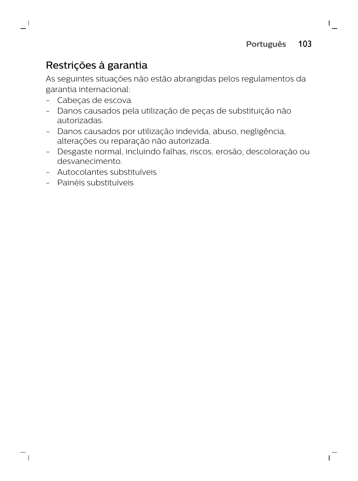$\mathbf{L}$ 

 $\mathbf{L}$ 

### Restrições à garantia

As seguintes situações não estão abrangidas pelos regulamentos da garantia internacional:

- Cabeças de escova.

 $\overline{\phantom{0}}$ 

٦.

- Danos causados pela utilização de peças de substituição não autorizadas.
- Danos causados por utilização indevida, abuso, negligência, alterações ou reparação não autorizada.
- Desgaste normal, incluindo falhas, riscos, erosão, descoloração ou desvanecimento.
- Autocolantes substituíveis
- Painéis substituíveis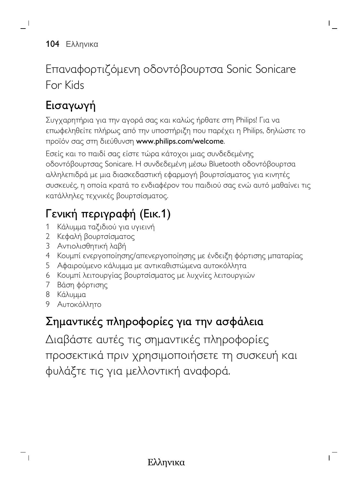104 Ελληνικα

 $\overline{\phantom{a}}$ 

# Επαναφορτιζόμενη οδοντόβουρτσα Sonic Sonicare For Kids

 $\mathsf{L}$ 

 $\mathbf{L}$ 

# Εισαγωγή

Συγχαρητήρια για την αγορά σας και καλώς ήρθατε στη Philips! Για να επωφεληθείτε πλήρως από την υποστήριξη που παρέχει η Philips, δηλώστε το προϊόν σας στη διεύθυνση www.philips.com/welcome.

Εσείς και το παιδί σας είστε τώρα κάτοχοι μιας συνδεδεμένης οδοντόβουρτσας Sonicare. Η συνδεδεμένη μέσω Bluetooth οδοντόβουρτσα αλληλεπιδρά με μια διασκεδαστική εφαρμογή βουρτσίσματος για κινητές συσκευές, η οποία κρατά το ενδιαφέρον του παιδιού σας ενώ αυτό μαθαίνει τις κατάλληλες τεχνικές βουρτσίσματος.

# Γενική περιγραφή (Εικ.1)

- 1 Κάλυμμα ταξιδιού για υγιεινή
- 2 Κεφαλή βουρτσίσματος
- 3 Αντιολισθητική λαβή
- 4 Κουμπί ενεργοποίησης/απενεργοποίησης με ένδειξη φόρτισης μπαταρίας
- 5 Αφαιρούμενο κάλυμμα με αντικαθιστώμενα αυτοκόλλητα
- 6 Κουμπί λειτουργίας βουρτσίσματος με λυχνίες λειτουργιών
- 7 Βάση φόρτισης
- 8 Κάλυμμα

 $=$ <sub>1</sub>

9 Αυτοκόλλητο

# Σημαντικές πληροφορίες για την ασφάλεια

Διαβάστε αυτές τις σημαντικές πληροφορίες προσεκτικά πριν χρησιμοποιήσετε τη συσκευή και φυλάξτε τις για μελλοντική αναφορά.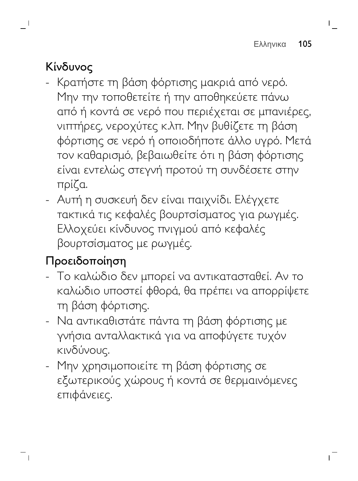## Κίνδυνος

 $\overline{\phantom{0}}$ 

 $=$ <sub>1</sub>

- Κρατήστε τη βάση φόρτισης μακριά από νερό. Μην την τοποθετείτε ή την αποθηκεύετε πάνω από ή κοντά σε νερό που περιέχεται σε μπανιέρες, νιπτήρες, νεροχύτες κ.λπ. Μην βυθίζετε τη βάση φόρτισης σε νερό ή οποιοδήποτε άλλο υγρό. Μετά τον καθαρισμό, βεβαιωθείτε ότι η βάση φόρτισης είναι εντελώς στεγνή προτού τη συνδέσετε στην πρίζα.
- Αυτή η συσκευή δεν είναι παιχνίδι. Ελέγχετε τακτικά τις κεφαλές βουρτσίσματος για ρωγμές. Ελλοχεύει κίνδυνος πνιγμού από κεφαλές βουρτσίσματος με ρωγμές.

# Προειδοποίηση

- Το καλώδιο δεν μπορεί να αντικατασταθεί. Αν το καλώδιο υποστεί φθορά, θα πρέπει να απορρίψετε τη βάση φόρτισης.
- Να αντικαθιστάτε πάντα τη βάση φόρτισης με γνήσια ανταλλακτικά για να αποφύγετε τυχόν κινδύνους.
- Μην χρησιμοποιείτε τη βάση φόρτισης σε εξωτερικούς χώρους ή κοντά σε θερμαινόμενες επιφάνειες.

 $\mathbf{L}$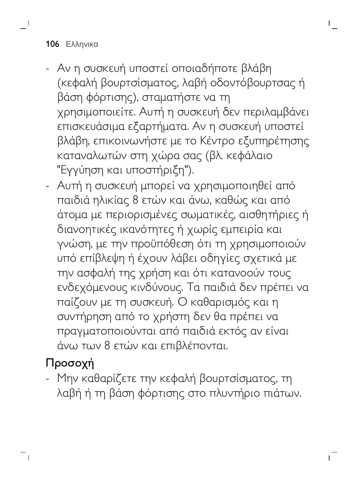#### 106 Ελληνικα

 $\overline{\phantom{0}}$ 

- Αν η συσκευή υποστεί οποιαδήποτε βλάβη (κεφαλή βουρτσίσματος, λαβή οδοντόβουρτσας ή βάση φόρτισης), σταματήστε να τη χρησιμοποιείτε. Αυτή η συσκευή δεν περιλαμβάνει επισκευάσιμα εξαρτήματα. Αν η συσκευή υποστεί βλάβη, επικοινωνήστε με το Κέντρο εξυπηρέτησης καταναλωτών στη χώρα σας (βλ. κεφάλαιο "Εγγύηση και υποστήριξη").

 $\mathsf{L}$ 

 $\mathbf{L}$ 

- Αυτή η συσκευή μπορεί να χρησιμοποιηθεί από παιδιά ηλικίας 8 ετών και άνω, καθώς και από άτομα με περιορισμένες σωματικές, αισθητήριες ή διανοητικές ικανότητες ή χωρίς εμπειρία και γνώση, με την προϋπόθεση ότι τη χρησιμοποιούν υπό επίβλεψη ή έχουν λάβει οδηγίες σχετικά με την ασφαλή της χρήση και ότι κατανοούν τους ενδεχόμενους κινδύνους. Τα παιδιά δεν πρέπει να παίζουν με τη συσκευή. Ο καθαρισμός και η συντήρηση από το χρήστη δεν θα πρέπει να πραγματοποιούνται από παιδιά εκτός αν είναι άνω των 8 ετών και επιβλέπονται.

## Προσοχή

 $=$ <sub>1</sub>

- Μην καθαρίζετε την κεφαλή βουρτσίσματος, τη λαβή ή τη βάση φόρτισης στο πλυντήριο πιάτων.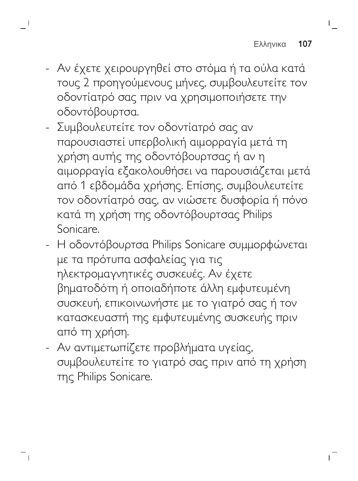$\mathbf{L}$ 

- Αν έχετε χειρουργηθεί στο στόμα ή τα ούλα κατά τους 2 προηγούμενους μήνες, συμβουλευτείτε τον οδοντίατρό σας πριν να χρησιμοποιήσετε την οδοντόβουρτσα.

 $\overline{\phantom{a}}$ 

 $=$ <sub>1</sub>

- Συμβουλευτείτε τον οδοντίατρό σας αν παρουσιαστεί υπερβολική αιμορραγία μετά τη χρήση αυτής της οδοντόβουρτσας ή αν η αιμορραγία εξακολουθήσει να παρουσιάζεται μετά από 1 εβδομάδα χρήσης. Επίσης, συμβουλευτείτε τον οδοντίατρό σας, αν νιώσετε δυσφορία ή πόνο κατά τη χρήση της οδοντόβουρτσας Philips Sonicare.
- Η οδοντόβουρτσα Philips Sonicare συμμορφώνεται με τα πρότυπα ασφαλείας για τις ηλεκτρομαγνητικές συσκευές. Αν έχετε βηματοδότη ή οποιαδήποτε άλλη εμφυτευμένη συσκευή, επικοινωνήστε με το γιατρό σας ή τον κατασκευαστή της εμφυτευμένης συσκευής πριν από τη χρήση.
- Αν αντιμετωπίζετε προβλήματα υγείας, συμβουλευτείτε το γιατρό σας πριν από τη χρήση της Philips Sonicare.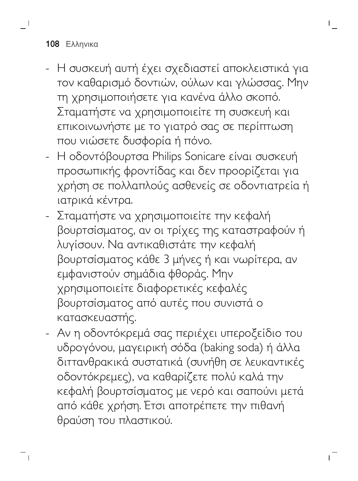#### 108 Ελληνικα

 $\mathcal{A}$ 

 $=$ <sub>1</sub>

- Η συσκευή αυτή έχει σχεδιαστεί αποκλειστικά για τον καθαρισμό δοντιών, ούλων και γλώσσας. Μην τη χρησιμοποιήσετε για κανένα άλλο σκοπό. Σταματήστε να χρησιμοποιείτε τη συσκευή και επικοινωνήστε με το γιατρό σας σε περίπτωση που νιώσετε δυσφορία ή πόνο.

 $\mathsf{L}$ 

 $\mathbf{L}$ 

- Η οδοντόβουρτσα Philips Sonicare είναι συσκευή προσωπικής φροντίδας και δεν προορίζεται για χρήση σε πολλαπλούς ασθενείς σε οδοντιατρεία ή ιατρικά κέντρα.
- Σταματήστε να χρησιμοποιείτε την κεφαλή βουρτσίσματος, αν οι τρίχες της καταστραφούν ή λυγίσουν. Να αντικαθιστάτε την κεφαλή βουρτσίσματος κάθε 3 μήνες ή και νωρίτερα, αν εμφανιστούν σημάδια φθοράς. Μην χρησιμοποιείτε διαφορετικές κεφαλές βουρτσίσματος από αυτές που συνιστά ο κατασκευαστής.
- Αν η οδοντόκρεμά σας περιέχει υπεροξείδιο του υδρογόνου, μαγειρική σόδα (baking soda) ή άλλα διττανθρακικά συστατικά (συνήθη σε λευκαντικές οδοντόκρεμες), να καθαρίζετε πολύ καλά την κεφαλή βουρτσίσματος με νερό και σαπούνι μετά από κάθε χρήση. Έτσι αποτρέπετε την πιθανή θραύση του πλαστικού.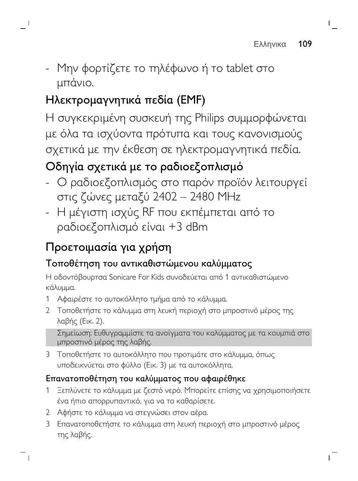$\mathsf{L}$ 

 $\mathbf{L}$ 

- Μην φορτίζετε το τηλέφωνο ή το tablet στο μπάνιο.

# Ηλεκτρομαγνητικά πεδία (EMF)

 $\overline{\phantom{a}}$ 

 $\overline{\phantom{0}}$ 

Η συγκεκριμένη συσκευή της Philips συμμορφώνεται με όλα τα ισχύοντα πρότυπα και τους κανονισμούς σχετικά με την έκθεση σε ηλεκτρομαγνητικά πεδία.

# Οδηγία σχετικά με το ραδιοεξοπλισμό

- Ο ραδιοεξοπλισμός στο παρόν προϊόν λειτουργεί στις ζώνες μεταξύ 2402 – 2480 MHz
- Η μέγιστη ισχύς RF που εκπέμπεται από το ραδιοεξοπλισμό είναι +3 dBm

# Προετοιμασία για χρήση

## Τοποθέτηση του αντικαθιστώμενου καλύμματος

Η οδοντόβουρτσα Sonicare For Kids συνοδεύεται από 1 αντικαθιστώμενο κάλυμμα.

- 1 Αφαιρέστε το αυτοκόλλητο τμήμα από το κάλυμμα.
- 2 Τοποθετήστε το κάλυμμα στη λευκή περιοχή στο μπροστινό μέρος της λαβής (Εικ. 2).

Σημείωση: Ευθυγραμμίστε τα ανοίγματα του καλύμματος με τα κουμπιά στο μπροστινό μέρος της λαβής.

3 Τοποθετήστε το αυτοκόλλητο που προτιμάτε στο κάλυμμα, όπως υποδεικνύεται στο φύλλο (Εικ. 3) με τα αυτοκόλλητα.

### Επανατοποθέτηση του καλύμματος που αφαιρέθηκε

- 1 Ξεπλύνετε το κάλυμμα με ζεστό νερό. Μπορείτε επίσης να χρησιμοποιήσετε ένα ήπιο απορρυπαντικό, για να το καθαρίσετε.
- 2 Αφήστε το κάλυμμα να στεγνώσει στον αέρα.
- 3 Επανατοποθετήστε το κάλυμμα στη λευκή περιοχή στο μπροστινό μέρος της λαβής.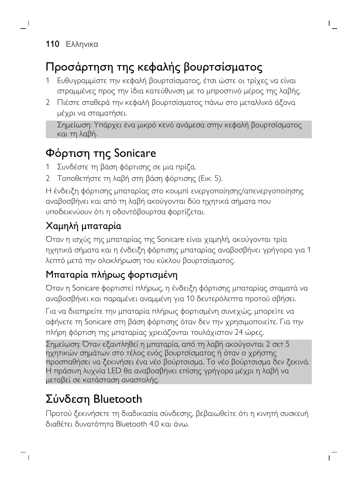$\overline{\phantom{0}}$ 

## Προσάρτηση της κεφαλής βουρτσίσματος

1 Ευθυγραμμίστε την κεφαλή βουρτσίσματος, έτσι ώστε οι τρίχες να είναι στραμμένες προς την ίδια κατεύθυνση με το μπροστινό μέρος της λαβής.  $\mathsf{L}$ 

 $\mathbf{L}$ 

2 Πιέστε σταθερά την κεφαλή βουρτσίσματος πάνω στο μεταλλικό άξονα μέχρι να σταματήσει.

Σημείωση: Υπάρχει ένα μικρό κενό ανάμεσα στην κεφαλή βουρτσίσματος και τη λαβή.

## Φόρτιση της Sonicare

- 1 Συνδέστε τη βάση φόρτισης σε μια πρίζα.
- 2 Τοποθετήστε τη λαβή στη βάση φόρτισης (Εικ. 5).

Η ένδειξη φόρτισης μπαταρίας στο κουμπί ενεργοποίησης/απενεργοποίησης αναβοσβήνει και από τη λαβή ακούγονται δύο ηχητικά σήματα που υποδεικνύουν ότι η οδοντόβουρτσα φορτίζεται.

## Χαμηλή μπαταρία

Όταν η ισχύς της μπαταρίας της Sonicare είναι χαμηλή, ακούγονται τρία ηχητικά σήματα και η ένδειξη φόρτισης μπαταρίας αναβοσβήνει γρήγορα για 1 λεπτό μετά την ολοκλήρωση του κύκλου βουρτσίσματος.

## Μπαταρία πλήρως φορτισμένη

Όταν η Sonicare φορτιστεί πλήρως, η ένδειξη φόρτισης μπαταρίας σταματά να αναβοσβήνει και παραμένει αναμμένη για 10 δευτερόλεπτα προτού σβήσει.

Για να διατηρείτε την μπαταρία πλήρως φορτισμένη συνεχώς, μπορείτε να αφήνετε τη Sonicare στη βάση φόρτισης όταν δεν την χρησιμοποιείτε. Για την πλήρη φόρτιση της μπαταρίας χρειάζονται τουλάχιστον 24 ώρες.

Σημείωση: Όταν εξαντληθεί η μπαταρία, από τη λαβή ακούγονται 2 σετ 5 ηχητικών σημάτων στο τέλος ενός βουρτσίσματος ή όταν ο χρήστης προσπαθήσει να ξεκινήσει ένα νέο βούρτσισμα. Το νέο βούρτσισμα δεν ξεκινά. Η πράσινη λυχνία LED θα αναβοσβήνει επίσης γρήγορα μέχρι η λαβή να μεταβεί σε κατάσταση αναστολής.

# Σύνδεση Bluetooth

 $\overline{\phantom{0}}$ 

Προτού ξεκινήσετε τη διαδικασία σύνδεσης, βεβαιωθείτε ότι η κινητή συσκευή διαθέτει δυνατότητα Bluetooth 4.0 και άνω.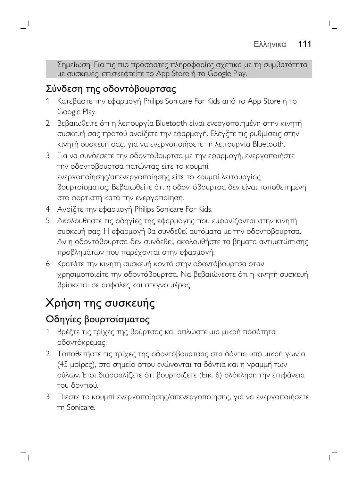$\overline{1}$ 

 $\mathbf{L}$ 

Σημείωση: Για τις πιο πρόσφατες πληροφορίες σχετικά με τη συμβατότητα με συσκευές, επισκεφτείτε το App Store ή το Google Play.

### Σύνδεση της οδοντόβουρτσας

 $\overline{\phantom{a}}$ 

 $\blacksquare$ 

- 1 Κατεβάστε την εφαρμογή Philips Sonicare For Kids από το App Store ή το Google Play.
- 2 Βεβαιωθείτε ότι η λειτουργία Bluetooth είναι ενεργοποιημένη στην κινητή συσκευή σας προτού ανοίξετε την εφαρμογή. Ελέγξτε τις ρυθμίσεις στην κινητή συσκευή σας, για να ενεργοποιήσετε τη λειτουργία Bluetooth.
- 3 Για να συνδέσετε την οδοντόβουρτσα με την εφαρμογή, ενεργοποιήστε την οδοντόβουρτσα πατώντας είτε το κουμπί ενεργοποίησης/απενεργοποίησης είτε το κουμπί λειτουργίας βουρτσίσματος. Βεβαιωθείτε ότι η οδοντόβουρτσα δεν είναι τοποθετημένη στο φορτιστή κατά την ενεργοποίηση.
- 4 Ανοίξτε την εφαρμογή Philips Sonicare For Kids.
- 5 Ακολουθήστε τις οδηγίες της εφαρμογής που εμφανίζονται στην κινητή συσκευή σας. Η εφαρμογή θα συνδεθεί αυτόματα με την οδοντόβουρτσα. Αν η οδοντόβουρτσα δεν συνδεθεί, ακολουθήστε τα βήματα αντιμετώπισης προβλημάτων που παρέχονται στην εφαρμογή.
- 6 Κρατάτε την κινητή συσκευή κοντά στην οδοντόβουρτσα όταν χρησιμοποιείτε την οδοντόβουρτσα. Να βεβαιώνεστε ότι η κινητή συσκευή βρίσκεται σε ασφαλές και στεγνό μέρος.

# Χρήση της συσκευής

### Οδηγίες βουρτσίσματος

- 1 Βρέξτε τις τρίχες της βούρτσας και απλώστε μια μικρή ποσότητα οδοντόκρεμας.
- 2 Τοποθετήστε τις τρίχες της οδοντόβουρτσας στα δόντια υπό μικρή γωνία (45 μοίρες), στο σημείο όπου ενώνονται τα δόντια και η γραμμή των ούλων. Έτσι διασφαλίζετε ότι βουρτσίζετε (Εικ. 6) ολόκληρη την επιφάνεια του δοντιού.
- 3 Πιέστε το κουμπί ενεργοποίησης/απενεργοποίησης, για να ενεργοποιήσετε τη Sonicare.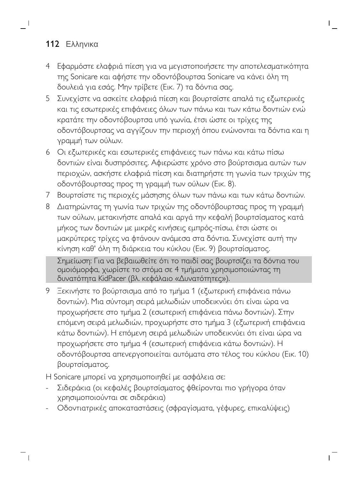$\overline{\phantom{0}}$ 

 $\blacksquare$ 

4 Εφαρμόστε ελαφριά πίεση για να μεγιστοποιήσετε την αποτελεσματικότητα της Sonicare και αφήστε την οδοντόβουρτσα Sonicare να κάνει όλη τη δουλειά για εσάς. Μην τρίβετε (Εικ. 7) τα δόντια σας.

L

 $\mathbf{L}$ 

- 5 Συνεχίστε να ασκείτε ελαφριά πίεση και βουρτσίστε απαλά τις εξωτερικές και τις εσωτερικές επιφάνειες όλων των πάνω και των κάτω δοντιών ενώ κρατάτε την οδοντόβουρτσα υπό γωνία, έτσι ώστε οι τρίχες της οδοντόβουρτσας να αγγίζουν την περιοχή όπου ενώνονται τα δόντια και η γραμμή των ούλων.
- 6 Οι εξωτερικές και εσωτερικές επιφάνειες των πάνω και κάτω πίσω δοντιών είναι δυσπρόσιτες. Αφιερώστε χρόνο στο βούρτσισμα αυτών των περιοχών, ασκήστε ελαφριά πίεση και διατηρήστε τη γωνία των τριχών της οδοντόβουρτσας προς τη γραμμή των ούλων (Εικ. 8).
- 7 Βουρτσίστε τις περιοχές μάσησης όλων των πάνω και των κάτω δοντιών.
- 8 Διατηρώντας τη γωνία των τριχών της οδοντόβουρτσας προς τη γραμμή των ούλων, μετακινήστε απαλά και αργά την κεφαλή βουρτσίσματος κατά μήκος των δοντιών με μικρές κινήσεις εμπρός-πίσω, έτσι ώστε οι μακρύτερες τρίχες να φτάνουν ανάμεσα στα δόντια. Συνεχίστε αυτή την κίνηση καθ' όλη τη διάρκεια του κύκλου (Εικ. 9) βουρτσίσματος.

Σημείωση: Για να βεβαιωθείτε ότι το παιδί σας βουρτσίζει τα δόντια του ομοιόμορφα, χωρίστε το στόμα σε 4 τμήματα χρησιμοποιώντας τη δυνατότητα KidPacer (βλ. κεφάλαιο «Δυνατότητες»).

9 Ξεκινήστε το βούρτσισμα από το τμήμα 1 (εξωτερική επιφάνεια πάνω δοντιών). Μια σύντομη σειρά μελωδιών υποδεικνύει ότι είναι ώρα να προχωρήσετε στο τμήμα 2 (εσωτερική επιφάνεια πάνω δοντιών). Στην επόμενη σειρά μελωδιών, προχωρήστε στο τμήμα 3 (εξωτερική επιφάνεια κάτω δοντιών). Η επόμενη σειρά μελωδιών υποδεικνύει ότι είναι ώρα να προχωρήσετε στο τμήμα 4 (εσωτερική επιφάνεια κάτω δοντιών). Η οδοντόβουρτσα απενεργοποιείται αυτόματα στο τέλος του κύκλου (Εικ. 10) βουρτσίσματος.

Η Sonicare μπορεί να χρησιμοποιηθεί με ασφάλεια σε:

- Σιδεράκια (οι κεφαλές βουρτσίσματος φθείρονται πιο γρήγορα όταν χρησιμοποιούνται σε σιδεράκια)
- Οδοντιατρικές αποκαταστάσεις (σφραγίσματα, γέφυρες, επικαλύψεις)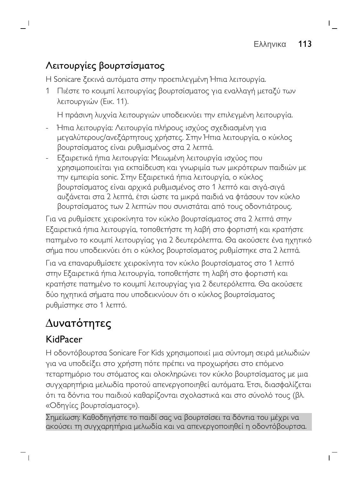$\mathbf{I}$ 

 $\mathbf{L}$ 

## Λειτουργίες βουρτσίσματος

 $\overline{\phantom{a}}$ 

Η Sonicare ξεκινά αυτόματα στην προεπιλεγμένη Ήπια λειτουργία.

1 Πιέστε το κουμπί λειτουργίας βουρτσίσματος για εναλλαγή μεταξύ των λειτουργιών (Εικ. 11).

Η πράσινη λυχνία λειτουργιών υποδεικνύει την επιλεγμένη λειτουργία.

- Ήπια λειτουργία: Λειτουργία πλήρους ισχύος σχεδιασμένη για μεγαλύτερους/ανεξάρτητους χρήστες. Στην Ήπια λειτουργία, ο κύκλος βουρτσίσματος είναι ρυθμισμένος στα 2 λεπτά.
- Εξαιρετικά ήπια λειτουργία: Μειωμένη λειτουργία ισχύος που χρησιμοποιείται για εκπαίδευση και γνωριμία των μικρότερων παιδιών με την εμπειρία sonic. Στην Εξαιρετικά ήπια λειτουργία, ο κύκλος βουρτσίσματος είναι αρχικά ρυθμισμένος στο 1 λεπτό και σιγά-σιγά αυξάνεται στα 2 λεπτά, έτσι ώστε τα μικρά παιδιά να φτάσουν τον κύκλο βουρτσίσματος των 2 λεπτών που συνιστάται από τους οδοντιάτρους.

Για να ρυθμίσετε χειροκίνητα τον κύκλο βουρτσίσματος στα 2 λεπτά στην Εξαιρετικά ήπια λειτουργία, τοποθετήστε τη λαβή στο φορτιστή και κρατήστε πατημένο το κουμπί λειτουργίας για 2 δευτερόλεπτα. Θα ακούσετε ένα ηχητικό σήμα που υποδεικνύει ότι ο κύκλος βουρτσίσματος ρυθμίστηκε στα 2 λεπτά.

Για να επαναρυθμίσετε χειροκίνητα τον κύκλο βουρτσίσματος στο 1 λεπτό στην Εξαιρετικά ήπια λειτουργία, τοποθετήστε τη λαβή στο φορτιστή και κρατήστε πατημένο το κουμπί λειτουργίας για 2 δευτερόλεπτα. Θα ακούσετε δύο ηχητικά σήματα που υποδεικνύουν ότι ο κύκλος βουρτσίσματος ρυθμίστηκε στο 1 λεπτό.

## Δυνατότητες

#### KidPacer

 $\blacksquare$ 

Η οδοντόβουρτσα Sonicare For Kids χρησιμοποιεί μια σύντομη σειρά μελωδιών για να υποδείξει στο χρήστη πότε πρέπει να προχωρήσει στο επόμενο τεταρτημόριο του στόματος και ολοκληρώνει τον κύκλο βουρτσίσματος με μια συγχαρητήρια μελωδία προτού απενεργοποιηθεί αυτόματα. Έτσι, διασφαλίζεται ότι τα δόντια του παιδιού καθαρίζονται σχολαστικά και στο σύνολό τους (βλ. «Οδηγίες βουρτσίσματος»).

Σημείωση: Καθοδηγήστε το παιδί σας να βουρτσίσει τα δόντια του μέχρι να ακούσει τη συγχαρητήρια μελωδία και να απενεργοποιηθεί η οδοντόβουρτσα.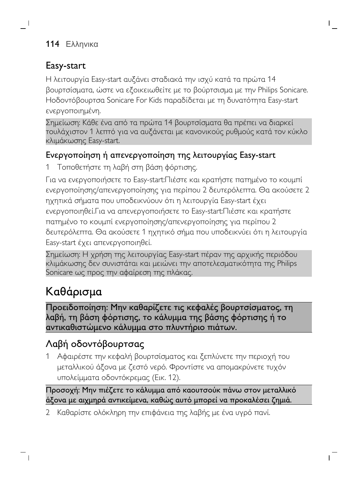### Easy-start

 $\overline{\phantom{a}}$ 

Η λειτουργία Easy-start αυξάνει σταδιακά την ισχύ κατά τα πρώτα 14 βουρτσίσματα, ώστε να εξοικειωθείτε με το βούρτσισμα με την Philips Sonicare. Ηοδοντόβουρτσα Sonicare For Kids παραδίδεται με τη δυνατότητα Easy-start ενεργοποιημένη.

L

 $\mathbf{L}$ 

Σημείωση: Κάθε ένα από τα πρώτα 14 βουρτσίσματα θα πρέπει να διαρκεί τουλάχιστον 1 λεπτό για να αυξάνεται με κανονικούς ρυθμούς κατά τον κύκλο κλιμάκωσης Easy-start.

#### Ενεργοποίηση ή απενεργοποίηση της λειτουργίας Easy-start

1 Τοποθετήστε τη λαβή στη βάση φόρτισης.

Για να ενεργοποιήσετε το Easy-start:Πιέστε και κρατήστε πατημένο το κουμπί ενεργοποίησης/απενεργοποίησης για περίπου 2 δευτερόλεπτα. Θα ακούσετε 2 ηχητικά σήματα που υποδεικνύουν ότι η λειτουργία Easy-start έχει ενεργοποιηθεί.Για να απενεργοποιήσετε το Easy-start:Πιέστε και κρατήστε πατημένο το κουμπί ενεργοποίησης/απενεργοποίησης για περίπου 2 δευτερόλεπτα. Θα ακούσετε 1 ηχητικό σήμα που υποδεικνύει ότι η λειτουργία Easy-start έχει απενεργοποιηθεί.

Σημείωση: Η χρήση της λειτουργίας Easy-start πέραν της αρχικής περιόδου κλιμάκωσης δεν συνιστάται και μειώνει την αποτελεσματικότητα της Philips Sonicare ως προς την αφαίρεση της πλάκας.

## Καθάρισμα

 $\overline{\phantom{0}}$ 

Προειδοποίηση: Μην καθαρίζετε τις κεφαλές βουρτσίσματος, τη λαβή, τη βάση φόρτισης, το κάλυμμα της βάσης φόρτισης ή το αντικαθιστώμενο κάλυμμα στο πλυντήριο πιάτων.

## Λαβή οδοντόβουρτσας

1 Αφαιρέστε την κεφαλή βουρτσίσματος και ξεπλύνετε την περιοχή του μεταλλικού άξονα με ζεστό νερό. Φροντίστε να απομακρύνετε τυχόν υπολείμματα οδοντόκρεμας (Εικ. 12).

Προσοχή: Μην πιέζετε το κάλυμμα από καουτσούκ πάνω στον μεταλλικό άξονα με αιχμηρά αντικείμενα, καθώς αυτό μπορεί να προκαλέσει ζημιά.

2 Καθαρίστε ολόκληρη την επιφάνεια της λαβής με ένα υγρό πανί.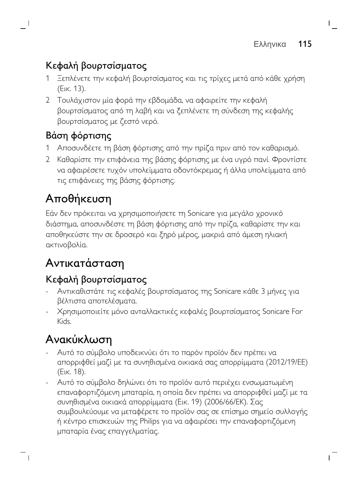$\overline{1}$ 

 $\mathbf{L}$ 

## Κεφαλή βουρτσίσματος

- 1 Ξεπλένετε την κεφαλή βουρτσίσματος και τις τρίχες μετά από κάθε χρήση (Εικ. 13).
- 2 Τουλάχιστον μία φορά την εβδομάδα, να αφαιρείτε την κεφαλή βουρτσίσματος από τη λαβή και να ξεπλένετε τη σύνδεση της κεφαλής βουρτσίσματος με ζεστό νερό.

## Βάση φόρτισης

 $\overline{\phantom{0}}$ 

- 1 Αποσυνδέετε τη βάση φόρτισης από την πρίζα πριν από τον καθαρισμό.
- 2 Καθαρίστε την επιφάνεια της βάσης φόρτισης με ένα υγρό πανί. Φροντίστε να αφαιρέσετε τυχόν υπολείμματα οδοντόκρεμας ή άλλα υπολείμματα από τις επιφάνειες της βάσης φόρτισης.

# Αποθήκευση

Εάν δεν πρόκειται να χρησιμοποιήσετε τη Sonicare για μεγάλο χρονικό διάστημα, αποσυνδέστε τη βάση φόρτισης από την πρίζα, καθαρίστε την και αποθηκεύστε την σε δροσερό και ξηρό μέρος, μακριά από άμεση ηλιακή ακτινοβολία.

# Αντικατάσταση

## Κεφαλή βουρτσίσματος

- Αντικαθιστάτε τις κεφαλές βουρτσίσματος της Sonicare κάθε 3 μήνες για βέλτιστα αποτελέσματα.
- Χρησιμοποιείτε μόνο ανταλλακτικές κεφαλές βουρτσίσματος Sonicare For Kids.

## Ανακύκλωση

 $\overline{\phantom{0}}$ 

- Αυτό το σύμβολο υποδεικνύει ότι το παρόν προϊόν δεν πρέπει να απορριφθεί μαζί με τα συνηθισμένα οικιακά σας απορρίμματα (2012/19/ΕΕ) (Εικ. 18).
- Αυτό το σύμβολο δηλώνει ότι το προϊόν αυτό περιέχει ενσωματωμένη επαναφορτιζόμενη μπαταρία, η οποία δεν πρέπει να απορριφθεί μαζί με τα συνηθισμένα οικιακά απορρίμματα (Εικ. 19) (2006/66/ΕΚ). Σας συμβουλεύουμε να μεταφέρετε το προϊόν σας σε επίσημο σημείο συλλογής ή κέντρο επισκευών της Philips για να αφαιρέσει την επαναφορτιζόμενη μπαταρία ένας επαγγελματίας.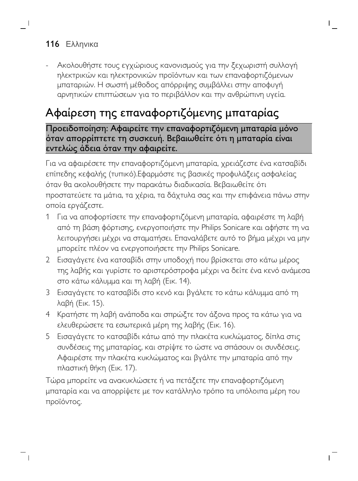$\overline{\phantom{0}}$ 

 $\blacksquare$ 

- Ακολουθήστε τους εγχώριους κανονισμούς για την ξεχωριστή συλλογή ηλεκτρικών και ηλεκτρονικών προϊόντων και των επαναφορτιζόμενων μπαταριών. Η σωστή μέθοδος απόρριψης συμβάλλει στην αποφυγή αρνητικών επιπτώσεων για το περιβάλλον και την ανθρώπινη υγεία.

L

 $\mathbf{L}$ 

## Αφαίρεση της επαναφορτιζόμενης μπαταρίας

Προειδοποίηση: Αφαιρείτε την επαναφορτιζόμενη μπαταρία μόνο όταν απορρίπτετε τη συσκευή. Βεβαιωθείτε ότι η μπαταρία είναι εντελώς άδεια όταν την αφαιρείτε.

Για να αφαιρέσετε την επαναφορτιζόμενη μπαταρία, χρειάζεστε ένα κατσαβίδι επίπεδης κεφαλής (τυπικό).Εφαρμόστε τις βασικές προφυλάξεις ασφαλείας όταν θα ακολουθήσετε την παρακάτω διαδικασία. Βεβαιωθείτε ότι προστατεύετε τα μάτια, τα χέρια, τα δάχτυλα σας και την επιφάνεια πάνω στην οποία εργάζεστε.

- 1 Για να αποφορτίσετε την επαναφορτιζόμενη μπαταρία, αφαιρέστε τη λαβή από τη βάση φόρτισης, ενεργοποιήστε την Philips Sonicare και αφήστε τη να λειτουργήσει μέχρι να σταματήσει. Επαναλάβετε αυτό το βήμα μέχρι να μην μπορείτε πλέον να ενεργοποιήσετε την Philips Sonicare.
- 2 Εισαγάγετε ένα κατσαβίδι στην υποδοχή που βρίσκεται στο κάτω μέρος της λαβής και γυρίστε το αριστερόστροφα μέχρι να δείτε ένα κενό ανάμεσα στο κάτω κάλυμμα και τη λαβή (Εικ. 14).
- 3 Εισαγάγετε το κατσαβίδι στο κενό και βγάλετε το κάτω κάλυμμα από τη λαβή (Εικ. 15).
- 4 Κρατήστε τη λαβή ανάποδα και σπρώξτε τον άξονα προς τα κάτω για να ελευθερώσετε τα εσωτερικά μέρη της λαβής (Εικ. 16).
- 5 Εισαγάγετε το κατσαβίδι κάτω από την πλακέτα κυκλώματος, δίπλα στις συνδέσεις της μπαταρίας, και στρίψτε το ώστε να σπάσουν οι συνδέσεις. Αφαιρέστε την πλακέτα κυκλώματος και βγάλτε την μπαταρία από την πλαστική θήκη (Εικ. 17).

Τώρα μπορείτε να ανακυκλώσετε ή να πετάξετε την επαναφορτιζόμενη μπαταρία και να απορρίψετε με τον κατάλληλο τρόπο τα υπόλοιπα μέρη του προϊόντος.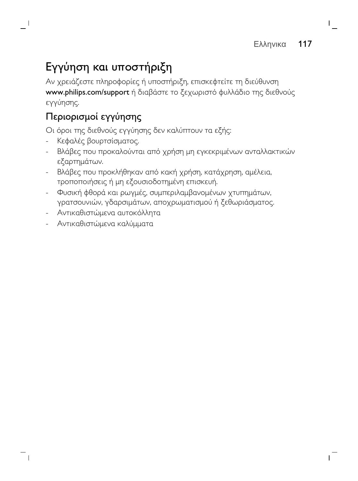# Εγγύηση και υποστήριξη

Αν χρειάζεστε πληροφορίες ή υποστήριξη, επισκεφτείτε τη διεύθυνση www.philips.com/support ή διαβάστε το ξεχωριστό φυλλάδιο της διεθνούς εγγύησης.

## Περιορισμοί εγγύησης

 $\overline{\phantom{0}}$ 

 $\blacksquare$ 

Οι όροι της διεθνούς εγγύησης δεν καλύπτουν τα εξής:

- Κεφαλές βουρτσίσματος.
- Βλάβες που προκαλούνται από χρήση μη εγκεκριμένων ανταλλακτικών εξαρτημάτων.
- Βλάβες που προκλήθηκαν από κακή χρήση, κατάχρηση, αμέλεια, τροποποιήσεις ή μη εξουσιοδοτημένη επισκευή.
- Φυσική φθορά και ρωγμές, συμπεριλαμβανομένων χτυπημάτων, γρατσουνιών, γδαρσιμάτων, αποχρωματισμού ή ξεθωριάσματος.
- Αντικαθιστώμενα αυτοκόλλητα
- Αντικαθιστώμενα καλύμματα

 $\mathbf{L}$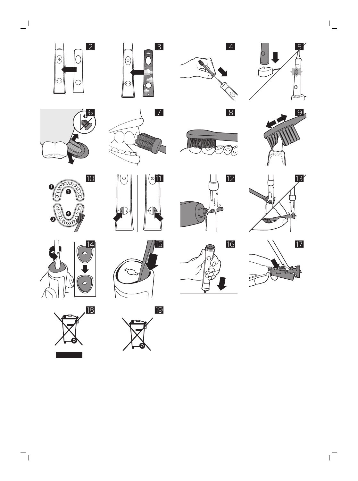

















 $\overline{4}$ 

 $\,8\,$ 

Ă.

 $12$ 



 $\mathbf{L}^{\mathbf{r}}$ 

 $\mathbf{r}^{\top}$ 

 $5<sup>′</sup>$ 

 $\overline{9}$ 

 $13<sup>′</sup>$ 





 $\mathord{\hspace{1pt}\text{--}\hspace{1pt}}_1$ 



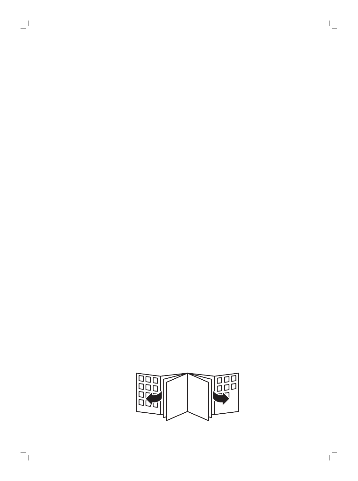

 $\mathbb{L}$ 

 $^{-}$ 

 $=$ <sub>1</sub>

 $\mathbf{I}$